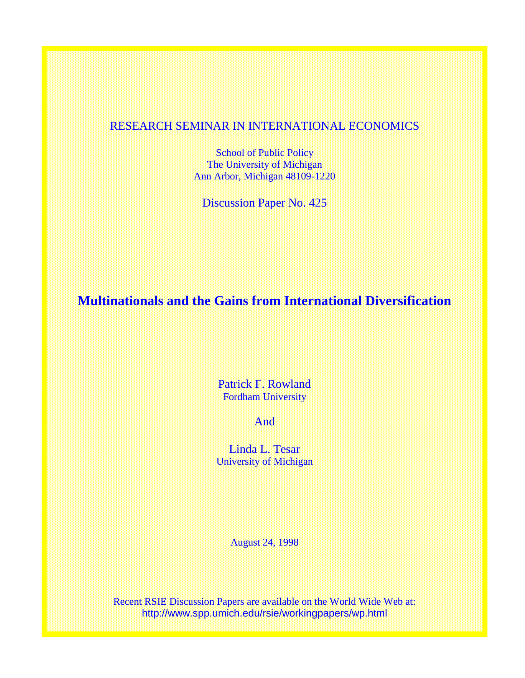## RESEARCH SEMINAR IN INTERNATIONAL ECONOMICS

School of Public Policy The University of Michigan Ann Arbor, Michigan 48109-1220

Discussion Paper No. 425

# **Multinationals and the Gains from International Diversification**

Patrick F. Rowland Fordham University

And

Linda L. Tesar University of Michigan

August 24, 1998

Recent RSIE Discussion Papers are available on the World Wide Web at: http://www.spp.umich.edu/rsie/workingpapers/wp.html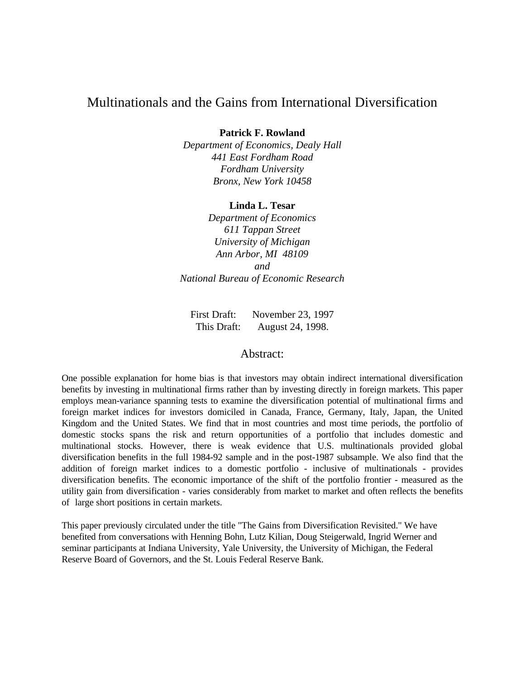## Multinationals and the Gains from International Diversification

### **Patrick F. Rowland**

*Department of Economics, Dealy Hall 441 East Fordham Road Fordham University Bronx, New York 10458*

### **Linda L. Tesar**

*Department of Economics 611 Tappan Street University of Michigan Ann Arbor, MI 48109 and National Bureau of Economic Research*

First Draft: November 23, 1997 This Draft: August 24, 1998.

### Abstract:

One possible explanation for home bias is that investors may obtain indirect international diversification benefits by investing in multinational firms rather than by investing directly in foreign markets. This paper employs mean-variance spanning tests to examine the diversification potential of multinational firms and foreign market indices for investors domiciled in Canada, France, Germany, Italy, Japan, the United Kingdom and the United States. We find that in most countries and most time periods, the portfolio of domestic stocks spans the risk and return opportunities of a portfolio that includes domestic and multinational stocks. However, there is weak evidence that U.S. multinationals provided global diversification benefits in the full 1984-92 sample and in the post-1987 subsample. We also find that the addition of foreign market indices to a domestic portfolio - inclusive of multinationals - provides diversification benefits. The economic importance of the shift of the portfolio frontier - measured as the utility gain from diversification - varies considerably from market to market and often reflects the benefits of large short positions in certain markets.

This paper previously circulated under the title "The Gains from Diversification Revisited." We have benefited from conversations with Henning Bohn, Lutz Kilian, Doug Steigerwald, Ingrid Werner and seminar participants at Indiana University, Yale University, the University of Michigan, the Federal Reserve Board of Governors, and the St. Louis Federal Reserve Bank.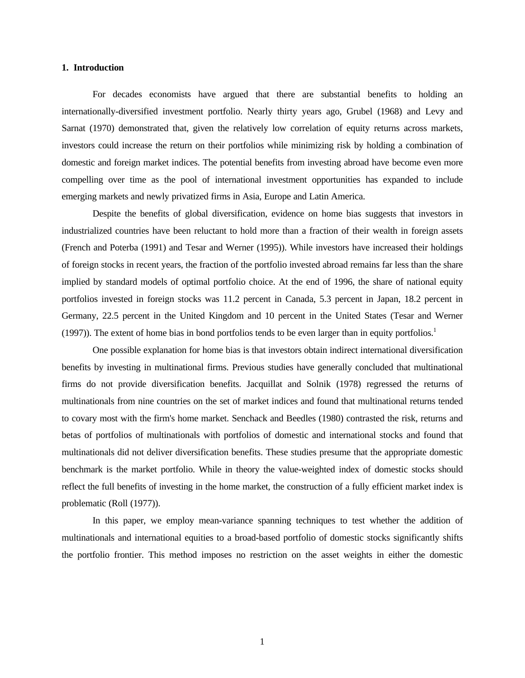#### **1. Introduction**

For decades economists have argued that there are substantial benefits to holding an internationally-diversified investment portfolio. Nearly thirty years ago, Grubel (1968) and Levy and Sarnat (1970) demonstrated that, given the relatively low correlation of equity returns across markets, investors could increase the return on their portfolios while minimizing risk by holding a combination of domestic and foreign market indices. The potential benefits from investing abroad have become even more compelling over time as the pool of international investment opportunities has expanded to include emerging markets and newly privatized firms in Asia, Europe and Latin America.

Despite the benefits of global diversification, evidence on home bias suggests that investors in industrialized countries have been reluctant to hold more than a fraction of their wealth in foreign assets (French and Poterba (1991) and Tesar and Werner (1995)). While investors have increased their holdings of foreign stocks in recent years, the fraction of the portfolio invested abroad remains far less than the share implied by standard models of optimal portfolio choice. At the end of 1996, the share of national equity portfolios invested in foreign stocks was 11.2 percent in Canada, 5.3 percent in Japan, 18.2 percent in Germany, 22.5 percent in the United Kingdom and 10 percent in the United States (Tesar and Werner (1997)). The extent of home bias in bond portfolios tends to be even larger than in equity portfolios.<sup>1</sup>

One possible explanation for home bias is that investors obtain indirect international diversification benefits by investing in multinational firms. Previous studies have generally concluded that multinational firms do not provide diversification benefits. Jacquillat and Solnik (1978) regressed the returns of multinationals from nine countries on the set of market indices and found that multinational returns tended to covary most with the firm's home market. Senchack and Beedles (1980) contrasted the risk, returns and betas of portfolios of multinationals with portfolios of domestic and international stocks and found that multinationals did not deliver diversification benefits. These studies presume that the appropriate domestic benchmark is the market portfolio. While in theory the value-weighted index of domestic stocks should reflect the full benefits of investing in the home market, the construction of a fully efficient market index is problematic (Roll (1977)).

In this paper, we employ mean-variance spanning techniques to test whether the addition of multinationals and international equities to a broad-based portfolio of domestic stocks significantly shifts the portfolio frontier. This method imposes no restriction on the asset weights in either the domestic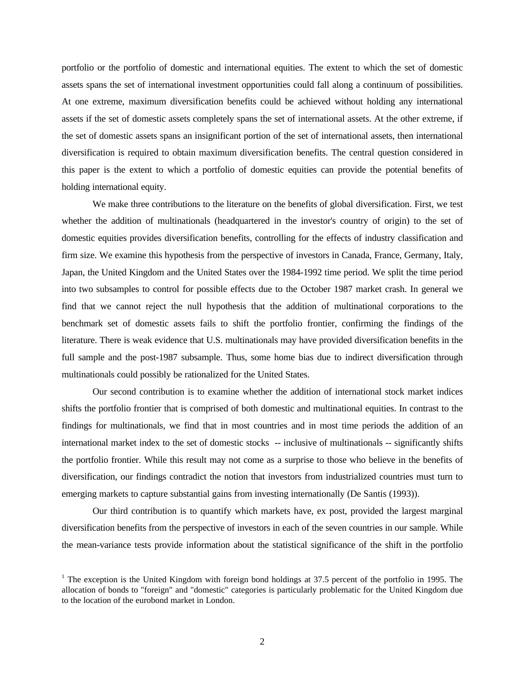portfolio or the portfolio of domestic and international equities. The extent to which the set of domestic assets spans the set of international investment opportunities could fall along a continuum of possibilities. At one extreme, maximum diversification benefits could be achieved without holding any international assets if the set of domestic assets completely spans the set of international assets. At the other extreme, if the set of domestic assets spans an insignificant portion of the set of international assets, then international diversification is required to obtain maximum diversification benefits. The central question considered in this paper is the extent to which a portfolio of domestic equities can provide the potential benefits of holding international equity.

We make three contributions to the literature on the benefits of global diversification. First, we test whether the addition of multinationals (headquartered in the investor's country of origin) to the set of domestic equities provides diversification benefits, controlling for the effects of industry classification and firm size. We examine this hypothesis from the perspective of investors in Canada, France, Germany, Italy, Japan, the United Kingdom and the United States over the 1984-1992 time period. We split the time period into two subsamples to control for possible effects due to the October 1987 market crash. In general we find that we cannot reject the null hypothesis that the addition of multinational corporations to the benchmark set of domestic assets fails to shift the portfolio frontier, confirming the findings of the literature. There is weak evidence that U.S. multinationals may have provided diversification benefits in the full sample and the post-1987 subsample. Thus, some home bias due to indirect diversification through multinationals could possibly be rationalized for the United States.

Our second contribution is to examine whether the addition of international stock market indices shifts the portfolio frontier that is comprised of both domestic and multinational equities. In contrast to the findings for multinationals, we find that in most countries and in most time periods the addition of an international market index to the set of domestic stocks -- inclusive of multinationals -- significantly shifts the portfolio frontier. While this result may not come as a surprise to those who believe in the benefits of diversification, our findings contradict the notion that investors from industrialized countries must turn to emerging markets to capture substantial gains from investing internationally (De Santis (1993)).

Our third contribution is to quantify which markets have, ex post, provided the largest marginal diversification benefits from the perspective of investors in each of the seven countries in our sample. While the mean-variance tests provide information about the statistical significance of the shift in the portfolio

<sup>&</sup>lt;sup>1</sup> The exception is the United Kingdom with foreign bond holdings at 37.5 percent of the portfolio in 1995. The allocation of bonds to "foreign" and "domestic" categories is particularly problematic for the United Kingdom due to the location of the eurobond market in London.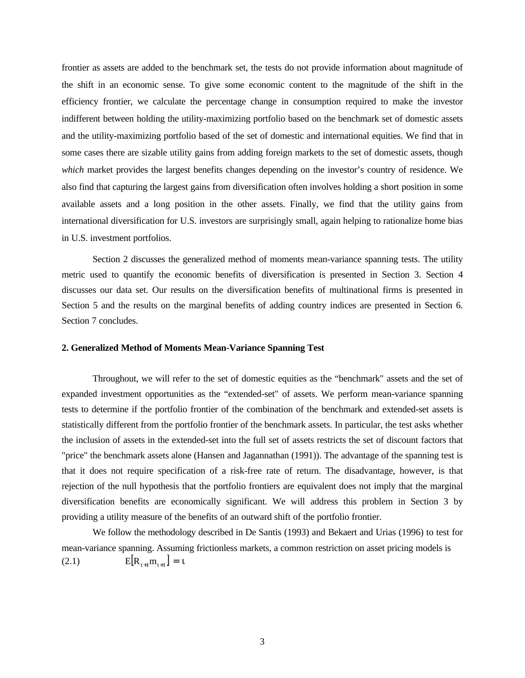frontier as assets are added to the benchmark set, the tests do not provide information about magnitude of the shift in an economic sense. To give some economic content to the magnitude of the shift in the efficiency frontier, we calculate the percentage change in consumption required to make the investor indifferent between holding the utility-maximizing portfolio based on the benchmark set of domestic assets and the utility-maximizing portfolio based of the set of domestic and international equities. We find that in some cases there are sizable utility gains from adding foreign markets to the set of domestic assets, though *which* market provides the largest benefits changes depending on the investor's country of residence. We also find that capturing the largest gains from diversification often involves holding a short position in some available assets and a long position in the other assets. Finally, we find that the utility gains from international diversification for U.S. investors are surprisingly small, again helping to rationalize home bias in U.S. investment portfolios.

Section 2 discusses the generalized method of moments mean-variance spanning tests. The utility metric used to quantify the economic benefits of diversification is presented in Section 3. Section 4 discusses our data set. Our results on the diversification benefits of multinational firms is presented in Section 5 and the results on the marginal benefits of adding country indices are presented in Section 6. Section 7 concludes.

### **2. Generalized Method of Moments Mean-Variance Spanning Test**

Throughout, we will refer to the set of domestic equities as the "benchmark" assets and the set of expanded investment opportunities as the "extended-set" of assets. We perform mean-variance spanning tests to determine if the portfolio frontier of the combination of the benchmark and extended-set assets is statistically different from the portfolio frontier of the benchmark assets. In particular, the test asks whether the inclusion of assets in the extended-set into the full set of assets restricts the set of discount factors that "price" the benchmark assets alone (Hansen and Jagannathan (1991)). The advantage of the spanning test is that it does not require specification of a risk-free rate of return. The disadvantage, however, is that rejection of the null hypothesis that the portfolio frontiers are equivalent does not imply that the marginal diversification benefits are economically significant. We will address this problem in Section 3 by providing a utility measure of the benefits of an outward shift of the portfolio frontier.

We follow the methodology described in De Santis (1993) and Bekaert and Urias (1996) to test for mean-variance spanning. Assuming frictionless markets, a common restriction on asset pricing models is (2.1)  $E[R_{t+1}m_{t+1}] = 1$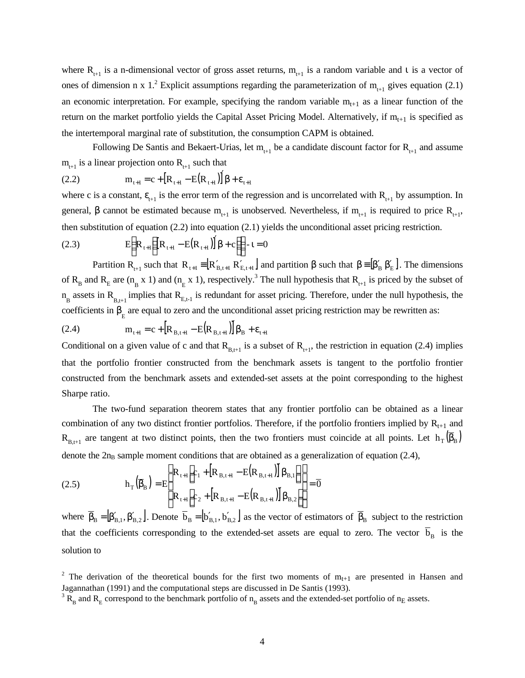where  $R_{t+1}$  is a n-dimensional vector of gross asset returns,  $m_{t+1}$  is a random variable and *i* is a vector of ones of dimension n x 1.<sup>2</sup> Explicit assumptions regarding the parameterization of  $m_{t+1}$  gives equation (2.1) an economic interpretation. For example, specifying the random variable  $m_{t+1}$  as a linear function of the return on the market portfolio yields the Capital Asset Pricing Model. Alternatively, if  $m_{t+1}$  is specified as the intertemporal marginal rate of substitution, the consumption CAPM is obtained.

Following De Santis and Bekaert-Urias, let  $m_{t+1}$  be a candidate discount factor for  $R_{t+1}$  and assume  $m_{t+1}$  is a linear projection onto  $R_{t+1}$  such that

(2.2) 
$$
m_{t+1} = c + [R_{t+1} - E(R_{t+1})] \beta + \varepsilon_{t+1}
$$

where c is a constant,  $\varepsilon_{t+1}$  is the error term of the regression and is uncorrelated with  $R_{t+1}$  by assumption. In general,  $\beta$  cannot be estimated because  $m_{t+1}$  is unobserved. Nevertheless, if  $m_{t+1}$  is required to price  $R_{t+1}$ , then substitution of equation (2.2) into equation (2.1) yields the unconditional asset pricing restriction.

(2.3) 
$$
E\bigg\{R_{t+1}\bigg([R_{t+1}-E(R_{t+1})]\bigg\}\beta+c\bigg)\bigg\} - t = 0
$$

Partition  $R_{t+1}$  such that  $R_{t+1} = [R'_{B,t+1} R'_{E,t+1}]$  and partition  $\beta$  such that  $\beta = [\beta'_{B} \beta'_{E}]$ . The dimensions of  $R_B$  and  $R_E$  are  $(n_B \times 1)$  and  $(n_E \times 1)$ , respectively.<sup>3</sup> The null hypothesis that  $R_{t+1}$  is priced by the subset of  $n_{B}$  assets in  $R_{B,t+1}$  implies that  $R_{E,t-1}$  is redundant for asset pricing. Therefore, under the null hypothesis, the coefficients in  $\beta_{E}$  are equal to zero and the unconditional asset pricing restriction may be rewritten as:

(2.4) 
$$
m_{t+1} = c + [R_{B,t+1} - E(R_{B,t+1})] \beta_B + \varepsilon_{t+1}
$$

Conditional on a given value of c and that  $R_{B,t+1}$  is a subset of  $R_{t+1}$ , the restriction in equation (2.4) implies that the portfolio frontier constructed from the benchmark assets is tangent to the portfolio frontier constructed from the benchmark assets and extended-set assets at the point corresponding to the highest Sharpe ratio.

The two-fund separation theorem states that any frontier portfolio can be obtained as a linear combination of any two distinct frontier portfolios. Therefore, if the portfolio frontiers implied by  $R_{t+1}$  and  $R_{B,t+1}$  are tangent at two distinct points, then the two frontiers must coincide at all points. Let  $h_T(\beta_B)$ denote the  $2n_B$  sample moment conditions that are obtained as a generalization of equation (2.4),

(2.5) 
$$
h_{T}(\overline{\beta}_{B}) = E \left\{ R_{t+1} \left[ c_{1} + [R_{B,t+1} - E(R_{B,t+1})] \beta_{B,1} \right] \right\} = \overline{0}
$$

where  $\overline{\beta}_{B} = [\beta'_{B,1}, \beta'_{B,2}]$ . Denote  $\overline{b}_{B} = [b'_{B,1}, b'_{B,2}]$  as the vector of estimators of  $\overline{\beta}_{B}$  subject to the restriction that the coefficients corresponding to the extended-set assets are equal to zero. The vector  $b_B$  is the solution to

<sup>&</sup>lt;sup>2</sup> The derivation of the theoretical bounds for the first two moments of  $m_{t+1}$  are presented in Hansen and Jagannathan (1991) and the computational steps are discussed in De Santis (1993).

<sup>&</sup>lt;sup>3</sup>  $R_B$  and  $R_E$  correspond to the benchmark portfolio of  $n_B$  assets and the extended-set portfolio of  $n_E$  assets.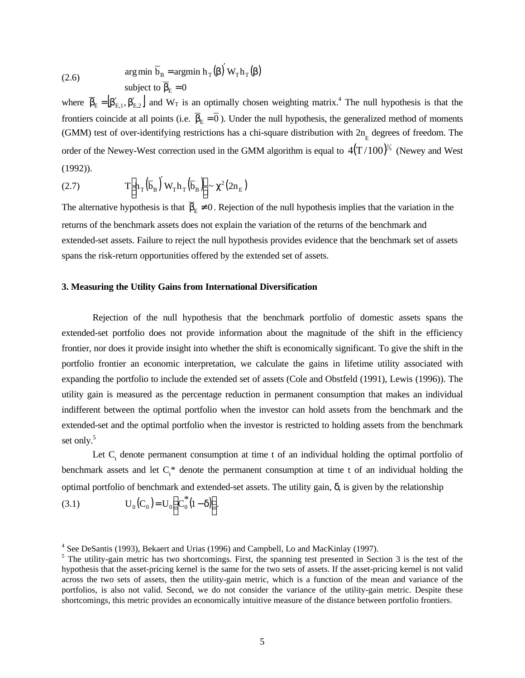(2.6)  $\arg \min \overline{b}_B = \arg \min h_T(\beta)^\prime W_T h_T(\beta)$ subject to  $\beta_{\rm E} = 0$ 

where  $\bar{\beta}_E = [\beta'_{E,1}, \beta'_{E,2}]$  and  $W_T$  is an optimally chosen weighting matrix.<sup>4</sup> The null hypothesis is that the frontiers coincide at all points (i.e.  $\overline{\beta}_E = \overline{0}$ ). Under the null hypothesis, the generalized method of moments (GMM) test of over-identifying restrictions has a chi-square distribution with  $2n_E^2$  degrees of freedom. The order of the Newey-West correction used in the GMM algorithm is equal to  $4(T/100)^{\frac{2}{3}}$  (Newey and West (1992)).

(2.7) 
$$
T\left[h_{T}(\overline{b}_{B})^{'}W_{T}h_{T}(\overline{b}_{B})\right] \sim \chi^{2}(2n_{E})
$$

The alternative hypothesis is that  $\overline{\beta}_E \neq 0$ . Rejection of the null hypothesis implies that the variation in the returns of the benchmark assets does not explain the variation of the returns of the benchmark and extended-set assets. Failure to reject the null hypothesis provides evidence that the benchmark set of assets spans the risk-return opportunities offered by the extended set of assets.

### **3. Measuring the Utility Gains from International Diversification**

Rejection of the null hypothesis that the benchmark portfolio of domestic assets spans the extended-set portfolio does not provide information about the magnitude of the shift in the efficiency frontier, nor does it provide insight into whether the shift is economically significant. To give the shift in the portfolio frontier an economic interpretation, we calculate the gains in lifetime utility associated with expanding the portfolio to include the extended set of assets (Cole and Obstfeld (1991), Lewis (1996)). The utility gain is measured as the percentage reduction in permanent consumption that makes an individual indifferent between the optimal portfolio when the investor can hold assets from the benchmark and the extended-set and the optimal portfolio when the investor is restricted to holding assets from the benchmark set only.<sup>5</sup>

Let  $C<sub>t</sub>$  denote permanent consumption at time t of an individual holding the optimal portfolio of benchmark assets and let  $C_t^*$  denote the permanent consumption at time t of an individual holding the optimal portfolio of benchmark and extended-set assets. The utility gain,  $\delta$ , is given by the relationship

(3.1) 
$$
U_0(C_0) = U_0 \left( C_0^*(1 - \delta) \right).
$$

<sup>&</sup>lt;sup>4</sup> See DeSantis (1993), Bekaert and Urias (1996) and Campbell, Lo and MacKinlay (1997).

<sup>&</sup>lt;sup>5</sup> The utility-gain metric has two shortcomings. First, the spanning test presented in Section 3 is the test of the hypothesis that the asset-pricing kernel is the same for the two sets of assets. If the asset-pricing kernel is not valid across the two sets of assets, then the utility-gain metric, which is a function of the mean and variance of the portfolios, is also not valid. Second, we do not consider the variance of the utility-gain metric. Despite these shortcomings, this metric provides an economically intuitive measure of the distance between portfolio frontiers.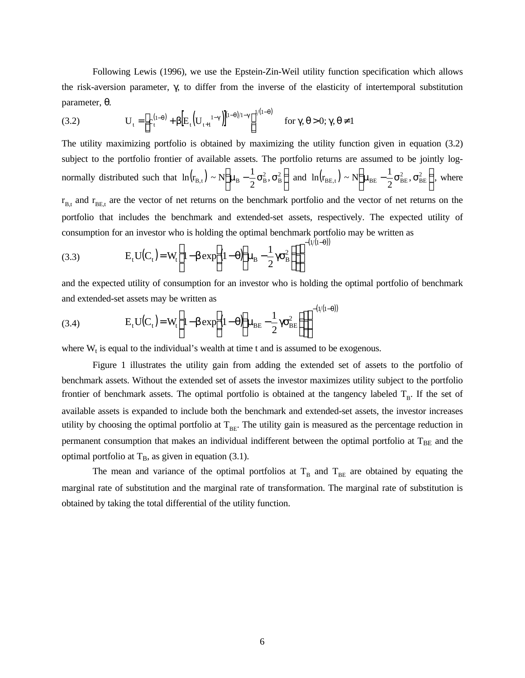Following Lewis (1996), we use the Epstein-Zin-Weil utility function specification which allows the risk-aversion parameter, γ, to differ from the inverse of the elasticity of intertemporal substitution parameter, θ.

(3.2) 
$$
U_t = \left[ c_t^{(1-\theta)} + \beta \left[ E_t \left( U_{t+1}^{1-\gamma} \right) \right]^{(1-\theta)/1-\gamma} \right]^{1/(1-\theta)} \quad \text{for } \gamma, \theta > 0; \gamma, \theta \neq 1
$$

The utility maximizing portfolio is obtained by maximizing the utility function given in equation (3.2) subject to the portfolio frontier of available assets. The portfolio returns are assumed to be jointly lognormally distributed such that  $\ln(r_{B,t}) \sim N |\mu_B - \frac{1}{2}\sigma_B^2$ ,  $\sigma_B^2$  $\overline{1}$  $\left(\mu_{\rm B} - \frac{1}{2}\sigma_{\rm B}^2, \sigma_{\rm B}^2\right)$ l  $\mu_{B,t}$ ) ~ N $\left(\mu_{B} - \frac{1}{2}\sigma_{B}^{2}, \sigma_{B}^{2}\right)$ 2  $\ln(r_{\rm B,t}) \sim N \left(\mu_{\rm B} - \frac{1}{2}\sigma_{\rm B}^2, \sigma_{\rm B}^2\right)$  and  $\ln(r_{\rm BEx}) \sim N \left(\mu_{\rm BE} - \frac{1}{2}\sigma_{\rm BE}^2, \sigma_{\rm BE}^2\right)$  $\bigg)$  $\left(\mu_{BE} - \frac{1}{2}\sigma_{BE}^2, \sigma_{BE}^2\right)$ l  $\mathbf{E}_{\text{BE},t}$ ) ~  $N\left(\mu_{\text{BE}} - \frac{1}{2}\sigma_{\text{BE}}^2, \sigma_{\text{BE}}^2\right)$  $\ln(r_{\text{B}_{\text{E},t}}) \sim N\left(\mu_{\text{B}_{\text{E}}}-\frac{1}{2}\sigma_{\text{B}_{\text{E}}}^2, \sigma_{\text{B}_{\text{E}}}^2\right)$ , where

 $r_{B,t}$  and  $r_{BE,t}$  are the vector of net returns on the benchmark portfolio and the vector of net returns on the portfolio that includes the benchmark and extended-set assets, respectively. The expected utility of consumption for an investor who is holding the optimal benchmark portfolio may be written as

(3.3) 
$$
E_t U(C_t) = W_t \left\{ 1 - \beta \exp \left[ \left( 1 - \theta \right) \left( \mu_B - \frac{1}{2} \gamma \sigma_B^2 \right) \right] \right\}^{-(1/(1-\theta))}
$$

and the expected utility of consumption for an investor who is holding the optimal portfolio of benchmark and extended-set assets may be written as

(3.4) 
$$
E_t U(C_t) = W_t \left\{ 1 - \beta \exp \left[ (1 - \theta) \left( \mu_{BE} - \frac{1}{2} \gamma \sigma_{BE}^2 \right) \right] \right\}^{-(1/(1-\theta))}
$$

where  $W_t$  is equal to the individual's wealth at time t and is assumed to be exogenous.

Figure 1 illustrates the utility gain from adding the extended set of assets to the portfolio of benchmark assets. Without the extended set of assets the investor maximizes utility subject to the portfolio frontier of benchmark assets. The optimal portfolio is obtained at the tangency labeled  $T_B$ . If the set of available assets is expanded to include both the benchmark and extended-set assets, the investor increases utility by choosing the optimal portfolio at  $T_{BE}$ . The utility gain is measured as the percentage reduction in permanent consumption that makes an individual indifferent between the optimal portfolio at  $T_{BE}$  and the optimal portfolio at  $T_B$ , as given in equation (3.1).

The mean and variance of the optimal portfolios at  $T_B$  and  $T_{BE}$  are obtained by equating the marginal rate of substitution and the marginal rate of transformation. The marginal rate of substitution is obtained by taking the total differential of the utility function.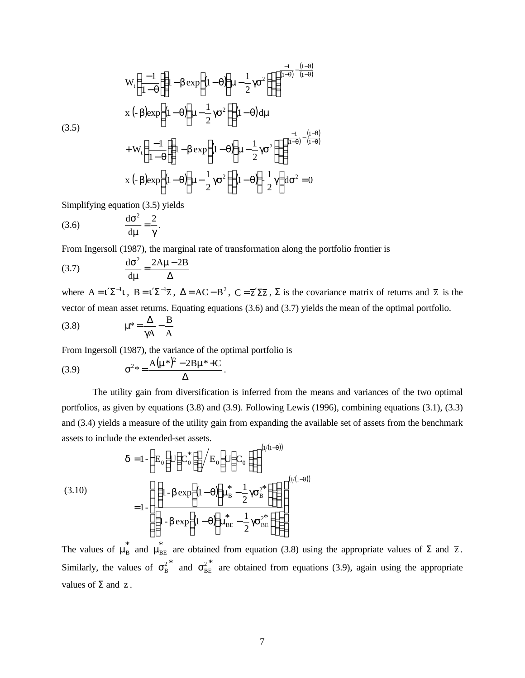$$
W_{t}\left(\frac{-1}{1-\theta}\left(1-\beta \exp\left[(1-\theta)\left(\mu-\frac{1}{2}\gamma\sigma^{2}\right)\right]\right)^{\frac{-1}{(1-\theta)}-\frac{(1-\theta)}{(1-\theta)}}
$$
\n
$$
x(-\beta)exp\left[(1-\theta)\left(\mu-\frac{1}{2}\gamma\sigma^{2}\right)\right](1-\theta)d\mu + W_{t}\left(\frac{-1}{1-\theta}\left(1-\beta \exp\left[(1-\theta)\left(\mu-\frac{1}{2}\gamma\sigma^{2}\right)\right]\right)^{\frac{-1}{(1-\theta)}-\frac{(1-\theta)}{(1-\theta)}}
$$
\n
$$
x(-\beta)exp\left[(1-\theta)\left(\mu-\frac{1}{2}\gamma\sigma^{2}\right)\right](1-\theta)\left(-\frac{1}{2}\gamma\right)d\sigma^{2} = 0
$$

Simplifying equation (3.5) yields

$$
(3.6) \qquad \qquad \frac{\mathrm{d}\sigma^2}{\mathrm{d}\mu} = \frac{2}{\gamma}.
$$

From Ingersoll (1987), the marginal rate of transformation along the portfolio frontier is

$$
(3.7) \qquad \qquad \frac{\text{d}\sigma^2}{\text{d}\mu} = \frac{2\text{A}\mu - 2\text{B}}{\Delta}
$$

where  $A = i'\Sigma^{-1}i$ ,  $B = i'\Sigma^{-1}\overline{z}$ ,  $\Delta = AC - B^2$ ,  $C = \overline{z}'\Sigma \overline{z}$ ,  $\Sigma$  is the covariance matrix of returns and  $\overline{z}$  is the vector of mean asset returns. Equating equations (3.6) and (3.7) yields the mean of the optimal portfolio. (3.8) A B A  $\frac{1}{2}$  =  $\frac{1}{2}$  γ  $\mu^* = \frac{\Delta}{\sigma}$ 

From Ingersoll (1987), the variance of the optimal portfolio is

(3.9) 
$$
\sigma^{2*} = \frac{A(\mu^{*})^2 - 2B\mu^{*} + C}{\Delta}.
$$

The utility gain from diversification is inferred from the means and variances of the two optimal portfolios, as given by equations (3.8) and (3.9). Following Lewis (1996), combining equations (3.1), (3.3) and (3.4) yields a measure of the utility gain from expanding the available set of assets from the benchmark assets to include the extended-set assets.

(3.10)  
\n
$$
\delta = 1 - \left\{ E_0 \left[ U \left( C_0^* \right) \right] \middle/ E_0 \left[ U \left( C_0 \right) \right] \right\}^{(1/(1-\theta))}
$$
\n
$$
= 1 - \left\{ \left[ 1 - \beta \exp \left[ (1 - \theta) \left( \mu_B^* - \frac{1}{2} \gamma \sigma_B^{2*} \right) \right] \right] \right\}^{(1/(1-\theta))}
$$
\n
$$
= 1 - \left\{ \left[ 1 - \beta \exp \left[ (1 - \theta) \left( \mu_{BE}^* - \frac{1}{2} \gamma \sigma_{BE}^{2*} \right) \right] \right] \right\}
$$

The values of  $\mu_B^*$  and  $\mu_{BE}^*$  are obtained from equation (3.8) using the appropriate values of  $\Sigma$  and  $\overline{z}$ . Similarly, the values of  $\sigma_B^2$ <sup>\*</sup> and  $\sigma_{BE}^2$  are obtained from equations (3.9), again using the appropriate values of  $\Sigma$  and  $\overline{z}$ .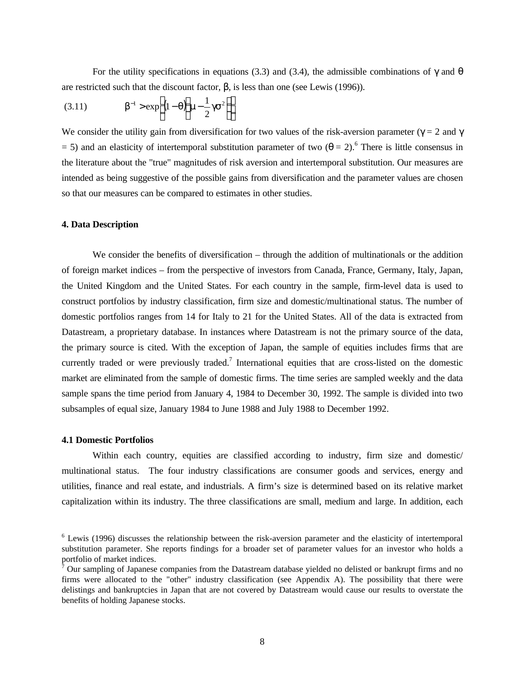For the utility specifications in equations (3.3) and (3.4), the admissible combinations of  $\gamma$  and  $\theta$ are restricted such that the discount factor, β, is less than one (see Lewis (1996)).

(3.11) 
$$
\beta^{-1} > \exp\left[ \left( 1 - \theta \right) \left( \mu - \frac{1}{2} \gamma \sigma^2 \right) \right]
$$

We consider the utility gain from diversification for two values of the risk-aversion parameter ( $\gamma = 2$  and  $\gamma$ ) = 5) and an elasticity of intertemporal substitution parameter of two  $(θ = 2)$ .<sup>6</sup> There is little consensus in the literature about the "true" magnitudes of risk aversion and intertemporal substitution. Our measures are intended as being suggestive of the possible gains from diversification and the parameter values are chosen so that our measures can be compared to estimates in other studies.

### **4. Data Description**

We consider the benefits of diversification – through the addition of multinationals or the addition of foreign market indices – from the perspective of investors from Canada, France, Germany, Italy, Japan, the United Kingdom and the United States. For each country in the sample, firm-level data is used to construct portfolios by industry classification, firm size and domestic/multinational status. The number of domestic portfolios ranges from 14 for Italy to 21 for the United States. All of the data is extracted from Datastream, a proprietary database. In instances where Datastream is not the primary source of the data, the primary source is cited. With the exception of Japan, the sample of equities includes firms that are currently traded or were previously traded.<sup>7</sup> International equities that are cross-listed on the domestic market are eliminated from the sample of domestic firms. The time series are sampled weekly and the data sample spans the time period from January 4, 1984 to December 30, 1992. The sample is divided into two subsamples of equal size, January 1984 to June 1988 and July 1988 to December 1992.

### **4.1 Domestic Portfolios**

Within each country, equities are classified according to industry, firm size and domestic/ multinational status. The four industry classifications are consumer goods and services, energy and utilities, finance and real estate, and industrials. A firm's size is determined based on its relative market capitalization within its industry. The three classifications are small, medium and large. In addition, each

<sup>&</sup>lt;sup>6</sup> Lewis (1996) discusses the relationship between the risk-aversion parameter and the elasticity of intertemporal substitution parameter. She reports findings for a broader set of parameter values for an investor who holds a portfolio of market indices.

<sup>&</sup>lt;sup>7</sup> Our sampling of Japanese companies from the Datastream database yielded no delisted or bankrupt firms and no firms were allocated to the "other" industry classification (see Appendix A). The possibility that there were delistings and bankruptcies in Japan that are not covered by Datastream would cause our results to overstate the benefits of holding Japanese stocks.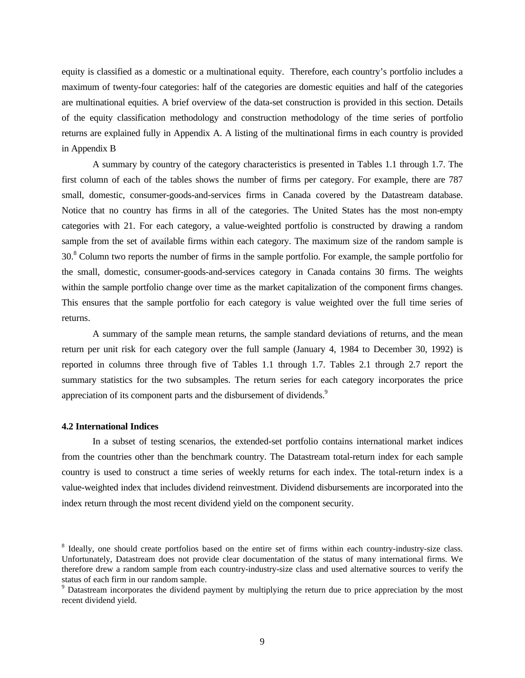equity is classified as a domestic or a multinational equity. Therefore, each country's portfolio includes a maximum of twenty-four categories: half of the categories are domestic equities and half of the categories are multinational equities. A brief overview of the data-set construction is provided in this section. Details of the equity classification methodology and construction methodology of the time series of portfolio returns are explained fully in Appendix A. A listing of the multinational firms in each country is provided in Appendix B

A summary by country of the category characteristics is presented in Tables 1.1 through 1.7. The first column of each of the tables shows the number of firms per category. For example, there are 787 small, domestic, consumer-goods-and-services firms in Canada covered by the Datastream database. Notice that no country has firms in all of the categories. The United States has the most non-empty categories with 21. For each category, a value-weighted portfolio is constructed by drawing a random sample from the set of available firms within each category. The maximum size of the random sample is 30.<sup>8</sup> Column two reports the number of firms in the sample portfolio. For example, the sample portfolio for the small, domestic, consumer-goods-and-services category in Canada contains 30 firms. The weights within the sample portfolio change over time as the market capitalization of the component firms changes. This ensures that the sample portfolio for each category is value weighted over the full time series of returns.

A summary of the sample mean returns, the sample standard deviations of returns, and the mean return per unit risk for each category over the full sample (January 4, 1984 to December 30, 1992) is reported in columns three through five of Tables 1.1 through 1.7. Tables 2.1 through 2.7 report the summary statistics for the two subsamples. The return series for each category incorporates the price appreciation of its component parts and the disbursement of dividends.<sup>9</sup>

#### **4.2 International Indices**

In a subset of testing scenarios, the extended-set portfolio contains international market indices from the countries other than the benchmark country. The Datastream total-return index for each sample country is used to construct a time series of weekly returns for each index. The total-return index is a value-weighted index that includes dividend reinvestment. Dividend disbursements are incorporated into the index return through the most recent dividend yield on the component security.

<sup>&</sup>lt;sup>8</sup> Ideally, one should create portfolios based on the entire set of firms within each country-industry-size class. Unfortunately, Datastream does not provide clear documentation of the status of many international firms. We therefore drew a random sample from each country-industry-size class and used alternative sources to verify the status of each firm in our random sample.

<sup>&</sup>lt;sup>9</sup> Datastream incorporates the dividend payment by multiplying the return due to price appreciation by the most recent dividend yield.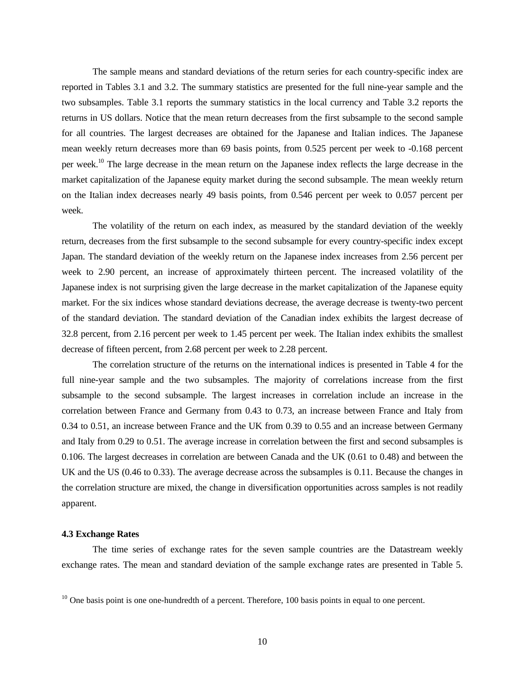The sample means and standard deviations of the return series for each country-specific index are reported in Tables 3.1 and 3.2. The summary statistics are presented for the full nine-year sample and the two subsamples. Table 3.1 reports the summary statistics in the local currency and Table 3.2 reports the returns in US dollars. Notice that the mean return decreases from the first subsample to the second sample for all countries. The largest decreases are obtained for the Japanese and Italian indices. The Japanese mean weekly return decreases more than 69 basis points, from 0.525 percent per week to -0.168 percent per week.<sup>10</sup> The large decrease in the mean return on the Japanese index reflects the large decrease in the market capitalization of the Japanese equity market during the second subsample. The mean weekly return on the Italian index decreases nearly 49 basis points, from 0.546 percent per week to 0.057 percent per week.

The volatility of the return on each index, as measured by the standard deviation of the weekly return, decreases from the first subsample to the second subsample for every country-specific index except Japan. The standard deviation of the weekly return on the Japanese index increases from 2.56 percent per week to 2.90 percent, an increase of approximately thirteen percent. The increased volatility of the Japanese index is not surprising given the large decrease in the market capitalization of the Japanese equity market. For the six indices whose standard deviations decrease, the average decrease is twenty-two percent of the standard deviation. The standard deviation of the Canadian index exhibits the largest decrease of 32.8 percent, from 2.16 percent per week to 1.45 percent per week. The Italian index exhibits the smallest decrease of fifteen percent, from 2.68 percent per week to 2.28 percent.

The correlation structure of the returns on the international indices is presented in Table 4 for the full nine-year sample and the two subsamples. The majority of correlations increase from the first subsample to the second subsample. The largest increases in correlation include an increase in the correlation between France and Germany from 0.43 to 0.73, an increase between France and Italy from 0.34 to 0.51, an increase between France and the UK from 0.39 to 0.55 and an increase between Germany and Italy from 0.29 to 0.51. The average increase in correlation between the first and second subsamples is 0.106. The largest decreases in correlation are between Canada and the UK (0.61 to 0.48) and between the UK and the US (0.46 to 0.33). The average decrease across the subsamples is 0.11. Because the changes in the correlation structure are mixed, the change in diversification opportunities across samples is not readily apparent.

#### **4.3 Exchange Rates**

The time series of exchange rates for the seven sample countries are the Datastream weekly exchange rates. The mean and standard deviation of the sample exchange rates are presented in Table 5.

 $10$  One basis point is one one-hundredth of a percent. Therefore, 100 basis points in equal to one percent.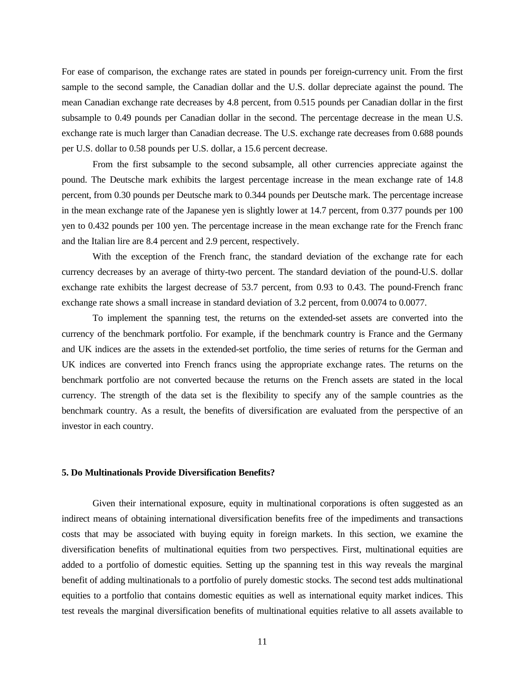For ease of comparison, the exchange rates are stated in pounds per foreign-currency unit. From the first sample to the second sample, the Canadian dollar and the U.S. dollar depreciate against the pound. The mean Canadian exchange rate decreases by 4.8 percent, from 0.515 pounds per Canadian dollar in the first subsample to 0.49 pounds per Canadian dollar in the second. The percentage decrease in the mean U.S. exchange rate is much larger than Canadian decrease. The U.S. exchange rate decreases from 0.688 pounds per U.S. dollar to 0.58 pounds per U.S. dollar, a 15.6 percent decrease.

From the first subsample to the second subsample, all other currencies appreciate against the pound. The Deutsche mark exhibits the largest percentage increase in the mean exchange rate of 14.8 percent, from 0.30 pounds per Deutsche mark to 0.344 pounds per Deutsche mark. The percentage increase in the mean exchange rate of the Japanese yen is slightly lower at 14.7 percent, from 0.377 pounds per 100 yen to 0.432 pounds per 100 yen. The percentage increase in the mean exchange rate for the French franc and the Italian lire are 8.4 percent and 2.9 percent, respectively.

With the exception of the French franc, the standard deviation of the exchange rate for each currency decreases by an average of thirty-two percent. The standard deviation of the pound-U.S. dollar exchange rate exhibits the largest decrease of 53.7 percent, from 0.93 to 0.43. The pound-French franc exchange rate shows a small increase in standard deviation of 3.2 percent, from 0.0074 to 0.0077.

To implement the spanning test, the returns on the extended-set assets are converted into the currency of the benchmark portfolio. For example, if the benchmark country is France and the Germany and UK indices are the assets in the extended-set portfolio, the time series of returns for the German and UK indices are converted into French francs using the appropriate exchange rates. The returns on the benchmark portfolio are not converted because the returns on the French assets are stated in the local currency. The strength of the data set is the flexibility to specify any of the sample countries as the benchmark country. As a result, the benefits of diversification are evaluated from the perspective of an investor in each country.

#### **5. Do Multinationals Provide Diversification Benefits?**

Given their international exposure, equity in multinational corporations is often suggested as an indirect means of obtaining international diversification benefits free of the impediments and transactions costs that may be associated with buying equity in foreign markets. In this section, we examine the diversification benefits of multinational equities from two perspectives. First, multinational equities are added to a portfolio of domestic equities. Setting up the spanning test in this way reveals the marginal benefit of adding multinationals to a portfolio of purely domestic stocks. The second test adds multinational equities to a portfolio that contains domestic equities as well as international equity market indices. This test reveals the marginal diversification benefits of multinational equities relative to all assets available to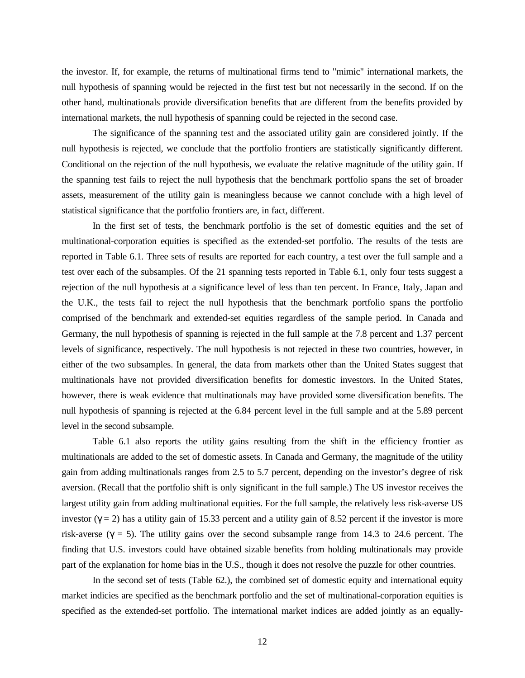the investor. If, for example, the returns of multinational firms tend to "mimic" international markets, the null hypothesis of spanning would be rejected in the first test but not necessarily in the second. If on the other hand, multinationals provide diversification benefits that are different from the benefits provided by international markets, the null hypothesis of spanning could be rejected in the second case.

The significance of the spanning test and the associated utility gain are considered jointly. If the null hypothesis is rejected, we conclude that the portfolio frontiers are statistically significantly different. Conditional on the rejection of the null hypothesis, we evaluate the relative magnitude of the utility gain. If the spanning test fails to reject the null hypothesis that the benchmark portfolio spans the set of broader assets, measurement of the utility gain is meaningless because we cannot conclude with a high level of statistical significance that the portfolio frontiers are, in fact, different.

In the first set of tests, the benchmark portfolio is the set of domestic equities and the set of multinational-corporation equities is specified as the extended-set portfolio. The results of the tests are reported in Table 6.1. Three sets of results are reported for each country, a test over the full sample and a test over each of the subsamples. Of the 21 spanning tests reported in Table 6.1, only four tests suggest a rejection of the null hypothesis at a significance level of less than ten percent. In France, Italy, Japan and the U.K., the tests fail to reject the null hypothesis that the benchmark portfolio spans the portfolio comprised of the benchmark and extended-set equities regardless of the sample period. In Canada and Germany, the null hypothesis of spanning is rejected in the full sample at the 7.8 percent and 1.37 percent levels of significance, respectively. The null hypothesis is not rejected in these two countries, however, in either of the two subsamples. In general, the data from markets other than the United States suggest that multinationals have not provided diversification benefits for domestic investors. In the United States, however, there is weak evidence that multinationals may have provided some diversification benefits. The null hypothesis of spanning is rejected at the 6.84 percent level in the full sample and at the 5.89 percent level in the second subsample.

Table 6.1 also reports the utility gains resulting from the shift in the efficiency frontier as multinationals are added to the set of domestic assets. In Canada and Germany, the magnitude of the utility gain from adding multinationals ranges from 2.5 to 5.7 percent, depending on the investor's degree of risk aversion. (Recall that the portfolio shift is only significant in the full sample.) The US investor receives the largest utility gain from adding multinational equities. For the full sample, the relatively less risk-averse US investor ( $\gamma$  = 2) has a utility gain of 15.33 percent and a utility gain of 8.52 percent if the investor is more risk-averse ( $\gamma$  = 5). The utility gains over the second subsample range from 14.3 to 24.6 percent. The finding that U.S. investors could have obtained sizable benefits from holding multinationals may provide part of the explanation for home bias in the U.S., though it does not resolve the puzzle for other countries.

In the second set of tests (Table 62.), the combined set of domestic equity and international equity market indicies are specified as the benchmark portfolio and the set of multinational-corporation equities is specified as the extended-set portfolio. The international market indices are added jointly as an equally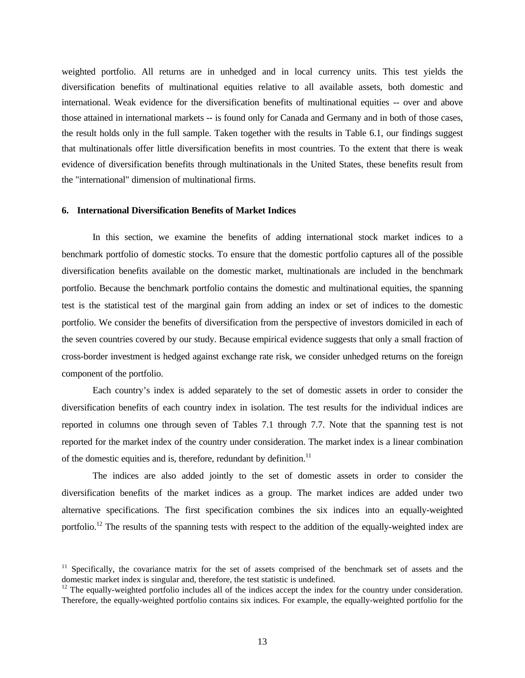weighted portfolio. All returns are in unhedged and in local currency units. This test yields the diversification benefits of multinational equities relative to all available assets, both domestic and international. Weak evidence for the diversification benefits of multinational equities -- over and above those attained in international markets -- is found only for Canada and Germany and in both of those cases, the result holds only in the full sample. Taken together with the results in Table 6.1, our findings suggest that multinationals offer little diversification benefits in most countries. To the extent that there is weak evidence of diversification benefits through multinationals in the United States, these benefits result from the "international" dimension of multinational firms.

#### **6. International Diversification Benefits of Market Indices**

In this section, we examine the benefits of adding international stock market indices to a benchmark portfolio of domestic stocks. To ensure that the domestic portfolio captures all of the possible diversification benefits available on the domestic market, multinationals are included in the benchmark portfolio. Because the benchmark portfolio contains the domestic and multinational equities, the spanning test is the statistical test of the marginal gain from adding an index or set of indices to the domestic portfolio. We consider the benefits of diversification from the perspective of investors domiciled in each of the seven countries covered by our study. Because empirical evidence suggests that only a small fraction of cross-border investment is hedged against exchange rate risk, we consider unhedged returns on the foreign component of the portfolio.

Each country's index is added separately to the set of domestic assets in order to consider the diversification benefits of each country index in isolation. The test results for the individual indices are reported in columns one through seven of Tables 7.1 through 7.7. Note that the spanning test is not reported for the market index of the country under consideration. The market index is a linear combination of the domestic equities and is, therefore, redundant by definition.<sup>11</sup>

The indices are also added jointly to the set of domestic assets in order to consider the diversification benefits of the market indices as a group. The market indices are added under two alternative specifications. The first specification combines the six indices into an equally-weighted portfolio.<sup>12</sup> The results of the spanning tests with respect to the addition of the equally-weighted index are

<sup>&</sup>lt;sup>11</sup> Specifically, the covariance matrix for the set of assets comprised of the benchmark set of assets and the domestic market index is singular and, therefore, the test statistic is undefined.

 $12$  The equally-weighted portfolio includes all of the indices accept the index for the country under consideration. Therefore, the equally-weighted portfolio contains six indices. For example, the equally-weighted portfolio for the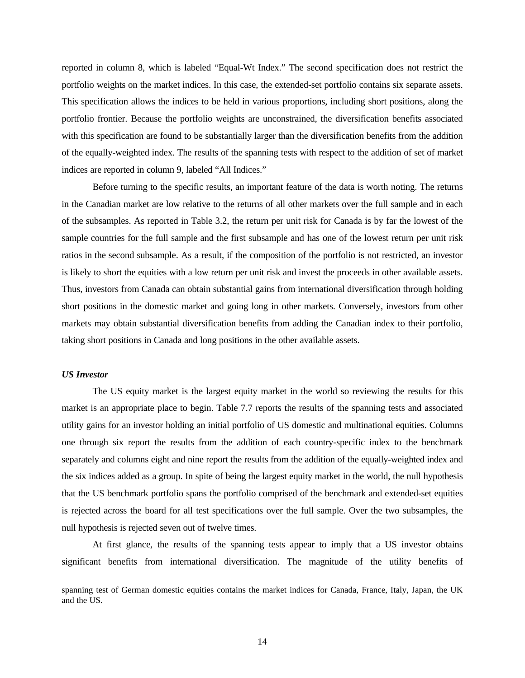reported in column 8, which is labeled "Equal-Wt Index." The second specification does not restrict the portfolio weights on the market indices. In this case, the extended-set portfolio contains six separate assets. This specification allows the indices to be held in various proportions, including short positions, along the portfolio frontier. Because the portfolio weights are unconstrained, the diversification benefits associated with this specification are found to be substantially larger than the diversification benefits from the addition of the equally-weighted index. The results of the spanning tests with respect to the addition of set of market indices are reported in column 9, labeled "All Indices."

Before turning to the specific results, an important feature of the data is worth noting. The returns in the Canadian market are low relative to the returns of all other markets over the full sample and in each of the subsamples. As reported in Table 3.2, the return per unit risk for Canada is by far the lowest of the sample countries for the full sample and the first subsample and has one of the lowest return per unit risk ratios in the second subsample. As a result, if the composition of the portfolio is not restricted, an investor is likely to short the equities with a low return per unit risk and invest the proceeds in other available assets. Thus, investors from Canada can obtain substantial gains from international diversification through holding short positions in the domestic market and going long in other markets. Conversely, investors from other markets may obtain substantial diversification benefits from adding the Canadian index to their portfolio, taking short positions in Canada and long positions in the other available assets.

### *US Investor*

The US equity market is the largest equity market in the world so reviewing the results for this market is an appropriate place to begin. Table 7.7 reports the results of the spanning tests and associated utility gains for an investor holding an initial portfolio of US domestic and multinational equities. Columns one through six report the results from the addition of each country-specific index to the benchmark separately and columns eight and nine report the results from the addition of the equally-weighted index and the six indices added as a group. In spite of being the largest equity market in the world, the null hypothesis that the US benchmark portfolio spans the portfolio comprised of the benchmark and extended-set equities is rejected across the board for all test specifications over the full sample. Over the two subsamples, the null hypothesis is rejected seven out of twelve times.

At first glance, the results of the spanning tests appear to imply that a US investor obtains significant benefits from international diversification. The magnitude of the utility benefits of

spanning test of German domestic equities contains the market indices for Canada, France, Italy, Japan, the UK and the US.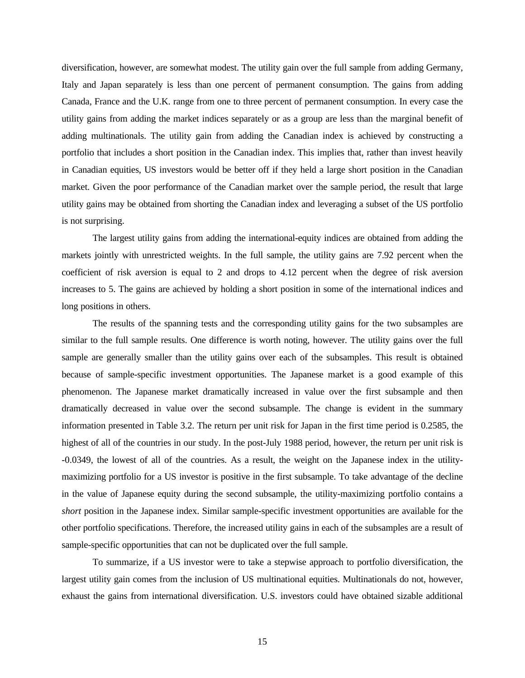diversification, however, are somewhat modest. The utility gain over the full sample from adding Germany, Italy and Japan separately is less than one percent of permanent consumption. The gains from adding Canada, France and the U.K. range from one to three percent of permanent consumption. In every case the utility gains from adding the market indices separately or as a group are less than the marginal benefit of adding multinationals. The utility gain from adding the Canadian index is achieved by constructing a portfolio that includes a short position in the Canadian index. This implies that, rather than invest heavily in Canadian equities, US investors would be better off if they held a large short position in the Canadian market. Given the poor performance of the Canadian market over the sample period, the result that large utility gains may be obtained from shorting the Canadian index and leveraging a subset of the US portfolio is not surprising.

The largest utility gains from adding the international-equity indices are obtained from adding the markets jointly with unrestricted weights. In the full sample, the utility gains are 7.92 percent when the coefficient of risk aversion is equal to 2 and drops to 4.12 percent when the degree of risk aversion increases to 5. The gains are achieved by holding a short position in some of the international indices and long positions in others.

The results of the spanning tests and the corresponding utility gains for the two subsamples are similar to the full sample results. One difference is worth noting, however. The utility gains over the full sample are generally smaller than the utility gains over each of the subsamples. This result is obtained because of sample-specific investment opportunities. The Japanese market is a good example of this phenomenon. The Japanese market dramatically increased in value over the first subsample and then dramatically decreased in value over the second subsample. The change is evident in the summary information presented in Table 3.2. The return per unit risk for Japan in the first time period is 0.2585, the highest of all of the countries in our study. In the post-July 1988 period, however, the return per unit risk is -0.0349, the lowest of all of the countries. As a result, the weight on the Japanese index in the utilitymaximizing portfolio for a US investor is positive in the first subsample. To take advantage of the decline in the value of Japanese equity during the second subsample, the utility-maximizing portfolio contains a *short* position in the Japanese index. Similar sample-specific investment opportunities are available for the other portfolio specifications. Therefore, the increased utility gains in each of the subsamples are a result of sample-specific opportunities that can not be duplicated over the full sample.

To summarize, if a US investor were to take a stepwise approach to portfolio diversification, the largest utility gain comes from the inclusion of US multinational equities. Multinationals do not, however, exhaust the gains from international diversification. U.S. investors could have obtained sizable additional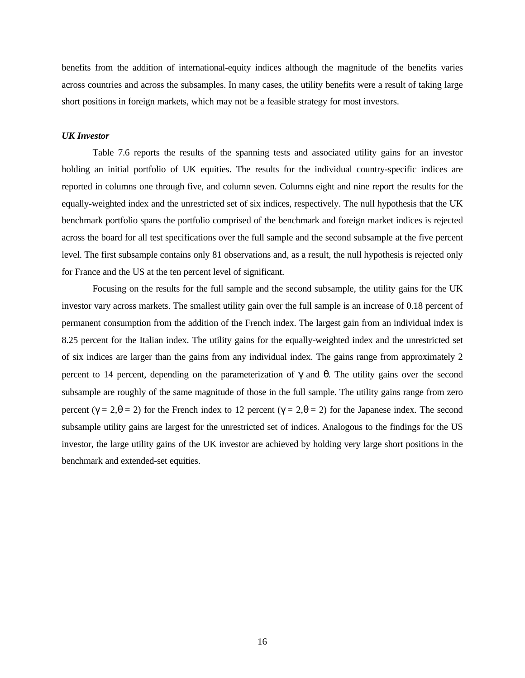benefits from the addition of international-equity indices although the magnitude of the benefits varies across countries and across the subsamples. In many cases, the utility benefits were a result of taking large short positions in foreign markets, which may not be a feasible strategy for most investors.

### *UK Investor*

Table 7.6 reports the results of the spanning tests and associated utility gains for an investor holding an initial portfolio of UK equities. The results for the individual country-specific indices are reported in columns one through five, and column seven. Columns eight and nine report the results for the equally-weighted index and the unrestricted set of six indices, respectively. The null hypothesis that the UK benchmark portfolio spans the portfolio comprised of the benchmark and foreign market indices is rejected across the board for all test specifications over the full sample and the second subsample at the five percent level. The first subsample contains only 81 observations and, as a result, the null hypothesis is rejected only for France and the US at the ten percent level of significant.

Focusing on the results for the full sample and the second subsample, the utility gains for the UK investor vary across markets. The smallest utility gain over the full sample is an increase of 0.18 percent of permanent consumption from the addition of the French index. The largest gain from an individual index is 8.25 percent for the Italian index. The utility gains for the equally-weighted index and the unrestricted set of six indices are larger than the gains from any individual index. The gains range from approximately 2 percent to 14 percent, depending on the parameterization of γ and θ. The utility gains over the second subsample are roughly of the same magnitude of those in the full sample. The utility gains range from zero percent (γ = 2,θ = 2) for the French index to 12 percent (γ = 2,θ = 2) for the Japanese index. The second subsample utility gains are largest for the unrestricted set of indices. Analogous to the findings for the US investor, the large utility gains of the UK investor are achieved by holding very large short positions in the benchmark and extended-set equities.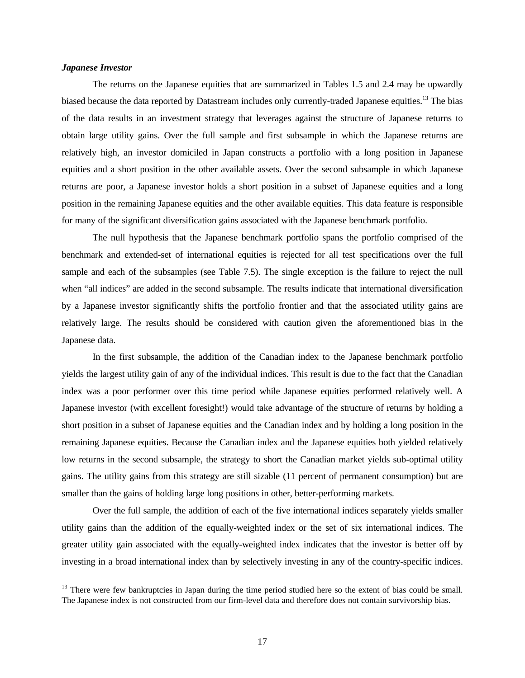### *Japanese Investor*

The returns on the Japanese equities that are summarized in Tables 1.5 and 2.4 may be upwardly biased because the data reported by Datastream includes only currently-traded Japanese equities.<sup>13</sup> The bias of the data results in an investment strategy that leverages against the structure of Japanese returns to obtain large utility gains. Over the full sample and first subsample in which the Japanese returns are relatively high, an investor domiciled in Japan constructs a portfolio with a long position in Japanese equities and a short position in the other available assets. Over the second subsample in which Japanese returns are poor, a Japanese investor holds a short position in a subset of Japanese equities and a long position in the remaining Japanese equities and the other available equities. This data feature is responsible for many of the significant diversification gains associated with the Japanese benchmark portfolio.

The null hypothesis that the Japanese benchmark portfolio spans the portfolio comprised of the benchmark and extended-set of international equities is rejected for all test specifications over the full sample and each of the subsamples (see Table 7.5). The single exception is the failure to reject the null when "all indices" are added in the second subsample. The results indicate that international diversification by a Japanese investor significantly shifts the portfolio frontier and that the associated utility gains are relatively large. The results should be considered with caution given the aforementioned bias in the Japanese data.

In the first subsample, the addition of the Canadian index to the Japanese benchmark portfolio yields the largest utility gain of any of the individual indices. This result is due to the fact that the Canadian index was a poor performer over this time period while Japanese equities performed relatively well. A Japanese investor (with excellent foresight!) would take advantage of the structure of returns by holding a short position in a subset of Japanese equities and the Canadian index and by holding a long position in the remaining Japanese equities. Because the Canadian index and the Japanese equities both yielded relatively low returns in the second subsample, the strategy to short the Canadian market yields sub-optimal utility gains. The utility gains from this strategy are still sizable (11 percent of permanent consumption) but are smaller than the gains of holding large long positions in other, better-performing markets.

Over the full sample, the addition of each of the five international indices separately yields smaller utility gains than the addition of the equally-weighted index or the set of six international indices. The greater utility gain associated with the equally-weighted index indicates that the investor is better off by investing in a broad international index than by selectively investing in any of the country-specific indices.

 $<sup>13</sup>$  There were few bankruptcies in Japan during the time period studied here so the extent of bias could be small.</sup> The Japanese index is not constructed from our firm-level data and therefore does not contain survivorship bias.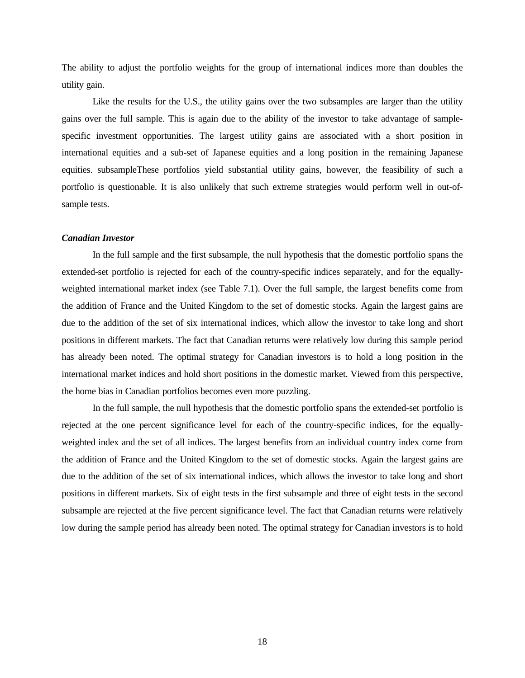The ability to adjust the portfolio weights for the group of international indices more than doubles the utility gain.

Like the results for the U.S., the utility gains over the two subsamples are larger than the utility gains over the full sample. This is again due to the ability of the investor to take advantage of samplespecific investment opportunities. The largest utility gains are associated with a short position in international equities and a sub-set of Japanese equities and a long position in the remaining Japanese equities. subsampleThese portfolios yield substantial utility gains, however, the feasibility of such a portfolio is questionable. It is also unlikely that such extreme strategies would perform well in out-ofsample tests.

### *Canadian Investor*

In the full sample and the first subsample, the null hypothesis that the domestic portfolio spans the extended-set portfolio is rejected for each of the country-specific indices separately, and for the equallyweighted international market index (see Table 7.1). Over the full sample, the largest benefits come from the addition of France and the United Kingdom to the set of domestic stocks. Again the largest gains are due to the addition of the set of six international indices, which allow the investor to take long and short positions in different markets. The fact that Canadian returns were relatively low during this sample period has already been noted. The optimal strategy for Canadian investors is to hold a long position in the international market indices and hold short positions in the domestic market. Viewed from this perspective, the home bias in Canadian portfolios becomes even more puzzling.

In the full sample, the null hypothesis that the domestic portfolio spans the extended-set portfolio is rejected at the one percent significance level for each of the country-specific indices, for the equallyweighted index and the set of all indices. The largest benefits from an individual country index come from the addition of France and the United Kingdom to the set of domestic stocks. Again the largest gains are due to the addition of the set of six international indices, which allows the investor to take long and short positions in different markets. Six of eight tests in the first subsample and three of eight tests in the second subsample are rejected at the five percent significance level. The fact that Canadian returns were relatively low during the sample period has already been noted. The optimal strategy for Canadian investors is to hold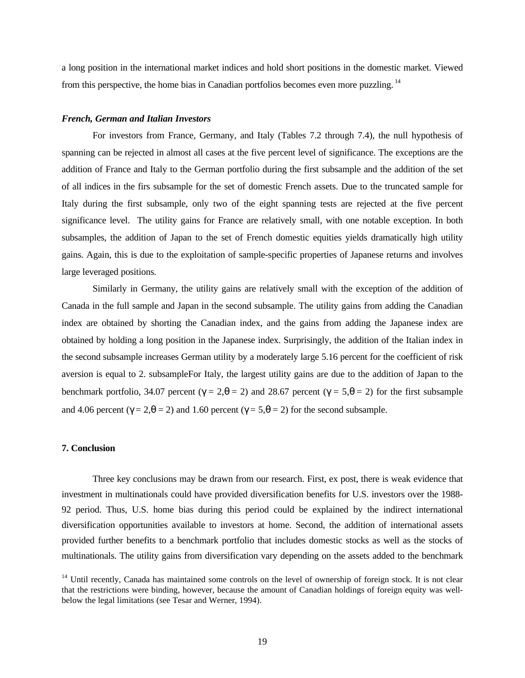a long position in the international market indices and hold short positions in the domestic market. Viewed from this perspective, the home bias in Canadian portfolios becomes even more puzzling. <sup>14</sup>

### *French, German and Italian Investors*

For investors from France, Germany, and Italy (Tables 7.2 through 7.4), the null hypothesis of spanning can be rejected in almost all cases at the five percent level of significance. The exceptions are the addition of France and Italy to the German portfolio during the first subsample and the addition of the set of all indices in the firs subsample for the set of domestic French assets. Due to the truncated sample for Italy during the first subsample, only two of the eight spanning tests are rejected at the five percent significance level. The utility gains for France are relatively small, with one notable exception. In both subsamples, the addition of Japan to the set of French domestic equities yields dramatically high utility gains. Again, this is due to the exploitation of sample-specific properties of Japanese returns and involves large leveraged positions.

Similarly in Germany, the utility gains are relatively small with the exception of the addition of Canada in the full sample and Japan in the second subsample. The utility gains from adding the Canadian index are obtained by shorting the Canadian index, and the gains from adding the Japanese index are obtained by holding a long position in the Japanese index. Surprisingly, the addition of the Italian index in the second subsample increases German utility by a moderately large 5.16 percent for the coefficient of risk aversion is equal to 2. subsampleFor Italy, the largest utility gains are due to the addition of Japan to the benchmark portfolio, 34.07 percent ( $\gamma = 2, \theta = 2$ ) and 28.67 percent ( $\gamma = 5, \theta = 2$ ) for the first subsample and 4.06 percent ( $\gamma = 2, \theta = 2$ ) and 1.60 percent ( $\gamma = 5, \theta = 2$ ) for the second subsample.

### **7. Conclusion**

Three key conclusions may be drawn from our research. First, ex post, there is weak evidence that investment in multinationals could have provided diversification benefits for U.S. investors over the 1988- 92 period. Thus, U.S. home bias during this period could be explained by the indirect international diversification opportunities available to investors at home. Second, the addition of international assets provided further benefits to a benchmark portfolio that includes domestic stocks as well as the stocks of multinationals. The utility gains from diversification vary depending on the assets added to the benchmark

<sup>&</sup>lt;sup>14</sup> Until recently, Canada has maintained some controls on the level of ownership of foreign stock. It is not clear that the restrictions were binding, however, because the amount of Canadian holdings of foreign equity was wellbelow the legal limitations (see Tesar and Werner, 1994).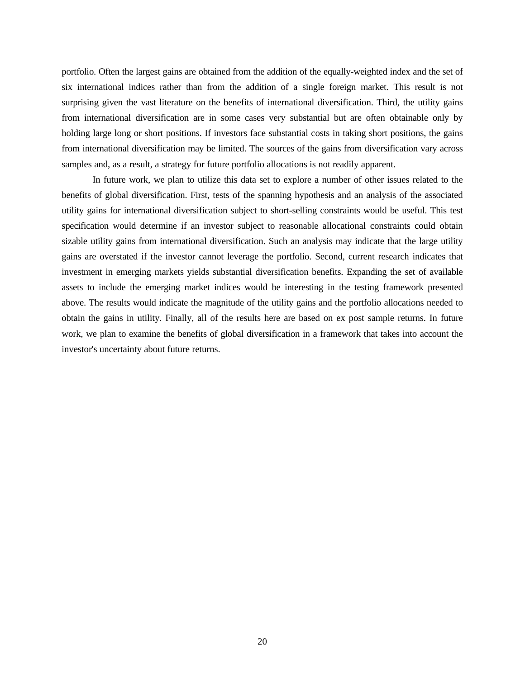portfolio. Often the largest gains are obtained from the addition of the equally-weighted index and the set of six international indices rather than from the addition of a single foreign market. This result is not surprising given the vast literature on the benefits of international diversification. Third, the utility gains from international diversification are in some cases very substantial but are often obtainable only by holding large long or short positions. If investors face substantial costs in taking short positions, the gains from international diversification may be limited. The sources of the gains from diversification vary across samples and, as a result, a strategy for future portfolio allocations is not readily apparent.

In future work, we plan to utilize this data set to explore a number of other issues related to the benefits of global diversification. First, tests of the spanning hypothesis and an analysis of the associated utility gains for international diversification subject to short-selling constraints would be useful. This test specification would determine if an investor subject to reasonable allocational constraints could obtain sizable utility gains from international diversification. Such an analysis may indicate that the large utility gains are overstated if the investor cannot leverage the portfolio. Second, current research indicates that investment in emerging markets yields substantial diversification benefits. Expanding the set of available assets to include the emerging market indices would be interesting in the testing framework presented above. The results would indicate the magnitude of the utility gains and the portfolio allocations needed to obtain the gains in utility. Finally, all of the results here are based on ex post sample returns. In future work, we plan to examine the benefits of global diversification in a framework that takes into account the investor's uncertainty about future returns.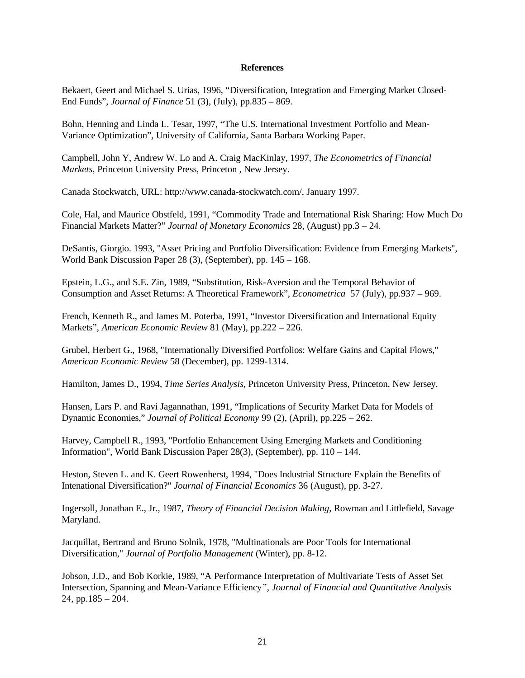### **References**

Bekaert, Geert and Michael S. Urias, 1996, "Diversification, Integration and Emerging Market Closed-End Funds", *Journal of Finance* 51 (3), (July), pp.835 – 869.

Bohn, Henning and Linda L. Tesar, 1997, "The U.S. International Investment Portfolio and Mean-Variance Optimization", University of California, Santa Barbara Working Paper.

Campbell, John Y, Andrew W. Lo and A. Craig MacKinlay, 1997*, The Econometrics of Financial Markets*, Princeton University Press, Princeton , New Jersey.

Canada Stockwatch, URL: http://www.canada-stockwatch.com/, January 1997.

Cole, Hal, and Maurice Obstfeld, 1991, "Commodity Trade and International Risk Sharing: How Much Do Financial Markets Matter?" *Journal of Monetary Economics* 28, (August) pp.3 – 24.

DeSantis, Giorgio. 1993, "Asset Pricing and Portfolio Diversification: Evidence from Emerging Markets", World Bank Discussion Paper 28 (3), (September), pp. 145 – 168.

Epstein, L.G., and S.E. Zin, 1989, "Substitution, Risk-Aversion and the Temporal Behavior of Consumption and Asset Returns: A Theoretical Framework", *Econometrica* 57 (July), pp.937 – 969.

French, Kenneth R., and James M. Poterba, 1991, "Investor Diversification and International Equity Markets", *American Economic Review* 81 (May), pp.222 – 226.

Grubel, Herbert G., 1968, "Internationally Diversified Portfolios: Welfare Gains and Capital Flows," *American Economic Review* 58 (December), pp. 1299-1314.

Hamilton, James D., 1994, *Time Series Analysis*, Princeton University Press, Princeton, New Jersey.

Hansen, Lars P. and Ravi Jagannathan, 1991, "Implications of Security Market Data for Models of Dynamic Economies," *Journal of Political Economy* 99 (2), (April), pp.225 – 262.

Harvey, Campbell R., 1993, "Portfolio Enhancement Using Emerging Markets and Conditioning Information", World Bank Discussion Paper 28(3), (September), pp. 110 – 144.

Heston, Steven L. and K. Geert Rowenherst, 1994, "Does Industrial Structure Explain the Benefits of Intenational Diversification?" *Journal of Financial Economics* 36 (August), pp. 3-27.

Ingersoll, Jonathan E., Jr., 1987, *Theory of Financial Decision Making*, Rowman and Littlefield, Savage Maryland.

Jacquillat, Bertrand and Bruno Solnik, 1978, "Multinationals are Poor Tools for International Diversification," *Journal of Portfolio Management* (Winter), pp. 8-12.

Jobson, J.D., and Bob Korkie, 1989, "A Performance Interpretation of Multivariate Tests of Asset Set Intersection, Spanning and Mean-Variance Efficiency*", Journal of Financial and Quantitative Analysis* 24, pp.185 – 204.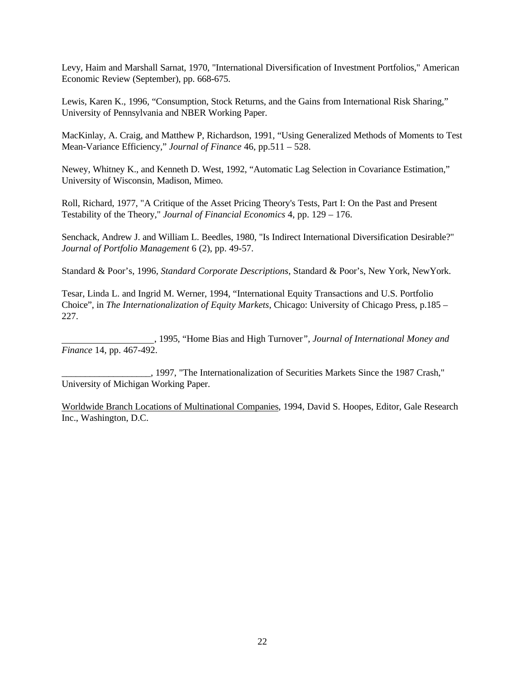Levy, Haim and Marshall Sarnat, 1970, "International Diversification of Investment Portfolios," American Economic Review (September), pp. 668-675.

Lewis, Karen K., 1996, "Consumption, Stock Returns, and the Gains from International Risk Sharing," University of Pennsylvania and NBER Working Paper.

MacKinlay, A. Craig, and Matthew P, Richardson, 1991, "Using Generalized Methods of Moments to Test Mean-Variance Efficiency," *Journal of Finance* 46, pp.511 – 528.

Newey, Whitney K., and Kenneth D. West, 1992, "Automatic Lag Selection in Covariance Estimation," University of Wisconsin, Madison, Mimeo.

Roll, Richard, 1977, "A Critique of the Asset Pricing Theory's Tests, Part I: On the Past and Present Testability of the Theory," *Journal of Financial Economics* 4, pp. 129 – 176.

Senchack, Andrew J. and William L. Beedles, 1980, "Is Indirect International Diversification Desirable?" *Journal of Portfolio Management* 6 (2), pp. 49-57.

Standard & Poor's, 1996, *Standard Corporate Descriptions*, Standard & Poor's, New York, NewYork.

Tesar, Linda L. and Ingrid M. Werner, 1994, "International Equity Transactions and U.S. Portfolio Choice", in *The Internationalization of Equity Markets*, Chicago: University of Chicago Press, p.185 – 227.

 , 1995, "Home Bias and High Turnover*", Journal of International Money and Finance* 14, pp. 467-492.

\_\_\_\_\_\_\_\_\_\_\_\_\_\_\_\_\_\_\_, 1997, "The Internationalization of Securities Markets Since the 1987 Crash," University of Michigan Working Paper.

Worldwide Branch Locations of Multinational Companies, 1994, David S. Hoopes, Editor, Gale Research Inc., Washington, D.C.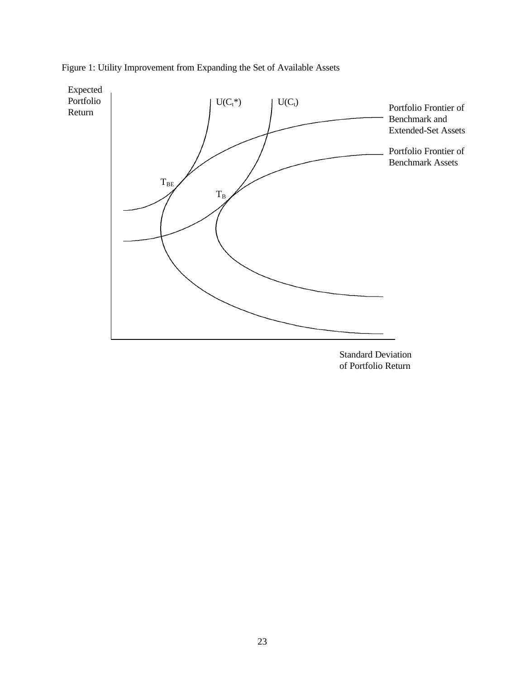



Standard Deviation of Portfolio Return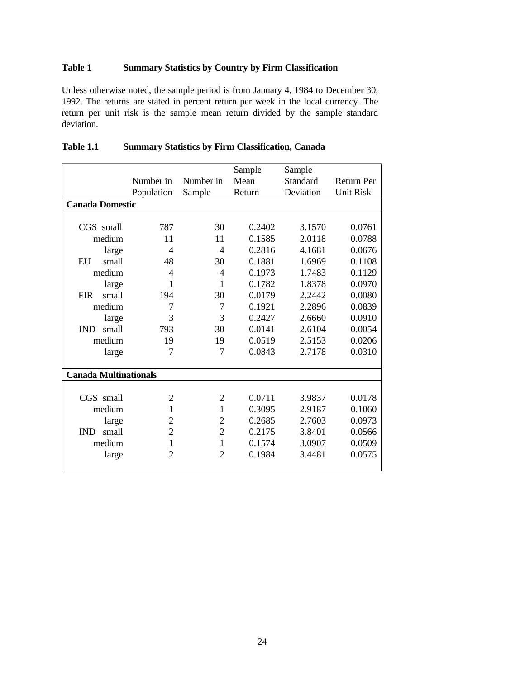### **Table 1 Summary Statistics by Country by Firm Classification**

Unless otherwise noted, the sample period is from January 4, 1984 to December 30, 1992. The returns are stated in percent return per week in the local currency. The return per unit risk is the sample mean return divided by the sample standard deviation.

|                              |                          |                     | Sample         | Sample                |                                       |
|------------------------------|--------------------------|---------------------|----------------|-----------------------|---------------------------------------|
|                              | Number in<br>Population  | Number in<br>Sample | Mean<br>Return | Standard<br>Deviation | <b>Return Per</b><br><b>Unit Risk</b> |
| <b>Canada Domestic</b>       |                          |                     |                |                       |                                       |
|                              |                          |                     |                |                       |                                       |
| CGS small                    | 787                      | 30                  | 0.2402         | 3.1570                | 0.0761                                |
| medium                       | 11                       | 11                  | 0.1585         | 2.0118                | 0.0788                                |
| large                        | $\overline{\mathcal{L}}$ | $\overline{4}$      | 0.2816         | 4.1681                | 0.0676                                |
| EU<br>small                  | 48                       | 30                  | 0.1881         | 1.6969                | 0.1108                                |
| medium                       | 4                        | $\overline{4}$      | 0.1973         | 1.7483                | 0.1129                                |
| large                        | 1                        | 1                   | 0.1782         | 1.8378                | 0.0970                                |
| <b>FIR</b><br>small          | 194                      | 30                  | 0.0179         | 2.2442                | 0.0080                                |
| medium                       | 7                        | 7                   | 0.1921         | 2.2896                | 0.0839                                |
| large                        | 3                        | 3                   | 0.2427         | 2.6660                | 0.0910                                |
| small<br><b>IND</b>          | 793                      | 30                  | 0.0141         | 2.6104                | 0.0054                                |
| medium                       | 19                       | 19                  | 0.0519         | 2.5153                | 0.0206                                |
| large                        | 7                        | 7                   | 0.0843         | 2.7178                | 0.0310                                |
| <b>Canada Multinationals</b> |                          |                     |                |                       |                                       |
|                              |                          |                     |                |                       |                                       |
| CGS small                    | $\overline{2}$           | $\overline{2}$      | 0.0711         | 3.9837                | 0.0178                                |
| medium                       | 1                        | $\mathbf{1}$        | 0.3095         | 2.9187                | 0.1060                                |
| large                        | $\overline{2}$           | $\overline{2}$      | 0.2685         | 2.7603                | 0.0973                                |
| <b>IND</b><br>small          | $\overline{2}$           | $\overline{2}$      | 0.2175         | 3.8401                | 0.0566                                |
| medium                       | $\mathbf{1}$             | $\mathbf{1}$        | 0.1574         | 3.0907                | 0.0509                                |
| large                        | $\overline{2}$           | $\overline{2}$      | 0.1984         | 3.4481                | 0.0575                                |
|                              |                          |                     |                |                       |                                       |

### **Table 1.1 Summary Statistics by Firm Classification, Canada**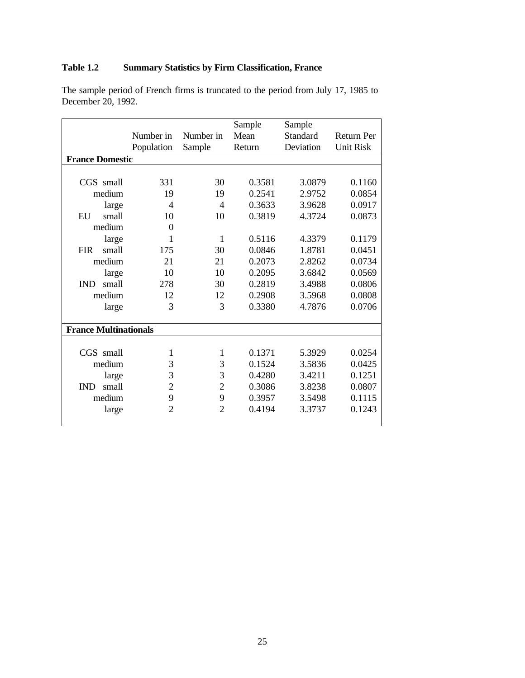## **Table 1.2 Summary Statistics by Firm Classification, France**

The sample period of French firms is truncated to the period from July 17, 1985 to December 20, 1992.

|                              |                |                | Sample | Sample    |                  |
|------------------------------|----------------|----------------|--------|-----------|------------------|
|                              | Number in      | Number in      | Mean   | Standard  | Return Per       |
|                              | Population     | Sample         | Return | Deviation | <b>Unit Risk</b> |
| <b>France Domestic</b>       |                |                |        |           |                  |
|                              |                |                |        |           |                  |
| CGS small                    | 331            | 30             | 0.3581 | 3.0879    | 0.1160           |
| medium                       | 19             | 19             | 0.2541 | 2.9752    | 0.0854           |
| large                        | 4              | $\overline{4}$ | 0.3633 | 3.9628    | 0.0917           |
| EU<br>small                  | 10             | 10             | 0.3819 | 4.3724    | 0.0873           |
| medium                       | $\overline{0}$ |                |        |           |                  |
| large                        | 1              | 1              | 0.5116 | 4.3379    | 0.1179           |
| <b>FIR</b><br>small          | 175            | 30             | 0.0846 | 1.8781    | 0.0451           |
| medium                       | 21             | 21             | 0.2073 | 2.8262    | 0.0734           |
| large                        | 10             | 10             | 0.2095 | 3.6842    | 0.0569           |
| <b>IND</b><br>small          | 278            | 30             | 0.2819 | 3.4988    | 0.0806           |
| medium                       | 12             | 12             | 0.2908 | 3.5968    | 0.0808           |
| large                        | 3              | 3              | 0.3380 | 4.7876    | 0.0706           |
|                              |                |                |        |           |                  |
| <b>France Multinationals</b> |                |                |        |           |                  |
|                              |                |                |        |           |                  |
| CGS small                    | 1              | 1              | 0.1371 | 5.3929    | 0.0254           |
| medium                       | 3              | 3              | 0.1524 | 3.5836    | 0.0425           |
| large                        | 3              | 3              | 0.4280 | 3.4211    | 0.1251           |
| <b>IND</b><br>small          | $\overline{2}$ | $\overline{2}$ | 0.3086 | 3.8238    | 0.0807           |
| medium                       | 9              | 9              | 0.3957 | 3.5498    | 0.1115           |
| large                        | $\overline{2}$ | $\overline{2}$ | 0.4194 | 3.3737    | 0.1243           |
|                              |                |                |        |           |                  |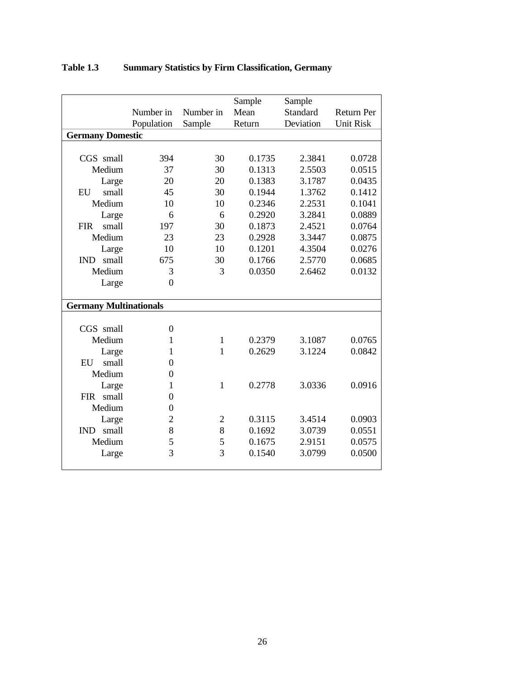|                               | Number in        | Number in      | Sample<br>Mean | Sample<br>Standard | Return Per       |
|-------------------------------|------------------|----------------|----------------|--------------------|------------------|
|                               | Population       | Sample         | Return         | Deviation          | <b>Unit Risk</b> |
| <b>Germany Domestic</b>       |                  |                |                |                    |                  |
|                               |                  |                |                |                    |                  |
| CGS small                     | 394              | 30             | 0.1735         | 2.3841             | 0.0728           |
| Medium                        | 37               | 30             | 0.1313         | 2.5503             | 0.0515           |
| Large                         | 20               | 20             | 0.1383         | 3.1787             | 0.0435           |
| small<br>EU                   | 45               | 30             | 0.1944         | 1.3762             | 0.1412           |
| Medium                        | 10               | 10             | 0.2346         | 2.2531             | 0.1041           |
| Large                         | 6                | 6              | 0.2920         | 3.2841             | 0.0889           |
| <b>FIR</b><br>small           | 197              | 30             | 0.1873         | 2.4521             | 0.0764           |
| Medium                        | 23               | 23             | 0.2928         | 3.3447             | 0.0875           |
| Large                         | 10               | 10             | 0.1201         | 4.3504             | 0.0276           |
| IND small                     | 675              | 30             | 0.1766         | 2.5770             | 0.0685           |
| Medium                        | 3                | 3              | 0.0350         | 2.6462             | 0.0132           |
| Large                         | $\overline{0}$   |                |                |                    |                  |
| <b>Germany Multinationals</b> |                  |                |                |                    |                  |
|                               |                  |                |                |                    |                  |
| CGS small                     | $\boldsymbol{0}$ |                |                |                    |                  |
| Medium                        | 1                | $\mathbf{1}$   | 0.2379         | 3.1087             | 0.0765           |
| Large                         | 1                | $\mathbf{1}$   | 0.2629         | 3.1224             | 0.0842           |
| small<br>EU                   | $\overline{0}$   |                |                |                    |                  |
| Medium                        | $\overline{0}$   |                |                |                    |                  |
| Large                         | 1                | $\mathbf{1}$   | 0.2778         | 3.0336             | 0.0916           |
| FIR small                     | $\overline{0}$   |                |                |                    |                  |
| Medium                        | $\boldsymbol{0}$ |                |                |                    |                  |
| Large                         | $\overline{c}$   | $\overline{2}$ | 0.3115         | 3.4514             | 0.0903           |
| IND small                     | 8                | 8              | 0.1692         | 3.0739             | 0.0551           |
| Medium                        | 5                | 5              | 0.1675         | 2.9151             | 0.0575           |
| Large                         | $\overline{3}$   | 3              | 0.1540         | 3.0799             | 0.0500           |
|                               |                  |                |                |                    |                  |

## **Table 1.3 Summary Statistics by Firm Classification, Germany**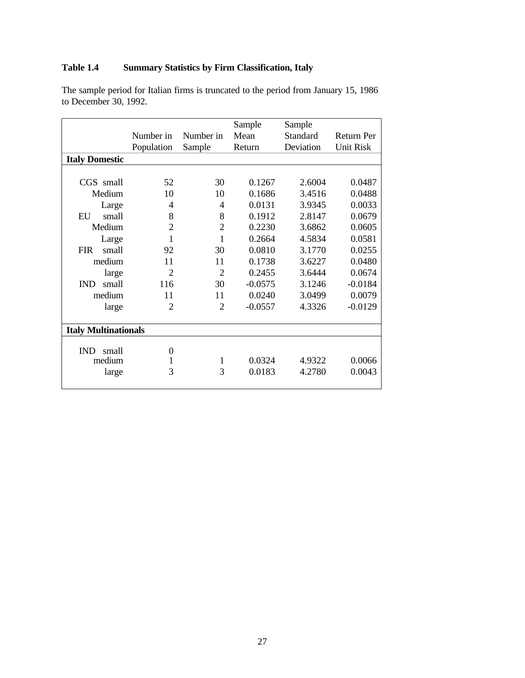## **Table 1.4 Summary Statistics by Firm Classification, Italy**

|                             |                |                | Sample    | Sample    |                  |
|-----------------------------|----------------|----------------|-----------|-----------|------------------|
|                             | Number in      | Number in      | Mean      | Standard  | Return Per       |
|                             | Population     | Sample         | Return    | Deviation | <b>Unit Risk</b> |
| <b>Italy Domestic</b>       |                |                |           |           |                  |
|                             |                |                |           |           |                  |
| CGS small                   | 52             | 30             | 0.1267    | 2.6004    | 0.0487           |
| Medium                      | 10             | 10             | 0.1686    | 3.4516    | 0.0488           |
| Large                       | 4              | $\overline{4}$ | 0.0131    | 3.9345    | 0.0033           |
| EU<br>small                 | 8              | 8              | 0.1912    | 2.8147    | 0.0679           |
| Medium                      | $\overline{2}$ | $\overline{2}$ | 0.2230    | 3.6862    | 0.0605           |
| Large                       | 1              | 1              | 0.2664    | 4.5834    | 0.0581           |
| small<br><b>FIR</b>         | 92             | 30             | 0.0810    | 3.1770    | 0.0255           |
| medium                      | 11             | 11             | 0.1738    | 3.6227    | 0.0480           |
| large                       | $\overline{2}$ | $\overline{2}$ | 0.2455    | 3.6444    | 0.0674           |
| <b>IND</b><br>small         | 116            | 30             | $-0.0575$ | 3.1246    | $-0.0184$        |
| medium                      | 11             | 11             | 0.0240    | 3.0499    | 0.0079           |
| large                       | $\overline{2}$ | $\overline{2}$ | $-0.0557$ | 4.3326    | $-0.0129$        |
|                             |                |                |           |           |                  |
| <b>Italy Multinationals</b> |                |                |           |           |                  |
|                             |                |                |           |           |                  |
| <b>IND</b><br>small         | 0              |                |           |           |                  |
| medium                      | 1              | 1              | 0.0324    | 4.9322    | 0.0066           |
| large                       | 3              | 3              | 0.0183    | 4.2780    | 0.0043           |
|                             |                |                |           |           |                  |

The sample period for Italian firms is truncated to the period from January 15, 1986 to December 30, 1992.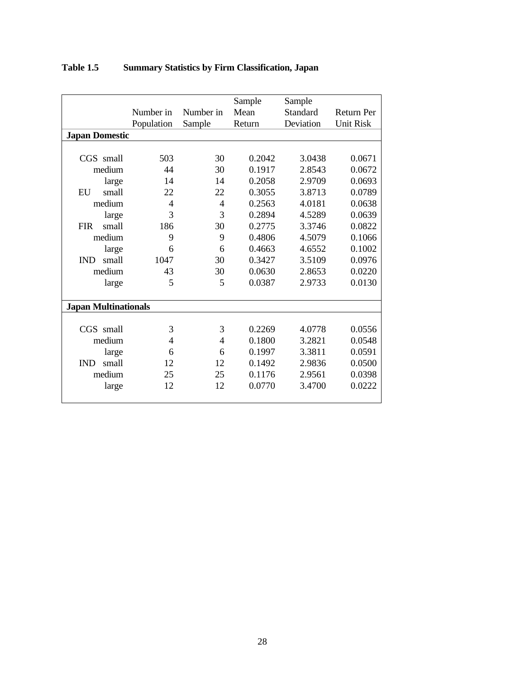|                             |                |                | Sample | Sample    |                  |
|-----------------------------|----------------|----------------|--------|-----------|------------------|
|                             | Number in      | Number in      | Mean   | Standard  | Return Per       |
|                             | Population     | Sample         | Return | Deviation | <b>Unit Risk</b> |
| <b>Japan Domestic</b>       |                |                |        |           |                  |
|                             |                |                |        |           |                  |
| CGS small                   | 503            | 30             | 0.2042 | 3.0438    | 0.0671           |
| medium                      | 44             | 30             | 0.1917 | 2.8543    | 0.0672           |
| large                       | 14             | 14             | 0.2058 | 2.9709    | 0.0693           |
| EU<br>small                 | 22             | 22             | 0.3055 | 3.8713    | 0.0789           |
| medium                      | $\overline{4}$ | 4              | 0.2563 | 4.0181    | 0.0638           |
| large                       | 3              | 3              | 0.2894 | 4.5289    | 0.0639           |
| <b>FIR</b><br>small         | 186            | 30             | 0.2775 | 3.3746    | 0.0822           |
| medium                      | 9              | 9              | 0.4806 | 4.5079    | 0.1066           |
| large                       | 6              | 6              | 0.4663 | 4.6552    | 0.1002           |
| <b>IND</b><br>small         | 1047           | 30             | 0.3427 | 3.5109    | 0.0976           |
| medium                      | 43             | 30             | 0.0630 | 2.8653    | 0.0220           |
| large                       | 5              | 5              | 0.0387 | 2.9733    | 0.0130           |
|                             |                |                |        |           |                  |
| <b>Japan Multinationals</b> |                |                |        |           |                  |
|                             |                |                |        |           |                  |
| CGS small                   | 3              | 3              | 0.2269 | 4.0778    | 0.0556           |
| medium                      | $\overline{4}$ | $\overline{4}$ | 0.1800 | 3.2821    | 0.0548           |
| large                       | 6              | 6              | 0.1997 | 3.3811    | 0.0591           |
| <b>IND</b><br>small         | 12             | 12             | 0.1492 | 2.9836    | 0.0500           |
| medium                      | 25             | 25             | 0.1176 | 2.9561    | 0.0398           |
| large                       | 12             | 12             | 0.0770 | 3.4700    | 0.0222           |
|                             |                |                |        |           |                  |

## **Table 1.5 Summary Statistics by Firm Classification, Japan**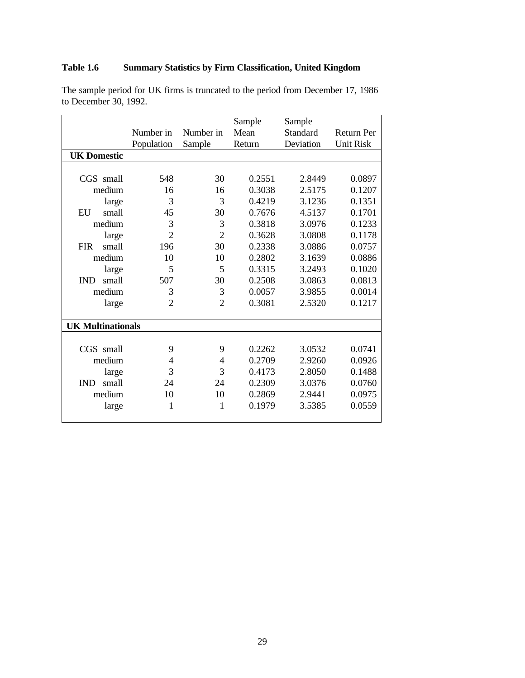## **Table 1.6 Summary Statistics by Firm Classification, United Kingdom**

| The sample period for UK firms is truncated to the period from December 17, 1986 |  |  |  |
|----------------------------------------------------------------------------------|--|--|--|
| to December 30, 1992.                                                            |  |  |  |

|                          | Number in      |                | Sample | Sample    |                  |
|--------------------------|----------------|----------------|--------|-----------|------------------|
|                          |                | Number in      | Mean   | Standard  | Return Per       |
|                          | Population     | Sample         | Return | Deviation | <b>Unit Risk</b> |
| <b>UK Domestic</b>       |                |                |        |           |                  |
|                          |                |                |        |           |                  |
| CGS small                | 548            | 30             | 0.2551 | 2.8449    | 0.0897           |
| medium                   | 16             | 16             | 0.3038 | 2.5175    | 0.1207           |
| large                    | 3              | 3              | 0.4219 | 3.1236    | 0.1351           |
| EU<br>small              | 45             | 30             | 0.7676 | 4.5137    | 0.1701           |
| medium                   | 3              | 3              | 0.3818 | 3.0976    | 0.1233           |
| large                    | $\overline{2}$ | $\overline{2}$ | 0.3628 | 3.0808    | 0.1178           |
| <b>FIR</b><br>small      | 196            | 30             | 0.2338 | 3.0886    | 0.0757           |
| medium                   | 10             | 10             | 0.2802 | 3.1639    | 0.0886           |
| large                    | 5              | 5              | 0.3315 | 3.2493    | 0.1020           |
| <b>IND</b><br>small      | 507            | 30             | 0.2508 | 3.0863    | 0.0813           |
| medium                   | 3              | 3              | 0.0057 | 3.9855    | 0.0014           |
| large                    | $\overline{2}$ | $\overline{2}$ | 0.3081 | 2.5320    | 0.1217           |
|                          |                |                |        |           |                  |
| <b>UK Multinationals</b> |                |                |        |           |                  |
|                          |                |                |        |           |                  |
| CGS small                | 9              | 9              | 0.2262 | 3.0532    | 0.0741           |
| medium                   | 4              | $\overline{4}$ | 0.2709 | 2.9260    | 0.0926           |
| large                    | 3              | 3              | 0.4173 | 2.8050    | 0.1488           |
| <b>IND</b><br>small      | 24             | 24             | 0.2309 | 3.0376    | 0.0760           |
| medium                   | 10             | 10             | 0.2869 | 2.9441    | 0.0975           |
| large                    | 1              | 1              | 0.1979 | 3.5385    | 0.0559           |
|                          |                |                |        |           |                  |
|                          |                |                |        |           |                  |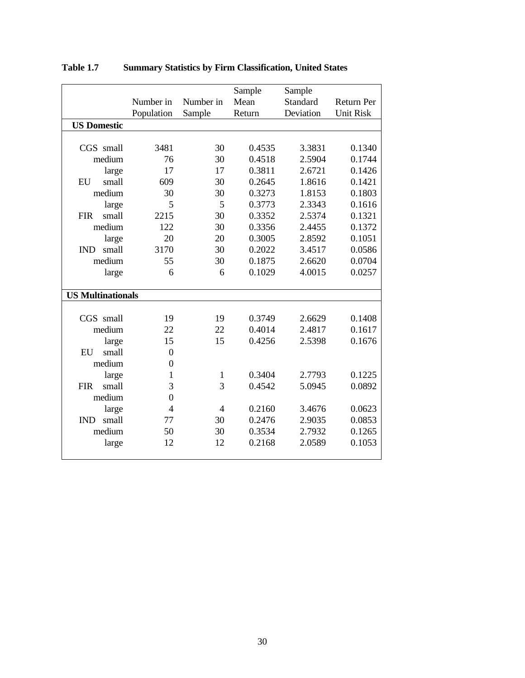|                          | Number in        | Number in      | Sample<br>Mean | Sample<br>Standard | Return Per       |
|--------------------------|------------------|----------------|----------------|--------------------|------------------|
|                          | Population       | Sample         | Return         | Deviation          | <b>Unit Risk</b> |
| <b>US Domestic</b>       |                  |                |                |                    |                  |
|                          |                  |                |                |                    |                  |
| CGS small                | 3481             | 30             | 0.4535         | 3.3831             | 0.1340           |
| medium                   | 76               | 30             | 0.4518         | 2.5904             | 0.1744           |
| large                    | 17               | 17             | 0.3811         | 2.6721             | 0.1426           |
| EU<br>small              | 609              | 30             | 0.2645         | 1.8616             | 0.1421           |
| medium                   | 30               | 30             | 0.3273         | 1.8153             | 0.1803           |
| large                    | 5                | 5              | 0.3773         | 2.3343             | 0.1616           |
| small<br><b>FIR</b>      | 2215             | 30             | 0.3352         | 2.5374             | 0.1321           |
| medium                   | 122              | 30             | 0.3356         | 2.4455             | 0.1372           |
| large                    | 20               | 20             | 0.3005         | 2.8592             | 0.1051           |
| <b>IND</b><br>small      | 3170             | 30             | 0.2022         | 3.4517             | 0.0586           |
| medium                   | 55               | 30             | 0.1875         | 2.6620             | 0.0704           |
| large                    | 6                | 6              | 0.1029         | 4.0015             | 0.0257           |
|                          |                  |                |                |                    |                  |
| <b>US Multinationals</b> |                  |                |                |                    |                  |
|                          |                  |                |                |                    |                  |
| CGS small                | 19               | 19             | 0.3749         | 2.6629             | 0.1408           |
| medium                   | 22               | 22             | 0.4014         | 2.4817             | 0.1617           |
| large                    | 15               | 15             | 0.4256         | 2.5398             | 0.1676           |
| <b>EU</b><br>small       | $\mathbf{0}$     |                |                |                    |                  |
| medium                   | $\boldsymbol{0}$ |                |                |                    |                  |
| large                    | $\mathbf{1}$     | $\mathbf{1}$   | 0.3404         | 2.7793             | 0.1225           |
| <b>FIR</b><br>small      | 3                | 3              | 0.4542         | 5.0945             | 0.0892           |
| medium                   | $\overline{0}$   |                |                |                    |                  |
| large                    | $\overline{4}$   | $\overline{4}$ | 0.2160         | 3.4676             | 0.0623           |
| <b>IND</b><br>small      | 77               | 30             | 0.2476         | 2.9035             | 0.0853           |
| medium                   | 50               | 30             | 0.3534         | 2.7932             | 0.1265           |
| large                    | 12               | 12             | 0.2168         | 2.0589             | 0.1053           |
|                          |                  |                |                |                    |                  |

## **Table 1.7 Summary Statistics by Firm Classification, United States**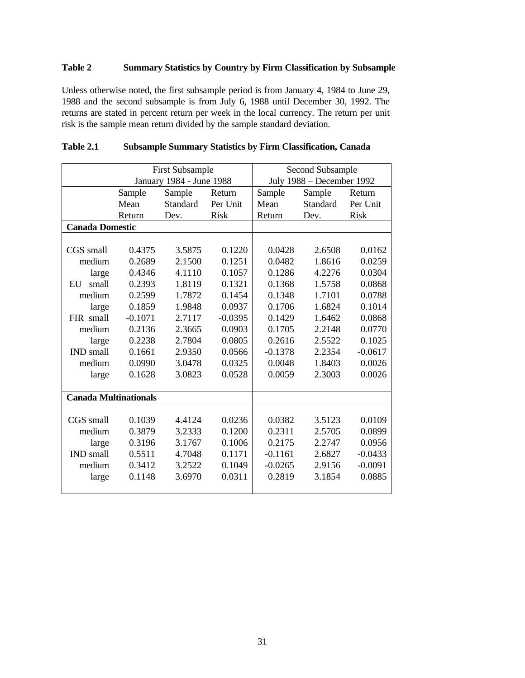### **Table 2 Summary Statistics by Country by Firm Classification by Subsample**

Unless otherwise noted, the first subsample period is from January 4, 1984 to June 29, 1988 and the second subsample is from July 6, 1988 until December 30, 1992. The returns are stated in percent return per week in the local currency. The return per unit risk is the sample mean return divided by the sample standard deviation.

|                              | <b>First Subsample</b> |                          |             |           | Second Subsample          |             |  |
|------------------------------|------------------------|--------------------------|-------------|-----------|---------------------------|-------------|--|
|                              |                        | January 1984 - June 1988 |             |           | July 1988 – December 1992 |             |  |
|                              | Sample                 | Sample                   | Return      | Sample    | Sample                    | Return      |  |
|                              | Mean                   | Standard                 | Per Unit    | Mean      | Standard                  | Per Unit    |  |
|                              | Return                 | Dev.                     | <b>Risk</b> | Return    | Dev.                      | <b>Risk</b> |  |
| <b>Canada Domestic</b>       |                        |                          |             |           |                           |             |  |
|                              |                        |                          |             |           |                           |             |  |
| CGS small                    | 0.4375                 | 3.5875                   | 0.1220      | 0.0428    | 2.6508                    | 0.0162      |  |
| medium                       | 0.2689                 | 2.1500                   | 0.1251      | 0.0482    | 1.8616                    | 0.0259      |  |
| large                        | 0.4346                 | 4.1110                   | 0.1057      | 0.1286    | 4.2276                    | 0.0304      |  |
| small<br>EU                  | 0.2393                 | 1.8119                   | 0.1321      | 0.1368    | 1.5758                    | 0.0868      |  |
| medium                       | 0.2599                 | 1.7872                   | 0.1454      | 0.1348    | 1.7101                    | 0.0788      |  |
| large                        | 0.1859                 | 1.9848                   | 0.0937      | 0.1706    | 1.6824                    | 0.1014      |  |
| FIR small                    | $-0.1071$              | 2.7117                   | $-0.0395$   | 0.1429    | 1.6462                    | 0.0868      |  |
| medium                       | 0.2136                 | 2.3665                   | 0.0903      | 0.1705    | 2.2148                    | 0.0770      |  |
| large                        | 0.2238                 | 2.7804                   | 0.0805      | 0.2616    | 2.5522                    | 0.1025      |  |
| <b>IND</b> small             | 0.1661                 | 2.9350                   | 0.0566      | $-0.1378$ | 2.2354                    | $-0.0617$   |  |
| medium                       | 0.0990                 | 3.0478                   | 0.0325      | 0.0048    | 1.8403                    | 0.0026      |  |
| large                        | 0.1628                 | 3.0823                   | 0.0528      | 0.0059    | 2.3003                    | 0.0026      |  |
|                              |                        |                          |             |           |                           |             |  |
| <b>Canada Multinationals</b> |                        |                          |             |           |                           |             |  |
|                              |                        |                          |             |           |                           |             |  |
| CGS small                    | 0.1039                 | 4.4124                   | 0.0236      | 0.0382    | 3.5123                    | 0.0109      |  |
| medium                       | 0.3879                 | 3.2333                   | 0.1200      | 0.2311    | 2.5705                    | 0.0899      |  |
| large                        | 0.3196                 | 3.1767                   | 0.1006      | 0.2175    | 2.2747                    | 0.0956      |  |
| <b>IND</b> small             | 0.5511                 | 4.7048                   | 0.1171      | $-0.1161$ | 2.6827                    | $-0.0433$   |  |
| medium                       | 0.3412                 | 3.2522                   | 0.1049      | $-0.0265$ | 2.9156                    | $-0.0091$   |  |
| large                        | 0.1148                 | 3.6970                   | 0.0311      | 0.2819    | 3.1854                    | 0.0885      |  |
|                              |                        |                          |             |           |                           |             |  |

### **Table 2.1 Subsample Summary Statistics by Firm Classification, Canada**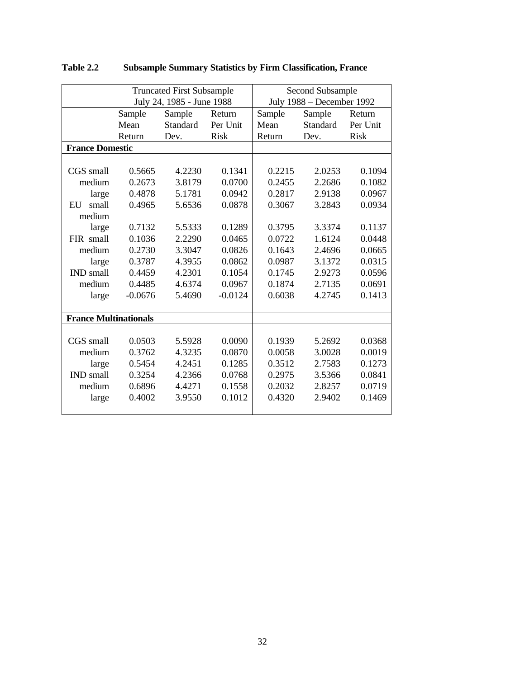|                              |           | <b>Truncated First Subsample</b> |             | Second Subsample |                           |             |
|------------------------------|-----------|----------------------------------|-------------|------------------|---------------------------|-------------|
|                              |           | July 24, 1985 - June 1988        |             |                  | July 1988 – December 1992 |             |
|                              | Sample    | Sample                           | Return      | Sample           | Sample                    | Return      |
|                              | Mean      | Standard                         | Per Unit    | Mean             | Standard                  | Per Unit    |
|                              | Return    | Dev.                             | <b>Risk</b> | Return           | Dev.                      | <b>Risk</b> |
| <b>France Domestic</b>       |           |                                  |             |                  |                           |             |
|                              |           |                                  |             |                  |                           |             |
| CGS small                    | 0.5665    | 4.2230                           | 0.1341      | 0.2215           | 2.0253                    | 0.1094      |
| medium                       | 0.2673    | 3.8179                           | 0.0700      | 0.2455           | 2.2686                    | 0.1082      |
| large                        | 0.4878    | 5.1781                           | 0.0942      | 0.2817           | 2.9138                    | 0.0967      |
| small<br>EU                  | 0.4965    | 5.6536                           | 0.0878      | 0.3067           | 3.2843                    | 0.0934      |
| medium                       |           |                                  |             |                  |                           |             |
| large                        | 0.7132    | 5.5333                           | 0.1289      | 0.3795           | 3.3374                    | 0.1137      |
| FIR small                    | 0.1036    | 2.2290                           | 0.0465      | 0.0722           | 1.6124                    | 0.0448      |
| medium                       | 0.2730    | 3.3047                           | 0.0826      | 0.1643           | 2.4696                    | 0.0665      |
| large                        | 0.3787    | 4.3955                           | 0.0862      | 0.0987           | 3.1372                    | 0.0315      |
| <b>IND</b> small             | 0.4459    | 4.2301                           | 0.1054      | 0.1745           | 2.9273                    | 0.0596      |
| medium                       | 0.4485    | 4.6374                           | 0.0967      | 0.1874           | 2.7135                    | 0.0691      |
| large                        | $-0.0676$ | 5.4690                           | $-0.0124$   | 0.6038           | 4.2745                    | 0.1413      |
|                              |           |                                  |             |                  |                           |             |
| <b>France Multinationals</b> |           |                                  |             |                  |                           |             |
|                              |           |                                  |             |                  |                           |             |
| CGS small                    | 0.0503    | 5.5928                           | 0.0090      | 0.1939           | 5.2692                    | 0.0368      |
| medium                       | 0.3762    | 4.3235                           | 0.0870      | 0.0058           | 3.0028                    | 0.0019      |
| large                        | 0.5454    | 4.2451                           | 0.1285      | 0.3512           | 2.7583                    | 0.1273      |
| <b>IND</b> small             | 0.3254    | 4.2366                           | 0.0768      | 0.2975           | 3.5366                    | 0.0841      |
| medium                       | 0.6896    | 4.4271                           | 0.1558      | 0.2032           | 2.8257                    | 0.0719      |
| large                        | 0.4002    | 3.9550                           | 0.1012      | 0.4320           | 2.9402                    | 0.1469      |
|                              |           |                                  |             |                  |                           |             |

**Table 2.2 Subsample Summary Statistics by Firm Classification, France**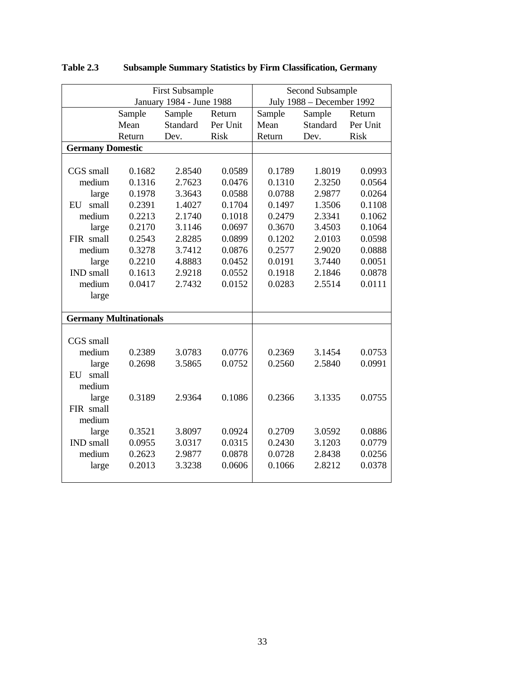|                         | <b>First Subsample</b>        |                          |             |        | <b>Second Subsample</b>   |             |  |
|-------------------------|-------------------------------|--------------------------|-------------|--------|---------------------------|-------------|--|
|                         |                               | January 1984 - June 1988 |             |        | July 1988 - December 1992 |             |  |
|                         | Sample                        | Sample                   | Return      | Sample | Sample                    | Return      |  |
|                         | Mean                          | Standard                 | Per Unit    | Mean   | Standard                  | Per Unit    |  |
|                         | Return                        | Dev.                     | <b>Risk</b> | Return | Dev.                      | <b>Risk</b> |  |
| <b>Germany Domestic</b> |                               |                          |             |        |                           |             |  |
|                         |                               |                          |             |        |                           |             |  |
| CGS small               | 0.1682                        | 2.8540                   | 0.0589      | 0.1789 | 1.8019                    | 0.0993      |  |
| medium                  | 0.1316                        | 2.7623                   | 0.0476      | 0.1310 | 2.3250                    | 0.0564      |  |
| large                   | 0.1978                        | 3.3643                   | 0.0588      | 0.0788 | 2.9877                    | 0.0264      |  |
| small<br>EU             | 0.2391                        | 1.4027                   | 0.1704      | 0.1497 | 1.3506                    | 0.1108      |  |
| medium                  | 0.2213                        | 2.1740                   | 0.1018      | 0.2479 | 2.3341                    | 0.1062      |  |
| large                   | 0.2170                        | 3.1146                   | 0.0697      | 0.3670 | 3.4503                    | 0.1064      |  |
| FIR small               | 0.2543                        | 2.8285                   | 0.0899      | 0.1202 | 2.0103                    | 0.0598      |  |
| medium                  | 0.3278                        | 3.7412                   | 0.0876      | 0.2577 | 2.9020                    | 0.0888      |  |
| large                   | 0.2210                        | 4.8883                   | 0.0452      | 0.0191 | 3.7440                    | 0.0051      |  |
| <b>IND</b> small        | 0.1613                        | 2.9218                   | 0.0552      | 0.1918 | 2.1846                    | 0.0878      |  |
| medium                  | 0.0417                        | 2.7432                   | 0.0152      | 0.0283 | 2.5514                    | 0.0111      |  |
| large                   |                               |                          |             |        |                           |             |  |
|                         |                               |                          |             |        |                           |             |  |
|                         | <b>Germany Multinationals</b> |                          |             |        |                           |             |  |
|                         |                               |                          |             |        |                           |             |  |
| CGS small               |                               |                          |             |        |                           |             |  |
| medium                  | 0.2389                        | 3.0783                   | 0.0776      | 0.2369 | 3.1454                    | 0.0753      |  |
| large                   | 0.2698                        | 3.5865                   | 0.0752      | 0.2560 | 2.5840                    | 0.0991      |  |
| small<br>EU             |                               |                          |             |        |                           |             |  |
| medium                  |                               |                          |             |        |                           |             |  |
| large                   | 0.3189                        | 2.9364                   | 0.1086      | 0.2366 | 3.1335                    | 0.0755      |  |
| FIR small               |                               |                          |             |        |                           |             |  |
| medium                  |                               |                          |             |        |                           |             |  |
| large                   | 0.3521                        | 3.8097                   | 0.0924      | 0.2709 | 3.0592                    | 0.0886      |  |
| <b>IND</b> small        | 0.0955                        | 3.0317                   | 0.0315      | 0.2430 | 3.1203                    | 0.0779      |  |
| medium                  | 0.2623                        | 2.9877                   | 0.0878      | 0.0728 | 2.8438                    | 0.0256      |  |
| large                   | 0.2013                        | 3.3238                   | 0.0606      | 0.1066 | 2.8212                    | 0.0378      |  |
|                         |                               |                          |             |        |                           |             |  |

**Table 2.3 Subsample Summary Statistics by Firm Classification, Germany**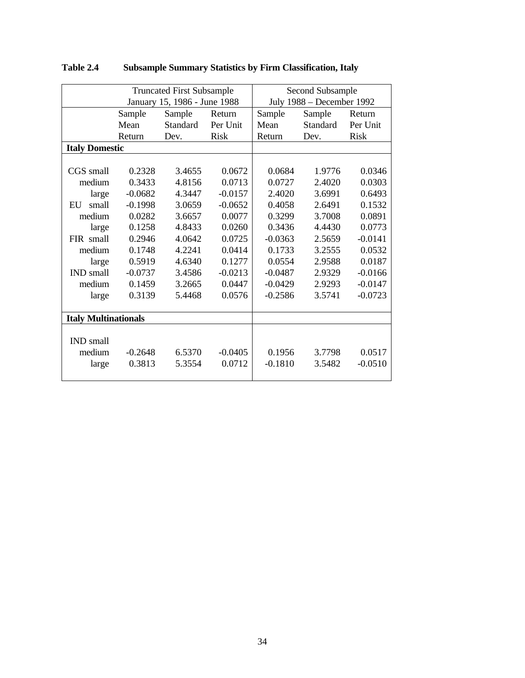|                             |           | <b>Truncated First Subsample</b> |             | Second Subsample          |                 |             |
|-----------------------------|-----------|----------------------------------|-------------|---------------------------|-----------------|-------------|
|                             |           | January 15, 1986 - June 1988     |             | July 1988 - December 1992 |                 |             |
|                             | Sample    | Sample                           | Return      | Sample                    | Sample          | Return      |
|                             | Mean      | <b>Standard</b>                  | Per Unit    | Mean                      | <b>Standard</b> | Per Unit    |
|                             | Return    | Dev.                             | <b>Risk</b> | Return                    | Dev.            | <b>Risk</b> |
| <b>Italy Domestic</b>       |           |                                  |             |                           |                 |             |
|                             |           |                                  |             |                           |                 |             |
| CGS small                   | 0.2328    | 3.4655                           | 0.0672      | 0.0684                    | 1.9776          | 0.0346      |
| medium                      | 0.3433    | 4.8156                           | 0.0713      | 0.0727                    | 2.4020          | 0.0303      |
| large                       | $-0.0682$ | 4.3447                           | $-0.0157$   | 2.4020                    | 3.6991          | 0.6493      |
| small<br>EU                 | $-0.1998$ | 3.0659                           | $-0.0652$   | 0.4058                    | 2.6491          | 0.1532      |
| medium                      | 0.0282    | 3.6657                           | 0.0077      | 0.3299                    | 3.7008          | 0.0891      |
| large                       | 0.1258    | 4.8433                           | 0.0260      | 0.3436                    | 4.4430          | 0.0773      |
| FIR small                   | 0.2946    | 4.0642                           | 0.0725      | $-0.0363$                 | 2.5659          | $-0.0141$   |
| medium                      | 0.1748    | 4.2241                           | 0.0414      | 0.1733                    | 3.2555          | 0.0532      |
| large                       | 0.5919    | 4.6340                           | 0.1277      | 0.0554                    | 2.9588          | 0.0187      |
| <b>IND</b> small            | $-0.0737$ | 3.4586                           | $-0.0213$   | $-0.0487$                 | 2.9329          | $-0.0166$   |
| medium                      | 0.1459    | 3.2665                           | 0.0447      | $-0.0429$                 | 2.9293          | $-0.0147$   |
| large                       | 0.3139    | 5.4468                           | 0.0576      | $-0.2586$                 | 3.5741          | $-0.0723$   |
|                             |           |                                  |             |                           |                 |             |
| <b>Italy Multinationals</b> |           |                                  |             |                           |                 |             |
|                             |           |                                  |             |                           |                 |             |
| <b>IND</b> small            |           |                                  |             |                           |                 |             |
| medium                      | $-0.2648$ | 6.5370                           | $-0.0405$   | 0.1956                    | 3.7798          | 0.0517      |
| large                       | 0.3813    | 5.3554                           | 0.0712      | $-0.1810$                 | 3.5482          | $-0.0510$   |
|                             |           |                                  |             |                           |                 |             |

**Table 2.4 Subsample Summary Statistics by Firm Classification, Italy**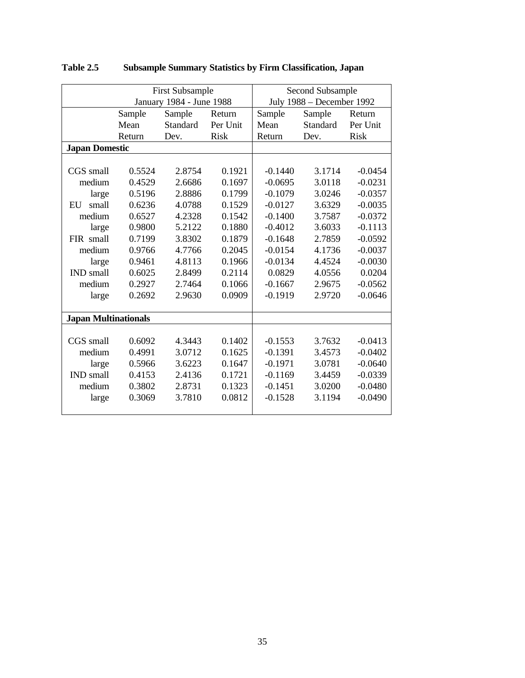|                             |        | <b>First Subsample</b>   |             |           | Second Subsample          |             |
|-----------------------------|--------|--------------------------|-------------|-----------|---------------------------|-------------|
|                             |        | January 1984 - June 1988 |             |           | July 1988 – December 1992 |             |
|                             | Sample | Sample                   | Return      | Sample    | Sample                    | Return      |
|                             | Mean   | Standard                 | Per Unit    | Mean      | Standard                  | Per Unit    |
|                             | Return | Dev.                     | <b>Risk</b> | Return    | Dev.                      | <b>Risk</b> |
| <b>Japan Domestic</b>       |        |                          |             |           |                           |             |
|                             |        |                          |             |           |                           |             |
| CGS small                   | 0.5524 | 2.8754                   | 0.1921      | $-0.1440$ | 3.1714                    | $-0.0454$   |
| medium                      | 0.4529 | 2.6686                   | 0.1697      | $-0.0695$ | 3.0118                    | $-0.0231$   |
| large                       | 0.5196 | 2.8886                   | 0.1799      | $-0.1079$ | 3.0246                    | $-0.0357$   |
| small<br>EU                 | 0.6236 | 4.0788                   | 0.1529      | $-0.0127$ | 3.6329                    | $-0.0035$   |
| medium                      | 0.6527 | 4.2328                   | 0.1542      | $-0.1400$ | 3.7587                    | $-0.0372$   |
| large                       | 0.9800 | 5.2122                   | 0.1880      | $-0.4012$ | 3.6033                    | $-0.1113$   |
| FIR small                   | 0.7199 | 3.8302                   | 0.1879      | $-0.1648$ | 2.7859                    | $-0.0592$   |
| medium                      | 0.9766 | 4.7766                   | 0.2045      | $-0.0154$ | 4.1736                    | $-0.0037$   |
| large                       | 0.9461 | 4.8113                   | 0.1966      | $-0.0134$ | 4.4524                    | $-0.0030$   |
| <b>IND</b> small            | 0.6025 | 2.8499                   | 0.2114      | 0.0829    | 4.0556                    | 0.0204      |
| medium                      | 0.2927 | 2.7464                   | 0.1066      | $-0.1667$ | 2.9675                    | $-0.0562$   |
| large                       | 0.2692 | 2.9630                   | 0.0909      | $-0.1919$ | 2.9720                    | $-0.0646$   |
|                             |        |                          |             |           |                           |             |
| <b>Japan Multinationals</b> |        |                          |             |           |                           |             |
|                             |        |                          |             |           |                           |             |
| CGS small                   | 0.6092 | 4.3443                   | 0.1402      | $-0.1553$ | 3.7632                    | $-0.0413$   |
| medium                      | 0.4991 | 3.0712                   | 0.1625      | $-0.1391$ | 3.4573                    | $-0.0402$   |
| large                       | 0.5966 | 3.6223                   | 0.1647      | $-0.1971$ | 3.0781                    | $-0.0640$   |
| <b>IND</b> small            | 0.4153 | 2.4136                   | 0.1721      | $-0.1169$ | 3.4459                    | $-0.0339$   |
| medium                      | 0.3802 | 2.8731                   | 0.1323      | $-0.1451$ | 3.0200                    | $-0.0480$   |
| large                       | 0.3069 | 3.7810                   | 0.0812      | $-0.1528$ | 3.1194                    | $-0.0490$   |
|                             |        |                          |             |           |                           |             |

**Table 2.5 Subsample Summary Statistics by Firm Classification, Japan**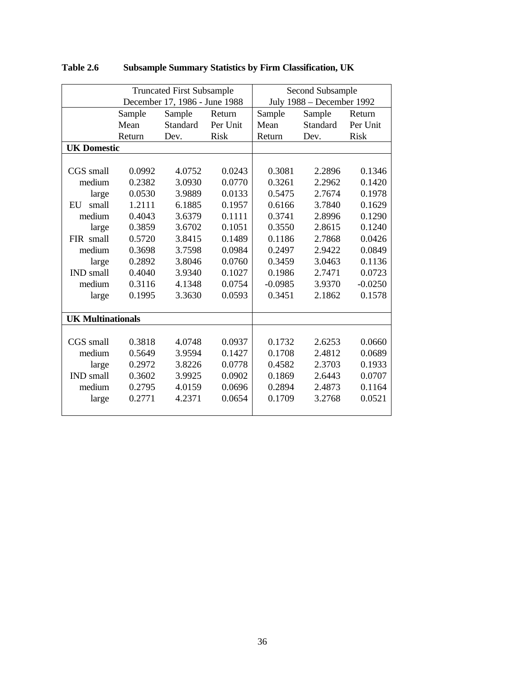|                          |        | <b>Truncated First Subsample</b> |             |           | Second Subsample          |             |
|--------------------------|--------|----------------------------------|-------------|-----------|---------------------------|-------------|
|                          |        | December 17, 1986 - June 1988    |             |           | July 1988 - December 1992 |             |
|                          | Sample | Sample                           | Return      | Sample    | Sample                    | Return      |
|                          | Mean   | Standard                         | Per Unit    | Mean      | Standard                  | Per Unit    |
|                          | Return | Dev.                             | <b>Risk</b> | Return    | Dev.                      | <b>Risk</b> |
| <b>UK Domestic</b>       |        |                                  |             |           |                           |             |
|                          |        |                                  |             |           |                           |             |
| CGS small                | 0.0992 | 4.0752                           | 0.0243      | 0.3081    | 2.2896                    | 0.1346      |
| medium                   | 0.2382 | 3.0930                           | 0.0770      | 0.3261    | 2.2962                    | 0.1420      |
| large                    | 0.0530 | 3.9889                           | 0.0133      | 0.5475    | 2.7674                    | 0.1978      |
| small<br>EU              | 1.2111 | 6.1885                           | 0.1957      | 0.6166    | 3.7840                    | 0.1629      |
| medium                   | 0.4043 | 3.6379                           | 0.1111      | 0.3741    | 2.8996                    | 0.1290      |
| large                    | 0.3859 | 3.6702                           | 0.1051      | 0.3550    | 2.8615                    | 0.1240      |
| FIR small                | 0.5720 | 3.8415                           | 0.1489      | 0.1186    | 2.7868                    | 0.0426      |
| medium                   | 0.3698 | 3.7598                           | 0.0984      | 0.2497    | 2.9422                    | 0.0849      |
| large                    | 0.2892 | 3.8046                           | 0.0760      | 0.3459    | 3.0463                    | 0.1136      |
| <b>IND</b> small         | 0.4040 | 3.9340                           | 0.1027      | 0.1986    | 2.7471                    | 0.0723      |
| medium                   | 0.3116 | 4.1348                           | 0.0754      | $-0.0985$ | 3.9370                    | $-0.0250$   |
| large                    | 0.1995 | 3.3630                           | 0.0593      | 0.3451    | 2.1862                    | 0.1578      |
|                          |        |                                  |             |           |                           |             |
| <b>UK Multinationals</b> |        |                                  |             |           |                           |             |
|                          |        |                                  |             |           |                           |             |
| CGS small                | 0.3818 | 4.0748                           | 0.0937      | 0.1732    | 2.6253                    | 0.0660      |
| medium                   | 0.5649 | 3.9594                           | 0.1427      | 0.1708    | 2.4812                    | 0.0689      |
| large                    | 0.2972 | 3.8226                           | 0.0778      | 0.4582    | 2.3703                    | 0.1933      |
| IND small                | 0.3602 | 3.9925                           | 0.0902      | 0.1869    | 2.6443                    | 0.0707      |
| medium                   | 0.2795 | 4.0159                           | 0.0696      | 0.2894    | 2.4873                    | 0.1164      |
| large                    | 0.2771 | 4.2371                           | 0.0654      | 0.1709    | 3.2768                    | 0.0521      |
|                          |        |                                  |             |           |                           |             |

**Table 2.6 Subsample Summary Statistics by Firm Classification, UK**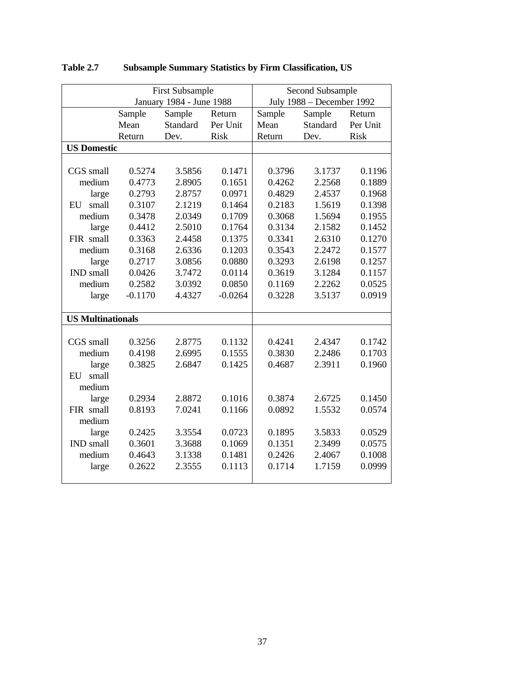|                          |           | <b>First Subsample</b>   |             | Second Subsample |                           |          |  |  |
|--------------------------|-----------|--------------------------|-------------|------------------|---------------------------|----------|--|--|
|                          |           | January 1984 - June 1988 |             |                  | July 1988 - December 1992 |          |  |  |
|                          | Sample    | Sample                   | Return      | Sample           | Sample                    | Return   |  |  |
|                          | Mean      | Standard                 | Per Unit    | Mean             | Standard                  | Per Unit |  |  |
|                          | Return    | Dev.                     | <b>Risk</b> | Return           | Dev.                      | Risk     |  |  |
| <b>US Domestic</b>       |           |                          |             |                  |                           |          |  |  |
|                          |           |                          |             |                  |                           |          |  |  |
| CGS small                | 0.5274    | 3.5856                   | 0.1471      | 0.3796           | 3.1737                    | 0.1196   |  |  |
| medium                   | 0.4773    | 2.8905                   | 0.1651      | 0.4262           | 2.2568                    | 0.1889   |  |  |
| large                    | 0.2793    | 2.8757                   | 0.0971      | 0.4829           | 2.4537                    | 0.1968   |  |  |
| small<br>EU              | 0.3107    | 2.1219                   | 0.1464      | 0.2183           | 1.5619                    | 0.1398   |  |  |
| medium                   | 0.3478    | 2.0349                   | 0.1709      | 0.3068           | 1.5694                    | 0.1955   |  |  |
| large                    | 0.4412    | 2.5010                   | 0.1764      | 0.3134           | 2.1582                    | 0.1452   |  |  |
| FIR small                | 0.3363    | 2.4458                   | 0.1375      | 0.3341           | 2.6310                    | 0.1270   |  |  |
| medium                   | 0.3168    | 2.6336                   | 0.1203      | 0.3543           | 2.2472                    | 0.1577   |  |  |
| large                    | 0.2717    | 3.0856                   | 0.0880      | 0.3293           | 2.6198                    | 0.1257   |  |  |
| <b>IND</b> small         | 0.0426    | 3.7472                   | 0.0114      | 0.3619           | 3.1284                    | 0.1157   |  |  |
| medium                   | 0.2582    | 3.0392                   | 0.0850      | 0.1169           | 2.2262                    | 0.0525   |  |  |
| large                    | $-0.1170$ | 4.4327                   | $-0.0264$   | 0.3228           | 3.5137                    | 0.0919   |  |  |
|                          |           |                          |             |                  |                           |          |  |  |
| <b>US Multinationals</b> |           |                          |             |                  |                           |          |  |  |
|                          |           |                          |             |                  |                           |          |  |  |
| CGS small                | 0.3256    | 2.8775                   | 0.1132      | 0.4241           | 2.4347                    | 0.1742   |  |  |
| medium                   | 0.4198    | 2.6995                   | 0.1555      | 0.3830           | 2.2486                    | 0.1703   |  |  |
| large                    | 0.3825    | 2.6847                   | 0.1425      | 0.4687           | 2.3911                    | 0.1960   |  |  |
| small<br>EU              |           |                          |             |                  |                           |          |  |  |
| medium                   |           |                          |             |                  |                           |          |  |  |
| large                    | 0.2934    | 2.8872                   | 0.1016      | 0.3874           | 2.6725                    | 0.1450   |  |  |
| FIR small                | 0.8193    | 7.0241                   | 0.1166      | 0.0892           | 1.5532                    | 0.0574   |  |  |
| medium                   |           |                          |             |                  |                           |          |  |  |
| large                    | 0.2425    | 3.3554                   | 0.0723      | 0.1895           | 3.5833                    | 0.0529   |  |  |
| <b>IND</b> small         | 0.3601    | 3.3688                   | 0.1069      | 0.1351           | 2.3499                    | 0.0575   |  |  |
| medium                   | 0.4643    | 3.1338                   | 0.1481      | 0.2426           | 2.4067                    | 0.1008   |  |  |
| large                    | 0.2622    | 2.3555                   | 0.1113      | 0.1714           | 1.7159                    | 0.0999   |  |  |
|                          |           |                          |             |                  |                           |          |  |  |

**Table 2.7 Subsample Summary Statistics by Firm Classification, US**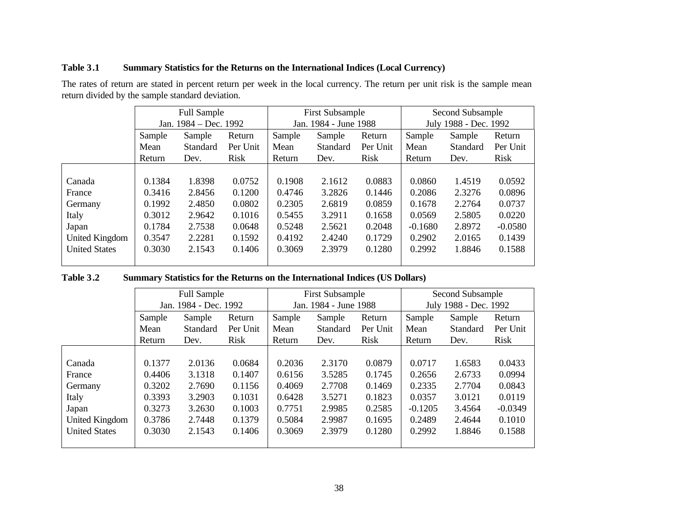## **Table 3.1 Summary Statistics for the Returns on the International Indices (Local Currency)**

| The rates of return are stated in percent return per week in the local currency. The return per unit risk is the sample mean |  |  |
|------------------------------------------------------------------------------------------------------------------------------|--|--|
| return divided by the sample standard deviation.                                                                             |  |  |

|                      |        | <b>Full Sample</b>    |          |        | <b>First Subsample</b> |          | Second Subsample      |          |           |
|----------------------|--------|-----------------------|----------|--------|------------------------|----------|-----------------------|----------|-----------|
|                      |        | Jan. 1984 – Dec. 1992 |          |        | Jan. 1984 - June 1988  |          | July 1988 - Dec. 1992 |          |           |
|                      | Sample | Sample                | Return   | Sample | Sample                 | Return   | Sample                | Sample   | Return    |
|                      | Mean   | Standard              | Per Unit | Mean   | Standard               | Per Unit | Mean                  | Standard | Per Unit  |
|                      | Return | Dev.                  | Risk     | Return | Dev.                   | Risk     | Return                | Dev.     | Risk      |
|                      |        |                       |          |        |                        |          |                       |          |           |
| Canada               | 0.1384 | 1.8398                | 0.0752   | 0.1908 | 2.1612                 | 0.0883   | 0.0860                | 1.4519   | 0.0592    |
| France               | 0.3416 | 2.8456                | 0.1200   | 0.4746 | 3.2826                 | 0.1446   | 0.2086                | 2.3276   | 0.0896    |
| Germany              | 0.1992 | 2.4850                | 0.0802   | 0.2305 | 2.6819                 | 0.0859   | 0.1678                | 2.2764   | 0.0737    |
| Italy                | 0.3012 | 2.9642                | 0.1016   | 0.5455 | 3.2911                 | 0.1658   | 0.0569                | 2.5805   | 0.0220    |
| Japan                | 0.1784 | 2.7538                | 0.0648   | 0.5248 | 2.5621                 | 0.2048   | $-0.1680$             | 2.8972   | $-0.0580$ |
| United Kingdom       | 0.3547 | 2.2281                | 0.1592   | 0.4192 | 2.4240                 | 0.1729   | 0.2902                | 2.0165   | 0.1439    |
| <b>United States</b> | 0.3030 | 2.1543                | 0.1406   | 0.3069 | 2.3979                 | 0.1280   | 0.2992                | 1.8846   | 0.1588    |
|                      |        |                       |          |        |                        |          |                       |          |           |

| Summary Statistics for the Returns on the International Indices (US Dollars) | <b>Table 3.2</b> |  |  |  |  |  |  |  |
|------------------------------------------------------------------------------|------------------|--|--|--|--|--|--|--|
|------------------------------------------------------------------------------|------------------|--|--|--|--|--|--|--|

|                      |        | <b>Full Sample</b>    |          |        | <b>First Subsample</b> |             |                       | Second Subsample |           |  |
|----------------------|--------|-----------------------|----------|--------|------------------------|-------------|-----------------------|------------------|-----------|--|
|                      |        | Jan. 1984 - Dec. 1992 |          |        | Jan. 1984 - June 1988  |             | July 1988 - Dec. 1992 |                  |           |  |
|                      | Sample | Sample                | Return   | Sample | Sample                 | Return      | Sample                | Sample           | Return    |  |
|                      | Mean   | Standard              | Per Unit | Mean   | Standard               | Per Unit    | Mean                  | Standard         | Per Unit  |  |
|                      | Return | Dev.                  | Risk     | Return | Dev.                   | <b>Risk</b> | Return                | Dev.             | Risk      |  |
|                      |        |                       |          |        |                        |             |                       |                  |           |  |
| Canada               | 0.1377 | 2.0136                | 0.0684   | 0.2036 | 2.3170                 | 0.0879      | 0.0717                | 1.6583           | 0.0433    |  |
| France               | 0.4406 | 3.1318                | 0.1407   | 0.6156 | 3.5285                 | 0.1745      | 0.2656                | 2.6733           | 0.0994    |  |
| Germany              | 0.3202 | 2.7690                | 0.1156   | 0.4069 | 2.7708                 | 0.1469      | 0.2335                | 2.7704           | 0.0843    |  |
| Italy                | 0.3393 | 3.2903                | 0.1031   | 0.6428 | 3.5271                 | 0.1823      | 0.0357                | 3.0121           | 0.0119    |  |
| Japan                | 0.3273 | 3.2630                | 0.1003   | 0.7751 | 2.9985                 | 0.2585      | $-0.1205$             | 3.4564           | $-0.0349$ |  |
| United Kingdom       | 0.3786 | 2.7448                | 0.1379   | 0.5084 | 2.9987                 | 0.1695      | 0.2489                | 2.4644           | 0.1010    |  |
| <b>United States</b> | 0.3030 | 2.1543                | 0.1406   | 0.3069 | 2.3979                 | 0.1280      | 0.2992                | 1.8846           | 0.1588    |  |
|                      |        |                       |          |        |                        |             |                       |                  |           |  |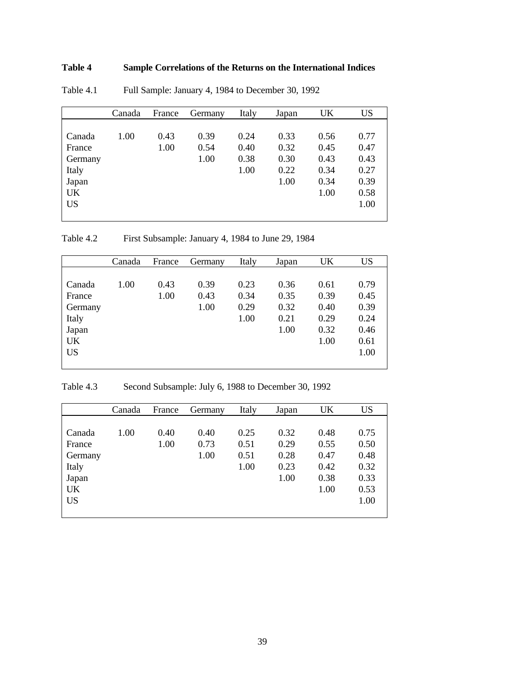## **Table 4 Sample Correlations of the Returns on the International Indices**

|           | Canada | France | Germany | Italy | Japan | <b>UK</b> | <b>US</b> |
|-----------|--------|--------|---------|-------|-------|-----------|-----------|
|           |        |        |         |       |       |           |           |
| Canada    | 1.00   | 0.43   | 0.39    | 0.24  | 0.33  | 0.56      | 0.77      |
| France    |        | 1.00   | 0.54    | 0.40  | 0.32  | 0.45      | 0.47      |
| Germany   |        |        | 1.00    | 0.38  | 0.30  | 0.43      | 0.43      |
| Italy     |        |        |         | 1.00  | 0.22  | 0.34      | 0.27      |
| Japan     |        |        |         |       | 1.00  | 0.34      | 0.39      |
| <b>UK</b> |        |        |         |       |       | 1.00      | 0.58      |
| <b>US</b> |        |        |         |       |       |           | 1.00      |
|           |        |        |         |       |       |           |           |

Table 4.1 Full Sample: January 4, 1984 to December 30, 1992

Table 4.2 First Subsample: January 4, 1984 to June 29, 1984

|           | Canada | France | Germany | Italy | Japan | UK   | <b>US</b> |
|-----------|--------|--------|---------|-------|-------|------|-----------|
|           |        |        |         |       |       |      |           |
| Canada    | 1.00   | 0.43   | 0.39    | 0.23  | 0.36  | 0.61 | 0.79      |
| France    |        | 1.00   | 0.43    | 0.34  | 0.35  | 0.39 | 0.45      |
| Germany   |        |        | 1.00    | 0.29  | 0.32  | 0.40 | 0.39      |
| Italy     |        |        |         | 1.00  | 0.21  | 0.29 | 0.24      |
| Japan     |        |        |         |       | 1.00  | 0.32 | 0.46      |
| <b>UK</b> |        |        |         |       |       | 1.00 | 0.61      |
| <b>US</b> |        |        |         |       |       |      | 1.00      |
|           |        |        |         |       |       |      |           |

Table 4.3 Second Subsample: July 6, 1988 to December 30, 1992

|           | Canada | France | Germany | Italy | Japan | <b>UK</b> | <b>US</b> |
|-----------|--------|--------|---------|-------|-------|-----------|-----------|
|           |        |        |         |       |       |           |           |
| Canada    | 1.00   | 0.40   | 0.40    | 0.25  | 0.32  | 0.48      | 0.75      |
| France    |        | 1.00   | 0.73    | 0.51  | 0.29  | 0.55      | 0.50      |
| Germany   |        |        | 1.00    | 0.51  | 0.28  | 0.47      | 0.48      |
| Italy     |        |        |         | 1.00  | 0.23  | 0.42      | 0.32      |
| Japan     |        |        |         |       | 1.00  | 0.38      | 0.33      |
| <b>UK</b> |        |        |         |       |       | 1.00      | 0.53      |
| <b>US</b> |        |        |         |       |       |           | 1.00      |
|           |        |        |         |       |       |           |           |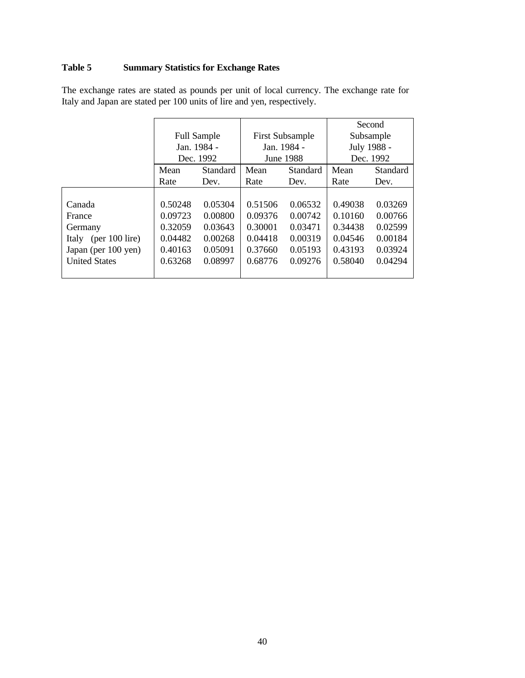## **Table 5 Summary Statistics for Exchange Rates**

The exchange rates are stated as pounds per unit of local currency. The exchange rate for Italy and Japan are stated per 100 units of lire and yen, respectively.

|                           |                    |             |                        |                  | Second      |          |
|---------------------------|--------------------|-------------|------------------------|------------------|-------------|----------|
|                           | <b>Full Sample</b> |             | <b>First Subsample</b> |                  | Subsample   |          |
|                           |                    | Jan. 1984 - |                        | Jan. 1984 -      | July 1988 - |          |
|                           |                    | Dec. 1992   |                        | <b>June 1988</b> | Dec. 1992   |          |
|                           | Mean               | Standard    | Mean                   | Standard         | Mean        | Standard |
|                           | Rate<br>Dev.       |             | Rate                   | Dev.             |             | Dev.     |
|                           |                    |             |                        |                  |             |          |
| Canada                    | 0.50248            | 0.05304     | 0.51506                | 0.06532          | 0.49038     | 0.03269  |
| France                    | 0.09723            | 0.00800     | 0.09376                | 0.00742          | 0.10160     | 0.00766  |
| Germany                   | 0.32059            | 0.03643     | 0.30001                | 0.03471          | 0.34438     | 0.02599  |
| $(per 100$ lire)<br>Italy | 0.04482            | 0.00268     | 0.04418                | 0.00319          | 0.04546     | 0.00184  |
| Japan (per 100 yen)       | 0.40163            | 0.05091     | 0.37660                | 0.05193          | 0.43193     | 0.03924  |
| <b>United States</b>      | 0.63268            | 0.08997     | 0.68776                | 0.09276          | 0.58040     | 0.04294  |
|                           |                    |             |                        |                  |             |          |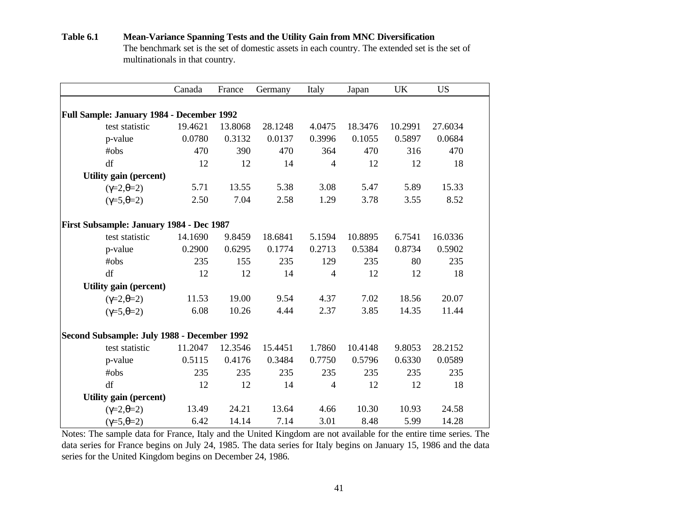### **Table 6.1 Mean-Variance Spanning Tests and the Utility Gain from MNC Diversification**

The benchmark set is the set of domestic assets in each country. The extended set is the set of multinationals in that country.

|                                                  | Canada  | France  | Germany | Italy          | Japan   | <b>UK</b> | <b>US</b> |
|--------------------------------------------------|---------|---------|---------|----------------|---------|-----------|-----------|
|                                                  |         |         |         |                |         |           |           |
| <b>Full Sample: January 1984 - December 1992</b> |         |         |         |                |         |           |           |
| test statistic                                   | 19.4621 | 13.8068 | 28.1248 | 4.0475         | 18.3476 | 10.2991   | 27.6034   |
| p-value                                          | 0.0780  | 0.3132  | 0.0137  | 0.3996         | 0.1055  | 0.5897    | 0.0684    |
| #obs                                             | 470     | 390     | 470     | 364            | 470     | 316       | 470       |
| df                                               | 12      | 12      | 14      | $\overline{4}$ | 12      | 12        | 18        |
| <b>Utility gain (percent)</b>                    |         |         |         |                |         |           |           |
| $(\gamma=2,\theta=2)$                            | 5.71    | 13.55   | 5.38    | 3.08           | 5.47    | 5.89      | 15.33     |
| $(\gamma=5, \theta=2)$                           | 2.50    | 7.04    | 2.58    | 1.29           | 3.78    | 3.55      | 8.52      |
| First Subsample: January 1984 - Dec 1987         |         |         |         |                |         |           |           |
| test statistic                                   | 14.1690 | 9.8459  | 18.6841 | 5.1594         | 10.8895 | 6.7541    | 16.0336   |
| p-value                                          | 0.2900  | 0.6295  | 0.1774  | 0.2713         | 0.5384  | 0.8734    | 0.5902    |
| #obs                                             | 235     | 155     | 235     | 129            | 235     | 80        | 235       |
| df                                               | 12      | 12      | 14      | $\overline{4}$ | 12      | 12        | 18        |
| Utility gain (percent)                           |         |         |         |                |         |           |           |
| $(\gamma=2,\theta=2)$                            | 11.53   | 19.00   | 9.54    | 4.37           | 7.02    | 18.56     | 20.07     |
| $(\gamma=5, \theta=2)$                           | 6.08    | 10.26   | 4.44    | 2.37           | 3.85    | 14.35     | 11.44     |
| Second Subsample: July 1988 - December 1992      |         |         |         |                |         |           |           |
| test statistic                                   | 11.2047 | 12.3546 | 15.4451 | 1.7860         | 10.4148 | 9.8053    | 28.2152   |
| p-value                                          | 0.5115  | 0.4176  | 0.3484  | 0.7750         | 0.5796  | 0.6330    | 0.0589    |
| #obs                                             | 235     | 235     | 235     | 235            | 235     | 235       | 235       |
| df                                               | 12      | 12      | 14      | $\overline{4}$ | 12      | 12        | 18        |
| Utility gain (percent)                           |         |         |         |                |         |           |           |
| $(\gamma=2,\theta=2)$                            | 13.49   | 24.21   | 13.64   | 4.66           | 10.30   | 10.93     | 24.58     |
| $(\gamma=5, \theta=2)$                           | 6.42    | 14.14   | 7.14    | 3.01           | 8.48    | 5.99      | 14.28     |

Notes: The sample data for France, Italy and the United Kingdom are not available for the entire time series. The data series for France begins on July 24, 1985. The data series for Italy begins on January 15, 1986 and the data series for the United Kingdom begins on December 24, 1986.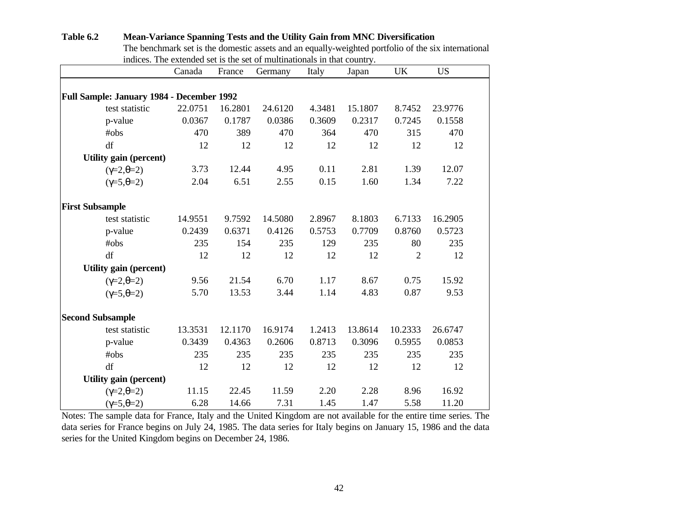|                                                  | Canada  | France  | Germany | Italy  | Japan   | <b>UK</b>      | <b>US</b> |
|--------------------------------------------------|---------|---------|---------|--------|---------|----------------|-----------|
|                                                  |         |         |         |        |         |                |           |
| <b>Full Sample: January 1984 - December 1992</b> |         |         |         |        |         |                |           |
| test statistic                                   | 22.0751 | 16.2801 | 24.6120 | 4.3481 | 15.1807 | 8.7452         | 23.9776   |
| p-value                                          | 0.0367  | 0.1787  | 0.0386  | 0.3609 | 0.2317  | 0.7245         | 0.1558    |
| #obs                                             | 470     | 389     | 470     | 364    | 470     | 315            | 470       |
| df                                               | 12      | 12      | 12      | 12     | 12      | 12             | 12        |
| <b>Utility gain (percent)</b>                    |         |         |         |        |         |                |           |
| $(\gamma=2,\theta=2)$                            | 3.73    | 12.44   | 4.95    | 0.11   | 2.81    | 1.39           | 12.07     |
| $(\gamma=5, \theta=2)$                           | 2.04    | 6.51    | 2.55    | 0.15   | 1.60    | 1.34           | 7.22      |
| <b>First Subsample</b>                           |         |         |         |        |         |                |           |
| test statistic                                   | 14.9551 | 9.7592  | 14.5080 | 2.8967 | 8.1803  | 6.7133         | 16.2905   |
| p-value                                          | 0.2439  | 0.6371  | 0.4126  | 0.5753 | 0.7709  | 0.8760         | 0.5723    |
| #obs                                             | 235     | 154     | 235     | 129    | 235     | 80             | 235       |
| df                                               | 12      | 12      | 12      | 12     | 12      | $\overline{2}$ | 12        |
| Utility gain (percent)                           |         |         |         |        |         |                |           |
| $(\gamma=2,\theta=2)$                            | 9.56    | 21.54   | 6.70    | 1.17   | 8.67    | 0.75           | 15.92     |
| $(\gamma=5, \theta=2)$                           | 5.70    | 13.53   | 3.44    | 1.14   | 4.83    | 0.87           | 9.53      |
| <b>Second Subsample</b>                          |         |         |         |        |         |                |           |
| test statistic                                   | 13.3531 | 12.1170 | 16.9174 | 1.2413 | 13.8614 | 10.2333        | 26.6747   |
| p-value                                          | 0.3439  | 0.4363  | 0.2606  | 0.8713 | 0.3096  | 0.5955         | 0.0853    |
| #obs                                             | 235     | 235     | 235     | 235    | 235     | 235            | 235       |
| df                                               | 12      | 12      | 12      | 12     | 12      | 12             | 12        |
| <b>Utility gain (percent)</b>                    |         |         |         |        |         |                |           |
| $(\gamma = 2, \theta = 2)$                       | 11.15   | 22.45   | 11.59   | 2.20   | 2.28    | 8.96           | 16.92     |
| $(\gamma=5, \theta=2)$                           | 6.28    | 14.66   | 7.31    | 1.45   | 1.47    | 5.58           | 11.20     |

### **Table 6.2 Mean-Variance Spanning Tests and the Utility Gain from MNC Diversification**

The benchmark set is the domestic assets and an equally-weighted portfolio of the six international indices. The extended set is the set of multinationals in that country.

Notes: The sample data for France, Italy and the United Kingdom are not available for the entire time series. The data series for France begins on July 24, 1985. The data series for Italy begins on January 15, 1986 and the data series for the United Kingdom begins on December 24, 1986.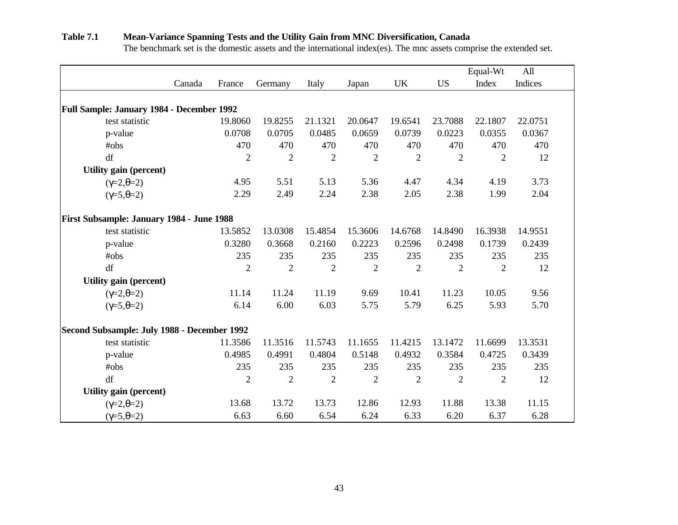## **Table 7.1 Mean-Variance Spanning Tests and the Utility Gain from MNC Diversification, Canada**

|                                             |                  |                |                                  |                |                |                | Equal-Wt       | All     |
|---------------------------------------------|------------------|----------------|----------------------------------|----------------|----------------|----------------|----------------|---------|
|                                             | France<br>Canada | Germany        | Italy                            | Japan          | <b>UK</b>      | <b>US</b>      | Index          | Indices |
| Full Sample: January 1984 - December 1992   |                  |                |                                  |                |                |                |                |         |
| test statistic                              | 19.8060          | 19.8255        | 21.1321                          | 20.0647        | 19.6541        | 23.7088        | 22.1807        | 22.0751 |
| p-value                                     | 0.0708           | 0.0705         | 0.0485                           | 0.0659         | 0.0739         | 0.0223         | 0.0355         | 0.0367  |
| #obs                                        |                  | 470            | 470<br>470                       | 470            | 470            | 470            | 470            | 470     |
| df                                          |                  | $\overline{2}$ | $\overline{2}$<br>$\overline{2}$ | $\overline{2}$ | $\overline{2}$ | $\overline{2}$ | $\overline{2}$ | 12      |
| Utility gain (percent)                      |                  |                |                                  |                |                |                |                |         |
| $(\gamma=2,\theta=2)$                       |                  | 5.51<br>4.95   | 5.13                             | 5.36           | 4.47           | 4.34           | 4.19           | 3.73    |
| $(\gamma=5, \theta=2)$                      |                  | 2.29<br>2.49   | 2.24                             | 2.38           | 2.05           | 2.38           | 1.99           | 2.04    |
| First Subsample: January 1984 - June 1988   |                  |                |                                  |                |                |                |                |         |
| test statistic                              | 13.5852          | 13.0308        | 15.4854                          | 15.3606        | 14.6768        | 14.8490        | 16.3938        | 14.9551 |
| p-value                                     | 0.3280           | 0.3668         | 0.2160                           | 0.2223         | 0.2596         | 0.2498         | 0.1739         | 0.2439  |
| #obs                                        |                  | 235            | 235<br>235                       | 235            | 235            | 235            | 235            | 235     |
| df                                          |                  | $\overline{2}$ | $\overline{2}$<br>$\overline{2}$ | $\overline{2}$ | $\overline{2}$ | $\overline{2}$ | $\overline{2}$ | 12      |
| Utility gain (percent)                      |                  |                |                                  |                |                |                |                |         |
| $(\gamma=2,\theta=2)$                       |                  | 11.24<br>11.14 | 11.19                            | 9.69           | 10.41          | 11.23          | 10.05          | 9.56    |
| $(\gamma=5, \theta=2)$                      |                  | 6.00<br>6.14   | 6.03                             | 5.75           | 5.79           | 6.25           | 5.93           | 5.70    |
| Second Subsample: July 1988 - December 1992 |                  |                |                                  |                |                |                |                |         |
| test statistic                              | 11.3586          | 11.3516        | 11.5743                          | 11.1655        | 11.4215        | 13.1472        | 11.6699        | 13.3531 |
| p-value                                     | 0.4985           | 0.4991         | 0.4804                           | 0.5148         | 0.4932         | 0.3584         | 0.4725         | 0.3439  |
| #obs                                        |                  | 235            | 235<br>235                       | 235            | 235            | 235            | 235            | 235     |
| df                                          |                  | $\overline{2}$ | $\overline{2}$<br>$\overline{2}$ | $\overline{2}$ | $\overline{2}$ | $\overline{2}$ | $\overline{2}$ | 12      |
| Utility gain (percent)                      |                  |                |                                  |                |                |                |                |         |
| $(\gamma=2,\theta=2)$                       |                  | 13.68<br>13.72 | 13.73                            | 12.86          | 12.93          | 11.88          | 13.38          | 11.15   |
| $(\gamma=5, \theta=2)$                      |                  | 6.60<br>6.63   | 6.54                             | 6.24           | 6.33           | 6.20           | 6.37           | 6.28    |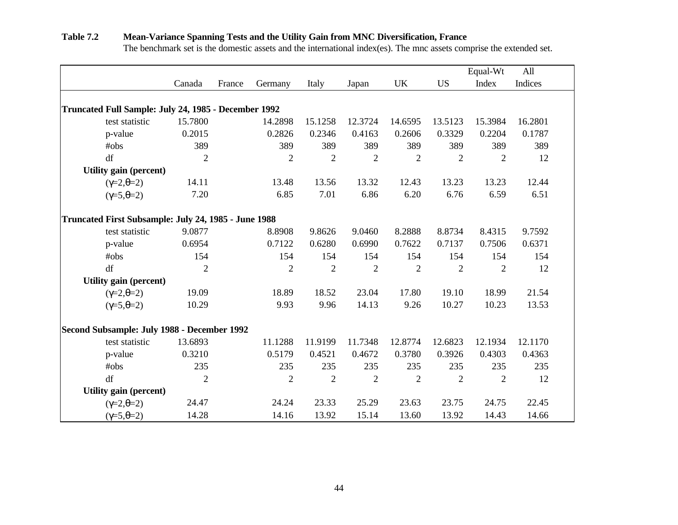## **Table 7.2 Mean-Variance Spanning Tests and the Utility Gain from MNC Diversification, France**

|                                                      |                |        |                |                |                |                |                | Equal-Wt       | All     |
|------------------------------------------------------|----------------|--------|----------------|----------------|----------------|----------------|----------------|----------------|---------|
|                                                      | Canada         | France | Germany        | Italy          | Japan          | <b>UK</b>      | <b>US</b>      | Index          | Indices |
| Truncated Full Sample: July 24, 1985 - December 1992 |                |        |                |                |                |                |                |                |         |
| test statistic                                       | 15.7800        |        | 14.2898        | 15.1258        | 12.3724        | 14.6595        | 13.5123        | 15.3984        | 16.2801 |
| p-value                                              | 0.2015         |        | 0.2826         | 0.2346         | 0.4163         | 0.2606         | 0.3329         | 0.2204         | 0.1787  |
| #obs                                                 | 389            |        | 389            | 389            | 389            | 389            | 389            | 389            | 389     |
| df                                                   | $\overline{2}$ |        | $\overline{2}$ | $\overline{2}$ | $\sqrt{2}$     | $\mathfrak{2}$ | $\overline{2}$ | $\overline{2}$ | 12      |
| Utility gain (percent)                               |                |        |                |                |                |                |                |                |         |
| $(\gamma=2,\theta=2)$                                | 14.11          |        | 13.48          | 13.56          | 13.32          | 12.43          | 13.23          | 13.23          | 12.44   |
| $(\gamma=5, \theta=2)$                               | 7.20           |        | 6.85           | 7.01           | 6.86           | 6.20           | 6.76           | 6.59           | 6.51    |
| Truncated First Subsample: July 24, 1985 - June 1988 |                |        |                |                |                |                |                |                |         |
| test statistic                                       | 9.0877         |        | 8.8908         | 9.8626         | 9.0460         | 8.2888         | 8.8734         | 8.4315         | 9.7592  |
| p-value                                              | 0.6954         |        | 0.7122         | 0.6280         | 0.6990         | 0.7622         | 0.7137         | 0.7506         | 0.6371  |
| #obs                                                 | 154            |        | 154            | 154            | 154            | 154            | 154            | 154            | 154     |
| df                                                   | $\overline{2}$ |        | $\overline{2}$ | $\overline{2}$ | $\overline{2}$ | $\overline{2}$ | $\overline{2}$ | $\overline{2}$ | 12      |
| Utility gain (percent)                               |                |        |                |                |                |                |                |                |         |
| $(\gamma=2,\theta=2)$                                | 19.09          |        | 18.89          | 18.52          | 23.04          | 17.80          | 19.10          | 18.99          | 21.54   |
| $(\gamma=5, \theta=2)$                               | 10.29          |        | 9.93           | 9.96           | 14.13          | 9.26           | 10.27          | 10.23          | 13.53   |
| Second Subsample: July 1988 - December 1992          |                |        |                |                |                |                |                |                |         |
| test statistic                                       | 13.6893        |        | 11.1288        | 11.9199        | 11.7348        | 12.8774        | 12.6823        | 12.1934        | 12.1170 |
| p-value                                              | 0.3210         |        | 0.5179         | 0.4521         | 0.4672         | 0.3780         | 0.3926         | 0.4303         | 0.4363  |
| #obs                                                 | 235            |        | 235            | 235            | 235            | 235            | 235            | 235            | 235     |
| df                                                   | $\overline{2}$ |        | $\overline{2}$ | $\overline{2}$ | $\overline{2}$ | $\overline{2}$ | $\overline{2}$ | $\overline{2}$ | 12      |
| Utility gain (percent)                               |                |        |                |                |                |                |                |                |         |
| $(\gamma=2,\theta=2)$                                | 24.47          |        | 24.24          | 23.33          | 25.29          | 23.63          | 23.75          | 24.75          | 22.45   |
| $(\gamma = 5, \theta = 2)$                           | 14.28          |        | 14.16          | 13.92          | 15.14          | 13.60          | 13.92          | 14.43          | 14.66   |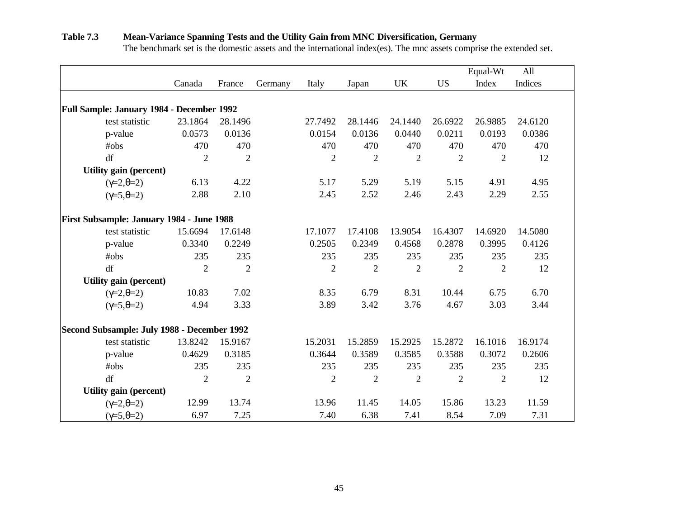## **Table 7.3 Mean-Variance Spanning Tests and the Utility Gain from MNC Diversification, Germany**

|                                             |                |                |         |                |                |                |                | Equal-Wt       | All     |
|---------------------------------------------|----------------|----------------|---------|----------------|----------------|----------------|----------------|----------------|---------|
|                                             | Canada         | France         | Germany | Italy          | Japan          | <b>UK</b>      | <b>US</b>      | Index          | Indices |
|                                             |                |                |         |                |                |                |                |                |         |
| Full Sample: January 1984 - December 1992   |                |                |         |                |                |                |                |                |         |
| test statistic                              | 23.1864        | 28.1496        |         | 27.7492        | 28.1446        | 24.1440        | 26.6922        | 26.9885        | 24.6120 |
| p-value                                     | 0.0573         | 0.0136         |         | 0.0154         | 0.0136         | 0.0440         | 0.0211         | 0.0193         | 0.0386  |
| #obs                                        | 470            | 470            |         | 470            | 470            | 470            | 470            | 470            | 470     |
| df                                          | $\overline{2}$ | $\overline{2}$ |         | $\overline{2}$ | $\overline{2}$ | $\overline{2}$ | $\overline{2}$ | $\overline{2}$ | 12      |
| Utility gain (percent)                      |                |                |         |                |                |                |                |                |         |
| $(\gamma=2,\theta=2)$                       | 6.13           | 4.22           |         | 5.17           | 5.29           | 5.19           | 5.15           | 4.91           | 4.95    |
| $(\gamma=5, \theta=2)$                      | 2.88           | 2.10           |         | 2.45           | 2.52           | 2.46           | 2.43           | 2.29           | 2.55    |
| First Subsample: January 1984 - June 1988   |                |                |         |                |                |                |                |                |         |
| test statistic                              | 15.6694        | 17.6148        |         | 17.1077        | 17.4108        | 13.9054        | 16.4307        | 14.6920        | 14.5080 |
| p-value                                     | 0.3340         | 0.2249         |         | 0.2505         | 0.2349         | 0.4568         | 0.2878         | 0.3995         | 0.4126  |
| #obs                                        | 235            | 235            |         | 235            | 235            | 235            | 235            | 235            | 235     |
| df                                          | $\overline{2}$ | $\overline{2}$ |         | $\overline{2}$ | $\overline{2}$ | $\overline{2}$ | $\overline{2}$ | $\overline{2}$ | 12      |
| Utility gain (percent)                      |                |                |         |                |                |                |                |                |         |
| $(\gamma=2,\theta=2)$                       | 10.83          | 7.02           |         | 8.35           | 6.79           | 8.31           | 10.44          | 6.75           | 6.70    |
| $(\gamma=5, \theta=2)$                      | 4.94           | 3.33           |         | 3.89           | 3.42           | 3.76           | 4.67           | 3.03           | 3.44    |
| Second Subsample: July 1988 - December 1992 |                |                |         |                |                |                |                |                |         |
| test statistic                              | 13.8242        | 15.9167        |         | 15.2031        | 15.2859        | 15.2925        | 15.2872        | 16.1016        | 16.9174 |
| p-value                                     | 0.4629         | 0.3185         |         | 0.3644         | 0.3589         | 0.3585         | 0.3588         | 0.3072         | 0.2606  |
| #obs                                        | 235            | 235            |         | 235            | 235            | 235            | 235            | 235            | 235     |
| df                                          | $\overline{2}$ | $\overline{2}$ |         | $\overline{2}$ | $\overline{2}$ | $\overline{2}$ | $\overline{2}$ | $\overline{2}$ | 12      |
| Utility gain (percent)                      |                |                |         |                |                |                |                |                |         |
| $(\gamma=2,\theta=2)$                       | 12.99          | 13.74          |         | 13.96          | 11.45          | 14.05          | 15.86          | 13.23          | 11.59   |
| $(\gamma=5, \theta=2)$                      | 6.97           | 7.25           |         | 7.40           | 6.38           | 7.41           | 8.54           | 7.09           | 7.31    |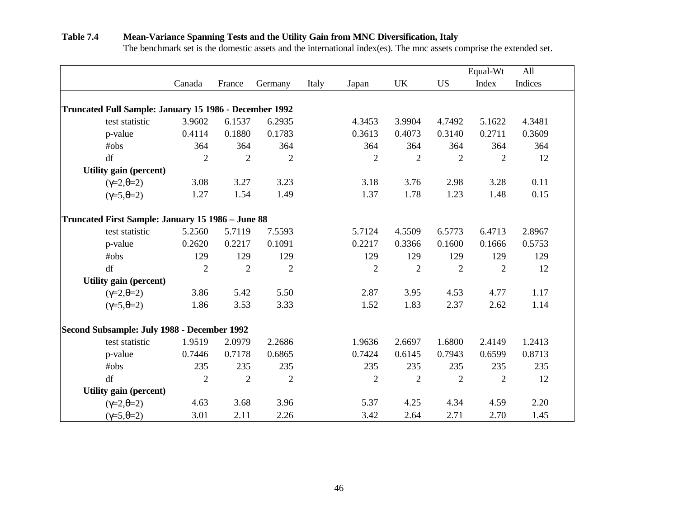## **Table 7.4 Mean-Variance Spanning Tests and the Utility Gain from MNC Diversification, Italy**

|                                                        |                |                |                |       |                |                |                | Equal-Wt       | All     |
|--------------------------------------------------------|----------------|----------------|----------------|-------|----------------|----------------|----------------|----------------|---------|
|                                                        | Canada         | France         | Germany        | Italy | Japan          | <b>UK</b>      | <b>US</b>      | Index          | Indices |
| Truncated Full Sample: January 15 1986 - December 1992 |                |                |                |       |                |                |                |                |         |
| test statistic                                         | 3.9602         | 6.1537         | 6.2935         |       | 4.3453         | 3.9904         | 4.7492         | 5.1622         | 4.3481  |
| p-value                                                | 0.4114         | 0.1880         | 0.1783         |       | 0.3613         | 0.4073         | 0.3140         | 0.2711         | 0.3609  |
| #obs                                                   | 364            | 364            | 364            |       | 364            | 364            | 364            | 364            | 364     |
| df                                                     | $\overline{2}$ | $\overline{2}$ | $\overline{2}$ |       | $\overline{2}$ | $\overline{2}$ | $\overline{2}$ | $\overline{2}$ | 12      |
| Utility gain (percent)                                 |                |                |                |       |                |                |                |                |         |
| $(\gamma=2,\theta=2)$                                  | 3.08           | 3.27           | 3.23           |       | 3.18           | 3.76           | 2.98           | 3.28           | 0.11    |
| $(\gamma=5, \theta=2)$                                 | 1.27           | 1.54           | 1.49           |       | 1.37           | 1.78           | 1.23           | 1.48           | 0.15    |
| Truncated First Sample: January 15 1986 - June 88      |                |                |                |       |                |                |                |                |         |
| test statistic                                         | 5.2560         | 5.7119         | 7.5593         |       | 5.7124         | 4.5509         | 6.5773         | 6.4713         | 2.8967  |
| p-value                                                | 0.2620         | 0.2217         | 0.1091         |       | 0.2217         | 0.3366         | 0.1600         | 0.1666         | 0.5753  |
| #obs                                                   | 129            | 129            | 129            |       | 129            | 129            | 129            | 129            | 129     |
| df                                                     | $\overline{2}$ | $\overline{2}$ | $\overline{2}$ |       | $\overline{2}$ | $\overline{2}$ | $\overline{2}$ | $\overline{2}$ | 12      |
| Utility gain (percent)                                 |                |                |                |       |                |                |                |                |         |
| $(\gamma=2,\theta=2)$                                  | 3.86           | 5.42           | 5.50           |       | 2.87           | 3.95           | 4.53           | 4.77           | 1.17    |
| $(\gamma=5, \theta=2)$                                 | 1.86           | 3.53           | 3.33           |       | 1.52           | 1.83           | 2.37           | 2.62           | 1.14    |
| Second Subsample: July 1988 - December 1992            |                |                |                |       |                |                |                |                |         |
| test statistic                                         | 1.9519         | 2.0979         | 2.2686         |       | 1.9636         | 2.6697         | 1.6800         | 2.4149         | 1.2413  |
| p-value                                                | 0.7446         | 0.7178         | 0.6865         |       | 0.7424         | 0.6145         | 0.7943         | 0.6599         | 0.8713  |
| #obs                                                   | 235            | 235            | 235            |       | 235            | 235            | 235            | 235            | 235     |
| df                                                     | $\overline{2}$ | $\overline{2}$ | $\overline{2}$ |       | $\overline{2}$ | $\overline{2}$ | $\overline{2}$ | $\overline{2}$ | 12      |
| Utility gain (percent)                                 |                |                |                |       |                |                |                |                |         |
| $(\gamma=2,\theta=2)$                                  | 4.63           | 3.68           | 3.96           |       | 5.37           | 4.25           | 4.34           | 4.59           | 2.20    |
| $(\gamma=5, \theta=2)$                                 | 3.01           | 2.11           | 2.26           |       | 3.42           | 2.64           | 2.71           | 2.70           | 1.45    |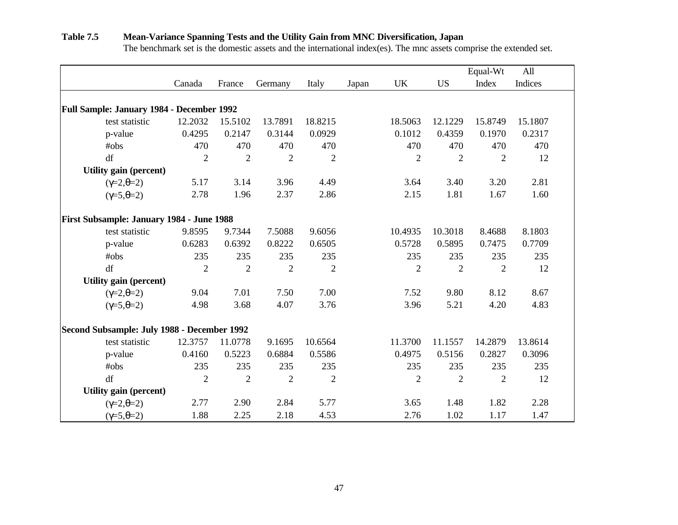## **Table 7.5 Mean-Variance Spanning Tests and the Utility Gain from MNC Diversification, Japan**

|                                                  |                |                |                |                |       |                |                | Equal-Wt       | All     |
|--------------------------------------------------|----------------|----------------|----------------|----------------|-------|----------------|----------------|----------------|---------|
|                                                  | Canada         | France         | Germany        | Italy          | Japan | <b>UK</b>      | <b>US</b>      | Index          | Indices |
| <b>Full Sample: January 1984 - December 1992</b> |                |                |                |                |       |                |                |                |         |
| test statistic                                   | 12.2032        | 15.5102        | 13.7891        | 18.8215        |       | 18.5063        | 12.1229        | 15.8749        | 15.1807 |
| p-value                                          | 0.4295         | 0.2147         | 0.3144         | 0.0929         |       | 0.1012         | 0.4359         | 0.1970         | 0.2317  |
| #obs                                             | 470            | 470            | 470            | 470            |       | 470            | 470            | 470            | 470     |
| df                                               | $\overline{2}$ | $\overline{2}$ | $\mathfrak{2}$ | $\overline{2}$ |       | $\overline{2}$ | $\overline{2}$ | $\overline{2}$ | 12      |
| Utility gain (percent)                           |                |                |                |                |       |                |                |                |         |
| $(\gamma=2,\theta=2)$                            | 5.17           | 3.14           | 3.96           | 4.49           |       | 3.64           | 3.40           | 3.20           | 2.81    |
| $(\gamma=5, \theta=2)$                           | 2.78           | 1.96           | 2.37           | 2.86           |       | 2.15           | 1.81           | 1.67           | 1.60    |
| <b>First Subsample: January 1984 - June 1988</b> |                |                |                |                |       |                |                |                |         |
| test statistic                                   | 9.8595         | 9.7344         | 7.5088         | 9.6056         |       | 10.4935        | 10.3018        | 8.4688         | 8.1803  |
| p-value                                          | 0.6283         | 0.6392         | 0.8222         | 0.6505         |       | 0.5728         | 0.5895         | 0.7475         | 0.7709  |
| #obs                                             | 235            | 235            | 235            | 235            |       | 235            | 235            | 235            | 235     |
| df                                               | $\overline{2}$ | $\overline{2}$ | $\overline{2}$ | $\overline{2}$ |       | $\overline{2}$ | $\overline{2}$ | $\overline{2}$ | 12      |
| Utility gain (percent)                           |                |                |                |                |       |                |                |                |         |
| $(\gamma=2,\theta=2)$                            | 9.04           | 7.01           | 7.50           | 7.00           |       | 7.52           | 9.80           | 8.12           | 8.67    |
| $(\gamma=5, \theta=2)$                           | 4.98           | 3.68           | 4.07           | 3.76           |       | 3.96           | 5.21           | 4.20           | 4.83    |
| Second Subsample: July 1988 - December 1992      |                |                |                |                |       |                |                |                |         |
| test statistic                                   | 12.3757        | 11.0778        | 9.1695         | 10.6564        |       | 11.3700        | 11.1557        | 14.2879        | 13.8614 |
| p-value                                          | 0.4160         | 0.5223         | 0.6884         | 0.5586         |       | 0.4975         | 0.5156         | 0.2827         | 0.3096  |
| #obs                                             | 235            | 235            | 235            | 235            |       | 235            | 235            | 235            | 235     |
| df                                               | $\overline{2}$ | $\overline{2}$ | $\mathfrak{2}$ | $\overline{2}$ |       | $\overline{2}$ | $\overline{2}$ | $\overline{2}$ | 12      |
| Utility gain (percent)                           |                |                |                |                |       |                |                |                |         |
| $(\gamma = 2, \theta = 2)$                       | 2.77           | 2.90           | 2.84           | 5.77           |       | 3.65           | 1.48           | 1.82           | 2.28    |
| $(\gamma=5, \theta=2)$                           | 1.88           | 2.25           | 2.18           | 4.53           |       | 2.76           | 1.02           | 1.17           | 1.47    |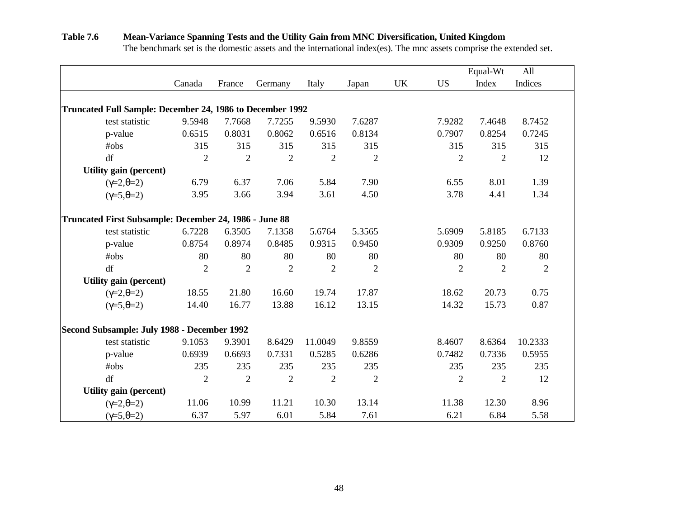|                                                           |                |                |                |                |                |    |                | Equal-Wt       | All            |  |
|-----------------------------------------------------------|----------------|----------------|----------------|----------------|----------------|----|----------------|----------------|----------------|--|
|                                                           | Canada         | France         | Germany        | Italy          | Japan          | UK | <b>US</b>      | <b>Index</b>   | Indices        |  |
| Truncated Full Sample: December 24, 1986 to December 1992 |                |                |                |                |                |    |                |                |                |  |
| test statistic                                            | 9.5948         | 7.7668         | 7.7255         | 9.5930         | 7.6287         |    | 7.9282         | 7.4648         | 8.7452         |  |
| p-value                                                   | 0.6515         | 0.8031         | 0.8062         | 0.6516         | 0.8134         |    | 0.7907         | 0.8254         | 0.7245         |  |
| #obs                                                      | 315            | 315            | 315            | 315            | 315            |    | 315            | 315            | 315            |  |
| df                                                        | $\overline{2}$ | $\overline{2}$ | $\overline{2}$ | $\overline{2}$ | $\overline{2}$ |    | $\overline{2}$ | $\overline{2}$ | 12             |  |
| Utility gain (percent)                                    |                |                |                |                |                |    |                |                |                |  |
| $(\gamma=2,\theta=2)$                                     | 6.79           | 6.37           | 7.06           | 5.84           | 7.90           |    | 6.55           | 8.01           | 1.39           |  |
| $(\gamma=5, \theta=2)$                                    | 3.95           | 3.66           | 3.94           | 3.61           | 4.50           |    | 3.78           | 4.41           | 1.34           |  |
| Truncated First Subsample: December 24, 1986 - June 88    |                |                |                |                |                |    |                |                |                |  |
| test statistic                                            | 6.7228         | 6.3505         | 7.1358         | 5.6764         | 5.3565         |    | 5.6909         | 5.8185         | 6.7133         |  |
| p-value                                                   | 0.8754         | 0.8974         | 0.8485         | 0.9315         | 0.9450         |    | 0.9309         | 0.9250         | 0.8760         |  |
| #obs                                                      | 80             | 80             | 80             | 80             | 80             |    | 80             | 80             | 80             |  |
| df                                                        | $\overline{2}$ | $\overline{2}$ | $\overline{2}$ | $\overline{2}$ | $\overline{2}$ |    | $\overline{2}$ | $\overline{2}$ | $\overline{2}$ |  |
| Utility gain (percent)                                    |                |                |                |                |                |    |                |                |                |  |
| $(\gamma=2,\theta=2)$                                     | 18.55          | 21.80          | 16.60          | 19.74          | 17.87          |    | 18.62          | 20.73          | 0.75           |  |
| $(\gamma=5, \theta=2)$                                    | 14.40          | 16.77          | 13.88          | 16.12          | 13.15          |    | 14.32          | 15.73          | 0.87           |  |
| Second Subsample: July 1988 - December 1992               |                |                |                |                |                |    |                |                |                |  |
| test statistic                                            | 9.1053         | 9.3901         | 8.6429         | 11.0049        | 9.8559         |    | 8.4607         | 8.6364         | 10.2333        |  |
| p-value                                                   | 0.6939         | 0.6693         | 0.7331         | 0.5285         | 0.6286         |    | 0.7482         | 0.7336         | 0.5955         |  |
| #obs                                                      | 235            | 235            | 235            | 235            | 235            |    | 235            | 235            | 235            |  |
| df                                                        | $\overline{2}$ | $\overline{2}$ | $\overline{2}$ | $\overline{2}$ | $\overline{2}$ |    | $\overline{2}$ | $\overline{2}$ | 12             |  |
| Utility gain (percent)                                    |                |                |                |                |                |    |                |                |                |  |
| $(\gamma = 2, \theta = 2)$                                | 11.06          | 10.99          | 11.21          | 10.30          | 13.14          |    | 11.38          | 12.30          | 8.96           |  |
| $(\gamma = 5, \theta = 2)$                                | 6.37           | 5.97           | 6.01           | 5.84           | 7.61           |    | 6.21           | 6.84           | 5.58           |  |

## **Table 7.6 Mean-Variance Spanning Tests and the Utility Gain from MNC Diversification, United Kingdom**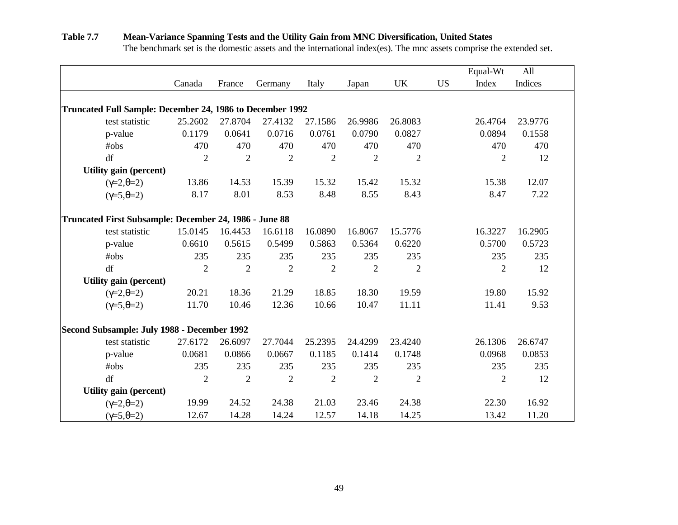|                                                           |                |                |                |                |                |                |           | Equal-Wt       | All     |  |
|-----------------------------------------------------------|----------------|----------------|----------------|----------------|----------------|----------------|-----------|----------------|---------|--|
|                                                           | Canada         | France         | Germany        | Italy          | Japan          | <b>UK</b>      | <b>US</b> | <b>Index</b>   | Indices |  |
| Truncated Full Sample: December 24, 1986 to December 1992 |                |                |                |                |                |                |           |                |         |  |
| test statistic                                            | 25.2602        | 27.8704        | 27.4132        | 27.1586        | 26.9986        | 26.8083        |           | 26.4764        | 23.9776 |  |
| p-value                                                   | 0.1179         | 0.0641         | 0.0716         | 0.0761         | 0.0790         | 0.0827         |           | 0.0894         | 0.1558  |  |
| #obs                                                      | 470            | 470            | 470            | 470            | 470            | 470            |           | 470            | 470     |  |
| df                                                        | $\overline{2}$ | $\overline{2}$ | $\mathfrak{2}$ | $\overline{2}$ | $\overline{2}$ | $\overline{2}$ |           | $\overline{2}$ | 12      |  |
| Utility gain (percent)                                    |                |                |                |                |                |                |           |                |         |  |
| $(\gamma=2,\theta=2)$                                     | 13.86          | 14.53          | 15.39          | 15.32          | 15.42          | 15.32          |           | 15.38          | 12.07   |  |
| $(\gamma=5, \theta=2)$                                    | 8.17           | 8.01           | 8.53           | 8.48           | 8.55           | 8.43           |           | 8.47           | 7.22    |  |
| Truncated First Subsample: December 24, 1986 - June 88    |                |                |                |                |                |                |           |                |         |  |
| test statistic                                            | 15.0145        | 16.4453        | 16.6118        | 16.0890        | 16.8067        | 15.5776        |           | 16.3227        | 16.2905 |  |
| p-value                                                   | 0.6610         | 0.5615         | 0.5499         | 0.5863         | 0.5364         | 0.6220         |           | 0.5700         | 0.5723  |  |
| #obs                                                      | 235            | 235            | 235            | 235            | 235            | 235            |           | 235            | 235     |  |
| df                                                        | $\overline{2}$ | $\overline{2}$ | $\overline{2}$ | $\overline{2}$ | $\overline{2}$ | $\overline{2}$ |           | $\overline{2}$ | 12      |  |
| Utility gain (percent)                                    |                |                |                |                |                |                |           |                |         |  |
| $(\gamma=2,\theta=2)$                                     | 20.21          | 18.36          | 21.29          | 18.85          | 18.30          | 19.59          |           | 19.80          | 15.92   |  |
| $(\gamma=5, \theta=2)$                                    | 11.70          | 10.46          | 12.36          | 10.66          | 10.47          | 11.11          |           | 11.41          | 9.53    |  |
| Second Subsample: July 1988 - December 1992               |                |                |                |                |                |                |           |                |         |  |
| test statistic                                            | 27.6172        | 26.6097        | 27.7044        | 25.2395        | 24.4299        | 23.4240        |           | 26.1306        | 26.6747 |  |
| p-value                                                   | 0.0681         | 0.0866         | 0.0667         | 0.1185         | 0.1414         | 0.1748         |           | 0.0968         | 0.0853  |  |
| #obs                                                      | 235            | 235            | 235            | 235            | 235            | 235            |           | 235            | 235     |  |
| df                                                        | $\overline{2}$ | $\overline{2}$ | $\overline{2}$ | $\overline{2}$ | $\overline{2}$ | $\overline{2}$ |           | $\overline{2}$ | 12      |  |
| Utility gain (percent)                                    |                |                |                |                |                |                |           |                |         |  |
| $(\gamma = 2, \theta = 2)$                                | 19.99          | 24.52          | 24.38          | 21.03          | 23.46          | 24.38          |           | 22.30          | 16.92   |  |
| $(\gamma=5, \theta=2)$                                    | 12.67          | 14.28          | 14.24          | 12.57          | 14.18          | 14.25          |           | 13.42          | 11.20   |  |

## **Table 7.7 Mean-Variance Spanning Tests and the Utility Gain from MNC Diversification, United States**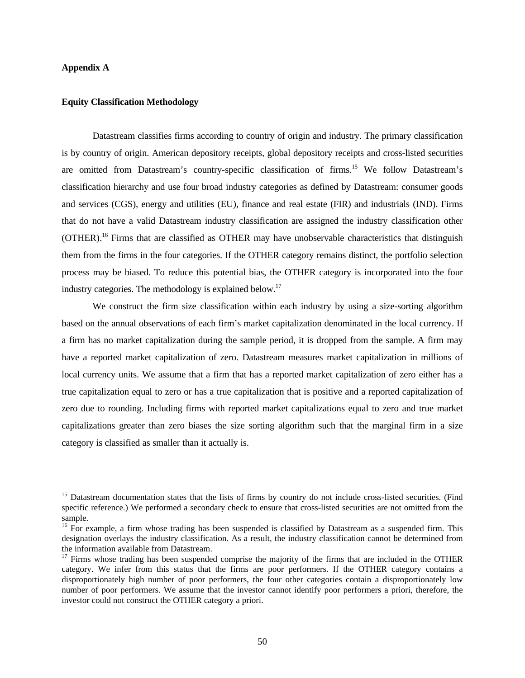### **Appendix A**

### **Equity Classification Methodology**

Datastream classifies firms according to country of origin and industry. The primary classification is by country of origin. American depository receipts, global depository receipts and cross-listed securities are omitted from Datastream's country-specific classification of firms.<sup>15</sup> We follow Datastream's classification hierarchy and use four broad industry categories as defined by Datastream: consumer goods and services (CGS), energy and utilities (EU), finance and real estate (FIR) and industrials (IND). Firms that do not have a valid Datastream industry classification are assigned the industry classification other (OTHER).<sup>16</sup> Firms that are classified as OTHER may have unobservable characteristics that distinguish them from the firms in the four categories. If the OTHER category remains distinct, the portfolio selection process may be biased. To reduce this potential bias, the OTHER category is incorporated into the four industry categories. The methodology is explained below.<sup>17</sup>

We construct the firm size classification within each industry by using a size-sorting algorithm based on the annual observations of each firm's market capitalization denominated in the local currency. If a firm has no market capitalization during the sample period, it is dropped from the sample. A firm may have a reported market capitalization of zero. Datastream measures market capitalization in millions of local currency units. We assume that a firm that has a reported market capitalization of zero either has a true capitalization equal to zero or has a true capitalization that is positive and a reported capitalization of zero due to rounding. Including firms with reported market capitalizations equal to zero and true market capitalizations greater than zero biases the size sorting algorithm such that the marginal firm in a size category is classified as smaller than it actually is.

<sup>&</sup>lt;sup>15</sup> Datastream documentation states that the lists of firms by country do not include cross-listed securities. (Find specific reference.) We performed a secondary check to ensure that cross-listed securities are not omitted from the sample.

<sup>&</sup>lt;sup>16</sup> For example, a firm whose trading has been suspended is classified by Datastream as a suspended firm. This designation overlays the industry classification. As a result, the industry classification cannot be determined from the information available from Datastream.

 $17$  Firms whose trading has been suspended comprise the majority of the firms that are included in the OTHER category. We infer from this status that the firms are poor performers. If the OTHER category contains a disproportionately high number of poor performers, the four other categories contain a disproportionately low number of poor performers. We assume that the investor cannot identify poor performers a priori, therefore, the investor could not construct the OTHER category a priori.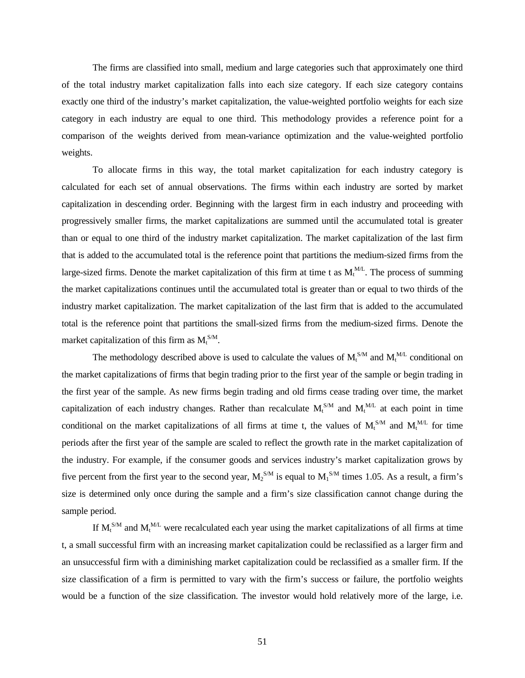The firms are classified into small, medium and large categories such that approximately one third of the total industry market capitalization falls into each size category. If each size category contains exactly one third of the industry's market capitalization, the value-weighted portfolio weights for each size category in each industry are equal to one third. This methodology provides a reference point for a comparison of the weights derived from mean-variance optimization and the value-weighted portfolio weights.

To allocate firms in this way, the total market capitalization for each industry category is calculated for each set of annual observations. The firms within each industry are sorted by market capitalization in descending order. Beginning with the largest firm in each industry and proceeding with progressively smaller firms, the market capitalizations are summed until the accumulated total is greater than or equal to one third of the industry market capitalization. The market capitalization of the last firm that is added to the accumulated total is the reference point that partitions the medium-sized firms from the large-sized firms. Denote the market capitalization of this firm at time t as  $M_t^{ML}$ . The process of summing the market capitalizations continues until the accumulated total is greater than or equal to two thirds of the industry market capitalization. The market capitalization of the last firm that is added to the accumulated total is the reference point that partitions the small-sized firms from the medium-sized firms. Denote the market capitalization of this firm as  $M_t^{S/M}$ .

The methodology described above is used to calculate the values of  $M_t^{SM}$  and  $M_t^{ML}$  conditional on the market capitalizations of firms that begin trading prior to the first year of the sample or begin trading in the first year of the sample. As new firms begin trading and old firms cease trading over time, the market capitalization of each industry changes. Rather than recalculate  $M_t^{S/M}$  and  $M_t^{ML}$  at each point in time conditional on the market capitalizations of all firms at time t, the values of  $M_t^{SM}$  and  $M_t^{ML}$  for time periods after the first year of the sample are scaled to reflect the growth rate in the market capitalization of the industry. For example, if the consumer goods and services industry's market capitalization grows by five percent from the first year to the second year,  $M_2^{SM}$  is equal to  $M_1^{SM}$  times 1.05. As a result, a firm's size is determined only once during the sample and a firm's size classification cannot change during the sample period.

If  $M_t^{SM}$  and  $M_t^{ML}$  were recalculated each year using the market capitalizations of all firms at time t, a small successful firm with an increasing market capitalization could be reclassified as a larger firm and an unsuccessful firm with a diminishing market capitalization could be reclassified as a smaller firm. If the size classification of a firm is permitted to vary with the firm's success or failure, the portfolio weights would be a function of the size classification. The investor would hold relatively more of the large, i.e.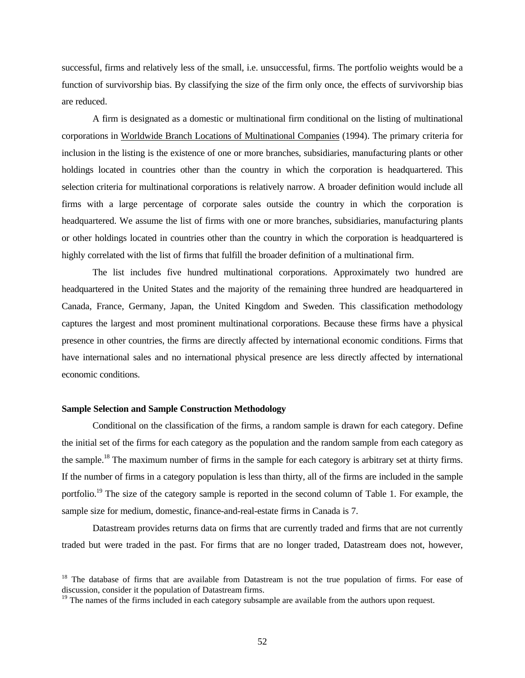successful, firms and relatively less of the small, i.e. unsuccessful, firms. The portfolio weights would be a function of survivorship bias. By classifying the size of the firm only once, the effects of survivorship bias are reduced.

A firm is designated as a domestic or multinational firm conditional on the listing of multinational corporations in Worldwide Branch Locations of Multinational Companies (1994). The primary criteria for inclusion in the listing is the existence of one or more branches, subsidiaries, manufacturing plants or other holdings located in countries other than the country in which the corporation is headquartered. This selection criteria for multinational corporations is relatively narrow. A broader definition would include all firms with a large percentage of corporate sales outside the country in which the corporation is headquartered. We assume the list of firms with one or more branches, subsidiaries, manufacturing plants or other holdings located in countries other than the country in which the corporation is headquartered is highly correlated with the list of firms that fulfill the broader definition of a multinational firm.

The list includes five hundred multinational corporations. Approximately two hundred are headquartered in the United States and the majority of the remaining three hundred are headquartered in Canada, France, Germany, Japan, the United Kingdom and Sweden. This classification methodology captures the largest and most prominent multinational corporations. Because these firms have a physical presence in other countries, the firms are directly affected by international economic conditions. Firms that have international sales and no international physical presence are less directly affected by international economic conditions.

### **Sample Selection and Sample Construction Methodology**

Conditional on the classification of the firms, a random sample is drawn for each category. Define the initial set of the firms for each category as the population and the random sample from each category as the sample.<sup>18</sup> The maximum number of firms in the sample for each category is arbitrary set at thirty firms. If the number of firms in a category population is less than thirty, all of the firms are included in the sample portfolio.<sup>19</sup> The size of the category sample is reported in the second column of Table 1. For example, the sample size for medium, domestic, finance-and-real-estate firms in Canada is 7.

Datastream provides returns data on firms that are currently traded and firms that are not currently traded but were traded in the past. For firms that are no longer traded, Datastream does not, however,

<sup>&</sup>lt;sup>18</sup> The database of firms that are available from Datastream is not the true population of firms. For ease of discussion, consider it the population of Datastream firms.

<sup>&</sup>lt;sup>19</sup> The names of the firms included in each category subsample are available from the authors upon request.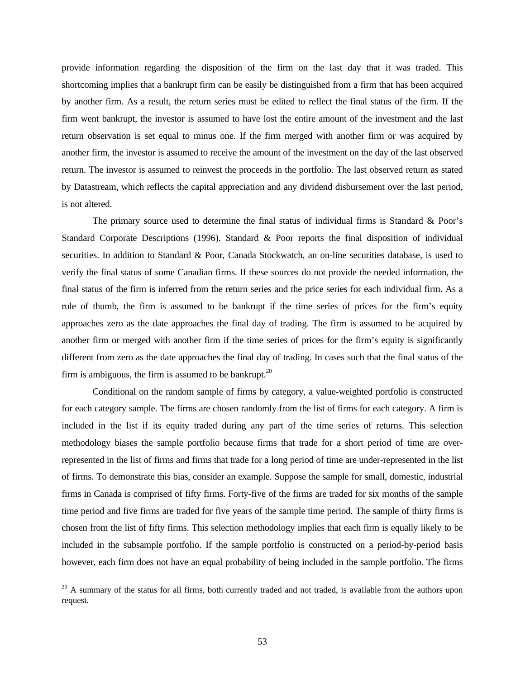provide information regarding the disposition of the firm on the last day that it was traded. This shortcoming implies that a bankrupt firm can be easily be distinguished from a firm that has been acquired by another firm. As a result, the return series must be edited to reflect the final status of the firm. If the firm went bankrupt, the investor is assumed to have lost the entire amount of the investment and the last return observation is set equal to minus one. If the firm merged with another firm or was acquired by another firm, the investor is assumed to receive the amount of the investment on the day of the last observed return. The investor is assumed to reinvest the proceeds in the portfolio. The last observed return as stated by Datastream, which reflects the capital appreciation and any dividend disbursement over the last period, is not altered.

The primary source used to determine the final status of individual firms is Standard & Poor's Standard Corporate Descriptions (1996). Standard & Poor reports the final disposition of individual securities. In addition to Standard & Poor, Canada Stockwatch, an on-line securities database, is used to verify the final status of some Canadian firms. If these sources do not provide the needed information, the final status of the firm is inferred from the return series and the price series for each individual firm. As a rule of thumb, the firm is assumed to be bankrupt if the time series of prices for the firm's equity approaches zero as the date approaches the final day of trading. The firm is assumed to be acquired by another firm or merged with another firm if the time series of prices for the firm's equity is significantly different from zero as the date approaches the final day of trading. In cases such that the final status of the firm is ambiguous, the firm is assumed to be bankrupt. $20$ 

Conditional on the random sample of firms by category, a value-weighted portfolio is constructed for each category sample. The firms are chosen randomly from the list of firms for each category. A firm is included in the list if its equity traded during any part of the time series of returns. This selection methodology biases the sample portfolio because firms that trade for a short period of time are overrepresented in the list of firms and firms that trade for a long period of time are under-represented in the list of firms. To demonstrate this bias, consider an example. Suppose the sample for small, domestic, industrial firms in Canada is comprised of fifty firms. Forty-five of the firms are traded for six months of the sample time period and five firms are traded for five years of the sample time period. The sample of thirty firms is chosen from the list of fifty firms. This selection methodology implies that each firm is equally likely to be included in the subsample portfolio. If the sample portfolio is constructed on a period-by-period basis however, each firm does not have an equal probability of being included in the sample portfolio. The firms

 $20$  A summary of the status for all firms, both currently traded and not traded, is available from the authors upon request.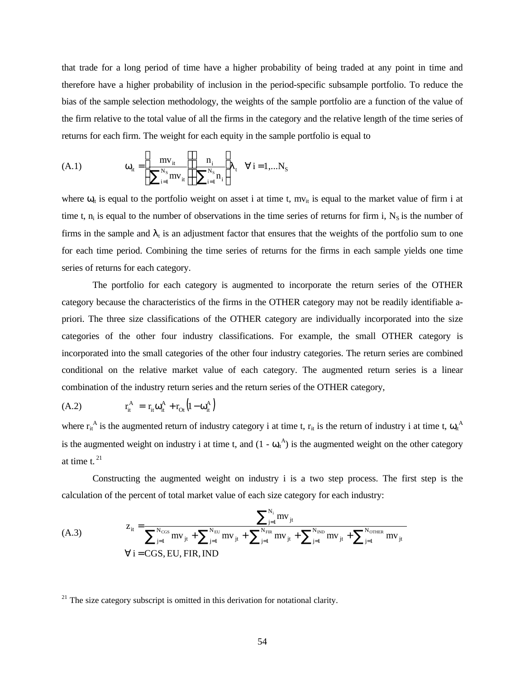that trade for a long period of time have a higher probability of being traded at any point in time and therefore have a higher probability of inclusion in the period-specific subsample portfolio. To reduce the bias of the sample selection methodology, the weights of the sample portfolio are a function of the value of the firm relative to the total value of all the firms in the category and the relative length of the time series of returns for each firm. The weight for each equity in the sample portfolio is equal to

(A.1) 
$$
\omega_{it} = \left[\frac{mv_{it}}{\sum_{i=1}^{N_s}mv_{it}}\right] \left[\frac{n_i}{\sum_{i=1}^{N_s}n_i}\right] \lambda_t \quad \forall i = 1,...N_s
$$

where  $\omega_{t}$  is equal to the portfolio weight on asset i at time t, mv<sub>it</sub> is equal to the market value of firm i at time t,  $n_i$  is equal to the number of observations in the time series of returns for firm i,  $N_s$  is the number of firms in the sample and  $\lambda_t$  is an adjustment factor that ensures that the weights of the portfolio sum to one for each time period. Combining the time series of returns for the firms in each sample yields one time series of returns for each category.

The portfolio for each category is augmented to incorporate the return series of the OTHER category because the characteristics of the firms in the OTHER category may not be readily identifiable apriori. The three size classifications of the OTHER category are individually incorporated into the size categories of the other four industry classifications. For example, the small OTHER category is incorporated into the small categories of the other four industry categories. The return series are combined conditional on the relative market value of each category. The augmented return series is a linear combination of the industry return series and the return series of the OTHER category,

(A.2) 
$$
r_{it}^{A} = r_{it} \omega_{it}^{A} + r_{0t} (1 - \omega_{it}^{A})
$$

where  $r_{it}^A$  is the augmented return of industry category i at time t,  $r_{it}$  is the return of industry i at time t,  $\omega_t^A$ is the augmented weight on industry i at time t, and  $(1 - \omega_t^A)$  is the augmented weight on the other category at time t.  $21$ 

Constructing the augmented weight on industry i is a two step process. The first step is the calculation of the percent of total market value of each size category for each industry:

$$
\begin{aligned}\n\text{(A.3)}\\ \n\mathbf{Z}_{it} &= \frac{\sum_{j=1}^{N_{\text{ccs}}}\text{mv}_{jt}}{\sum_{j=1}^{N_{\text{ccs}}}\text{mv}_{jt} + \sum_{j=1}^{N_{\text{EU}}}\text{mv}_{jt} + \sum_{j=1}^{N_{\text{HR}}}\text{mv}_{jt} + \sum_{j=1}^{N_{\text{IND}}}\text{mv}_{jt} + \sum_{j=1}^{N_{\text{OTHER}}} \text{mv}_{jt}}\n\end{aligned}
$$

 $21$  The size category subscript is omitted in this derivation for notational clarity.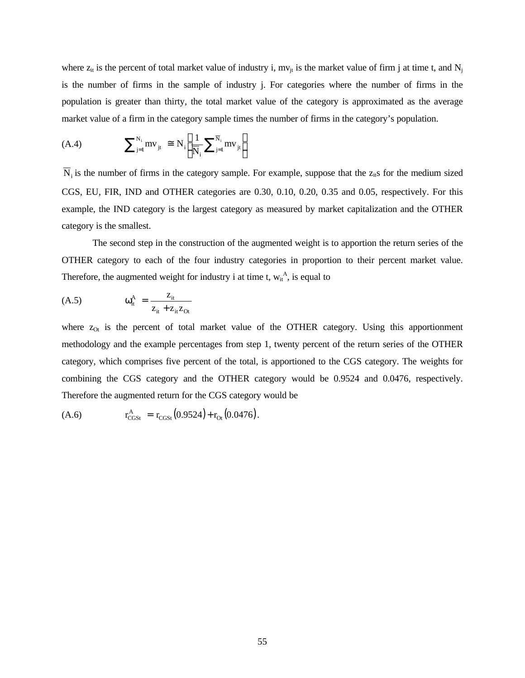where  $z_{it}$  is the percent of total market value of industry i, mv<sub>it</sub> is the market value of firm j at time t, and N<sub>i</sub> is the number of firms in the sample of industry j. For categories where the number of firms in the population is greater than thirty, the total market value of the category is approximated as the average market value of a firm in the category sample times the number of firms in the category's population.

(A.4) 
$$
\sum_{j=1}^{N_i} m v_{jt} \cong N_i \left[ \frac{1}{\overline{N}_i} \sum_{j=1}^{\overline{N}_i} m v_{jt} \right]
$$

 $N_i$  is the number of firms in the category sample. For example, suppose that the  $z_i$  for the medium sized CGS, EU, FIR, IND and OTHER categories are 0.30, 0.10, 0.20, 0.35 and 0.05, respectively. For this example, the IND category is the largest category as measured by market capitalization and the OTHER category is the smallest.

The second step in the construction of the augmented weight is to apportion the return series of the OTHER category to each of the four industry categories in proportion to their percent market value. Therefore, the augmented weight for industry i at time t,  $w_{it}^A$ , is equal to

$$
\text{(A.5)} \quad \omega_{it}^{\text{A}} = \frac{z_{it}}{z_{it} + z_{it} z_{0t}}
$$

where  $z_{\text{Ot}}$  is the percent of total market value of the OTHER category. Using this apportionment methodology and the example percentages from step 1, twenty percent of the return series of the OTHER category, which comprises five percent of the total, is apportioned to the CGS category. The weights for combining the CGS category and the OTHER category would be 0.9524 and 0.0476, respectively. Therefore the augmented return for the CGS category would be

$$
(A.6) \t r_{\text{CS}t}^{A} = r_{\text{CS}t}(0.9524) + r_{\text{O}t}(0.0476).
$$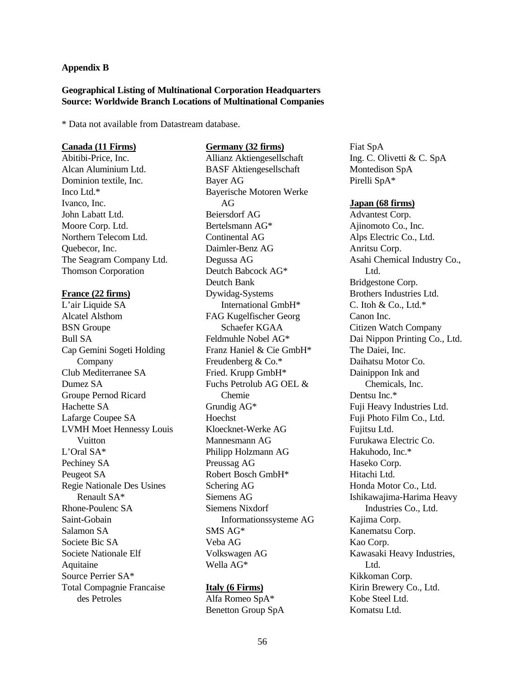### **Appendix B**

### **Geographical Listing of Multinational Corporation Headquarters Source: Worldwide Branch Locations of Multinational Companies**

\* Data not available from Datastream database.

### **Canada (11 Firms)**

Abitibi-Price, Inc. Alcan Aluminium Ltd. Dominion textile, Inc. Inco Ltd.\* Ivanco, Inc. John Labatt Ltd. Moore Corp. Ltd. Northern Telecom Ltd. Quebecor, Inc. The Seagram Company Ltd. Thomson Corporation

### **France (22 firms)**

L'air Liquide SA Alcatel Alsthom BSN Groupe Bull SA Cap Gemini Sogeti Holding Company Club Mediterranee SA Dumez SA Groupe Pernod Ricard Hachette SA Lafarge Coupee SA LVMH Moet Hennessy Louis Vuitton L'Oral SA\* Pechiney SA Peugeot SA Regie Nationale Des Usines Renault SA\* Rhone-Poulenc SA Saint-Gobain Salamon SA Societe Bic SA Societe Nationale Elf Aquitaine Source Perrier SA\* Total Compagnie Francaise des Petroles

## **Germany (32 firms)**

Allianz Aktiengesellschaft BASF Aktiengesellschaft Bayer AG Bayerische Motoren Werke AG Beiersdorf AG Bertelsmann AG\* Continental AG Daimler-Benz AG Degussa AG Deutch Babcock AG\* Deutch Bank Dywidag-Systems International GmbH\* FAG Kugelfischer Georg Schaefer KGAA Feldmuhle Nobel AG\* Franz Haniel & Cie GmbH\* Freudenberg & Co.\* Fried. Krupp GmbH\* Fuchs Petrolub AG OEL & Chemie Grundig AG\* Hoechst Kloecknet-Werke AG Mannesmann AG Philipp Holzmann AG Preussag AG Robert Bosch GmbH\* Schering AG Siemens AG Siemens Nixdorf Informationssysteme AG SMS AG\* Veba AG Volkswagen AG Wella AG\*

### **Italy (6 Firms)**

Alfa Romeo SpA\* Benetton Group SpA Fiat SpA Ing. C. Olivetti & C. SpA Montedison SpA Pirelli SpA\*

### **Japan (68 firms)**

Advantest Corp. Ajinomoto Co., Inc. Alps Electric Co., Ltd. Anritsu Corp. Asahi Chemical Industry Co., Ltd. Bridgestone Corp. Brothers Industries Ltd. C. Itoh & Co., Ltd.\* Canon Inc. Citizen Watch Company Dai Nippon Printing Co., Ltd. The Daiei, Inc. Daihatsu Motor Co. Dainippon Ink and Chemicals, Inc. Dentsu Inc.\* Fuji Heavy Industries Ltd. Fuji Photo Film Co., Ltd. Fujitsu Ltd. Furukawa Electric Co. Hakuhodo, Inc.\* Haseko Corp. Hitachi Ltd. Honda Motor Co., Ltd. Ishikawajima-Harima Heavy Industries Co., Ltd. Kajima Corp. Kanematsu Corp. Kao Corp. Kawasaki Heavy Industries, Ltd. Kikkoman Corp. Kirin Brewery Co., Ltd. Kobe Steel Ltd. Komatsu Ltd.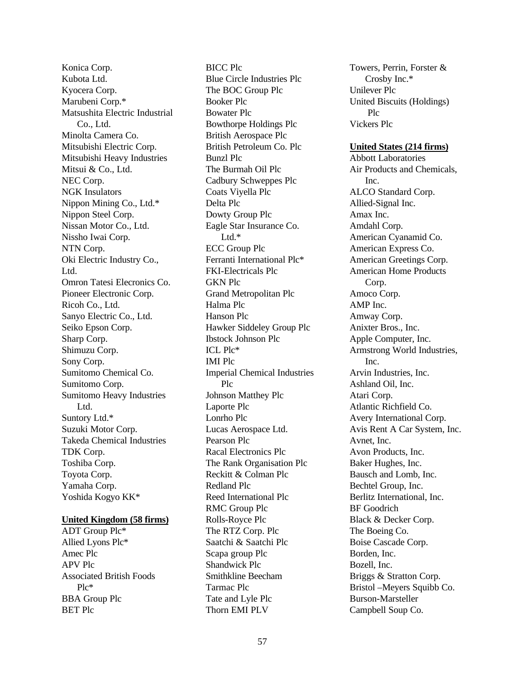Konica Corp. Kubota Ltd. Kyocera Corp. Marubeni Corp.\* Matsushita Electric Industrial Co., Ltd. Minolta Camera Co. Mitsubishi Electric Corp. Mitsubishi Heavy Industries Mitsui & Co., Ltd. NEC Corp. NGK Insulators Nippon Mining Co., Ltd.\* Nippon Steel Corp. Nissan Motor Co., Ltd. Nissho Iwai Corp. NTN Corp. Oki Electric Industry Co., Ltd. Omron Tatesi Elecronics Co. Pioneer Electronic Corp. Ricoh Co., Ltd. Sanyo Electric Co., Ltd. Seiko Epson Corp. Sharp Corp. Shimuzu Corp. Sony Corp. Sumitomo Chemical Co. Sumitomo Corp. Sumitomo Heavy Industries Ltd. Suntory Ltd.\* Suzuki Motor Corp. Takeda Chemical Industries TDK Corp. Toshiba Corp. Toyota Corp. Yamaha Corp. Yoshida Kogyo KK\*

### **United Kingdom (58 firms)**

ADT Group Plc\* Allied Lyons Plc\* Amec Plc APV Plc Associated British Foods Plc\* BBA Group Plc BET Plc

BICC Plc Blue Circle Industries Plc The BOC Group Plc Booker Plc Bowater Plc Bowthorpe Holdings Plc British Aerospace Plc British Petroleum Co. Plc Bunzl Plc The Burmah Oil Plc Cadbury Schweppes Plc Coats Viyella Plc Delta Plc Dowty Group Plc Eagle Star Insurance Co. Ltd.\* ECC Group Plc Ferranti International Plc\* FKI-Electricals Plc GKN Plc Grand Metropolitan Plc Halma Plc Hanson Plc Hawker Siddeley Group Plc Ibstock Johnson Plc ICL Plc\* IMI Plc Imperial Chemical Industries Plc Johnson Matthey Plc Laporte Plc Lonrho Plc Lucas Aerospace Ltd. Pearson Plc Racal Electronics Plc The Rank Organisation Plc Reckitt & Colman Plc Redland Plc Reed International Plc RMC Group Plc Rolls-Royce Plc The RTZ Corp. Plc Saatchi & Saatchi Plc Scapa group Plc Shandwick Plc Smithkline Beecham Tarmac Plc Tate and Lyle Plc Thorn EMI PLV

Towers, Perrin, Forster & Crosby Inc.\* Unilever Plc United Biscuits (Holdings) Plc Vickers Plc

#### **United States (214 firms)**

Abbott Laboratories Air Products and Chemicals, Inc. ALCO Standard Corp. Allied-Signal Inc. Amax Inc. Amdahl Corp. American Cyanamid Co. American Express Co. American Greetings Corp. American Home Products Corp. Amoco Corp. AMP Inc. Amway Corp. Anixter Bros., Inc. Apple Computer, Inc. Armstrong World Industries, Inc. Arvin Industries, Inc. Ashland Oil, Inc. Atari Corp. Atlantic Richfield Co. Avery International Corp. Avis Rent A Car System, Inc. Avnet, Inc. Avon Products, Inc. Baker Hughes, Inc. Bausch and Lomb, Inc. Bechtel Group, Inc. Berlitz International, Inc. BF Goodrich Black & Decker Corp. The Boeing Co. Boise Cascade Corp. Borden, Inc. Bozell, Inc. Briggs & Stratton Corp. Bristol –Meyers Squibb Co. Burson-Marsteller Campbell Soup Co.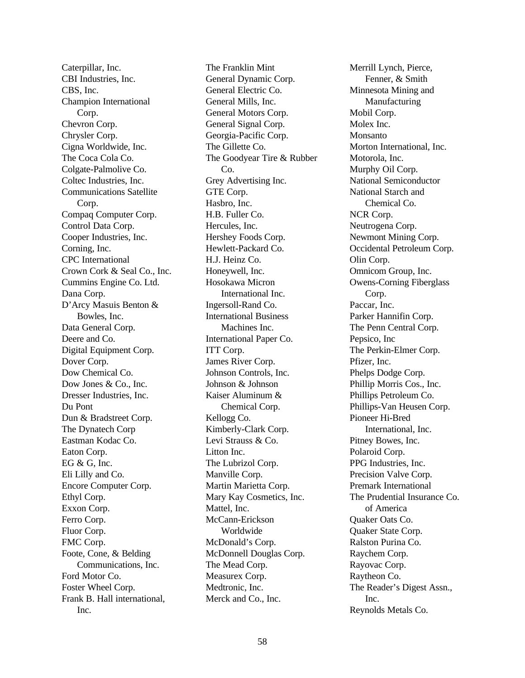Caterpillar, Inc. CBI Industries, Inc. CBS, Inc. Champion International Corp. Chevron Corp. Chrysler Corp. Cigna Worldwide, Inc. The Coca Cola Co. Colgate-Palmolive Co. Coltec Industries, Inc. Communications Satellite Corp. Compaq Computer Corp. Control Data Corp. Cooper Industries, Inc. Corning, Inc. CPC International Crown Cork & Seal Co., Inc. Cummins Engine Co. Ltd. Dana Corp. D'Arcy Masuis Benton & Bowles, Inc. Data General Corp. Deere and Co. Digital Equipment Corp. Dover Corp. Dow Chemical Co. Dow Jones & Co., Inc. Dresser Industries, Inc. Du Pont Dun & Bradstreet Corp. The Dynatech Corp Eastman Kodac Co. Eaton Corp. EG & G, Inc. Eli Lilly and Co. Encore Computer Corp. Ethyl Corp. Exxon Corp. Ferro Corp. Fluor Corp. FMC Corp. Foote, Cone, & Belding Communications, Inc. Ford Motor Co. Foster Wheel Corp. Frank B. Hall international, Inc.

The Franklin Mint General Dynamic Corp. General Electric Co. General Mills, Inc. General Motors Corp. General Signal Corp. Georgia-Pacific Corp. The Gillette Co. The Goodyear Tire & Rubber Co. Grey Advertising Inc. GTE Corp. Hasbro, Inc. H.B. Fuller Co. Hercules, Inc. Hershey Foods Corp. Hewlett-Packard Co. H.J. Heinz Co. Honeywell, Inc. Hosokawa Micron International Inc. Ingersoll-Rand Co. International Business Machines Inc. International Paper Co. ITT Corp. James River Corp. Johnson Controls, Inc. Johnson & Johnson Kaiser Aluminum & Chemical Corp. Kellogg Co. Kimberly-Clark Corp. Levi Strauss & Co. Litton Inc. The Lubrizol Corp. Manville Corp. Martin Marietta Corp. Mary Kay Cosmetics, Inc. Mattel, Inc. McCann-Erickson Worldwide McDonald's Corp. McDonnell Douglas Corp. The Mead Corp. Measurex Corp. Medtronic, Inc. Merck and Co., Inc.

Merrill Lynch, Pierce, Fenner, & Smith Minnesota Mining and Manufacturing Mobil Corp. Molex Inc. Monsanto Morton International, Inc. Motorola, Inc. Murphy Oil Corp. National Semiconductor National Starch and Chemical Co. NCR Corp. Neutrogena Corp. Newmont Mining Corp. Occidental Petroleum Corp. Olin Corp. Omnicom Group, Inc. Owens-Corning Fiberglass Corp. Paccar, Inc. Parker Hannifin Corp. The Penn Central Corp. Pepsico, Inc The Perkin-Elmer Corp. Pfizer, Inc. Phelps Dodge Corp. Phillip Morris Cos., Inc. Phillips Petroleum Co. Phillips-Van Heusen Corp. Pioneer Hi-Bred International, Inc. Pitney Bowes, Inc. Polaroid Corp. PPG Industries, Inc. Precision Valve Corp. Premark International The Prudential Insurance Co. of America Quaker Oats Co. Quaker State Corp. Ralston Purina Co. Raychem Corp. Rayovac Corp. Raytheon Co. The Reader's Digest Assn., Inc. Reynolds Metals Co.